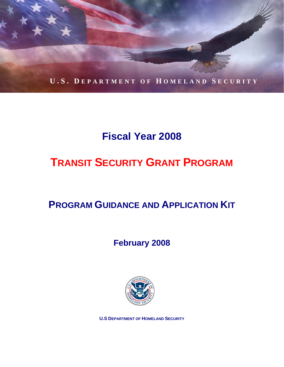

# **Fiscal Year 2008**

# **TRANSIT SECURITY GRANT PROGRAM**

# **PROGRAM GUIDANCE AND APPLICATION KIT**

## **February 2008**



**U.S DEPARTMENT OF HOMELAND SECURITY**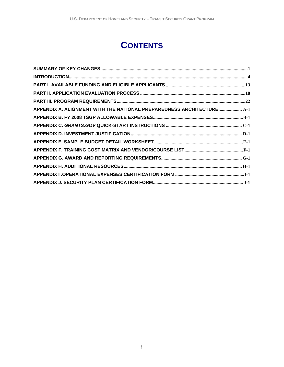# **CONTENTS**

| APPENDIX A. ALIGNMENT WITH THE NATIONAL PREPAREDNESS ARCHITECTURE A-1 |  |
|-----------------------------------------------------------------------|--|
|                                                                       |  |
|                                                                       |  |
|                                                                       |  |
|                                                                       |  |
|                                                                       |  |
|                                                                       |  |
|                                                                       |  |
|                                                                       |  |
|                                                                       |  |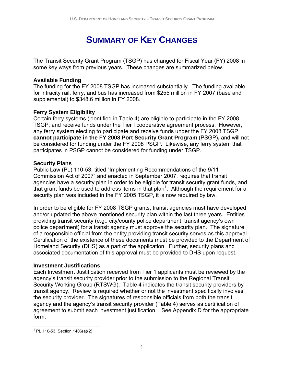# **SUMMARY OF KEY CHANGES**

The Transit Security Grant Program (TSGP) has changed for Fiscal Year (FY) 2008 in some key ways from previous years. These changes are summarized below.

#### **Available Funding**

The funding for the FY 2008 TSGP has increased substantially. The funding available for intracity rail, ferry, and bus has increased from \$255 million in FY 2007 (base and supplemental) to \$348.6 million in FY 2008.

#### **Ferry System Eligibility**

Certain ferry systems (identified in Table 4) are eligible to participate in the FY 2008 TSGP, and receive funds under the Tier I cooperative agreement process. However, any ferry system electing to participate and receive funds under the FY 2008 TSGP **cannot participate in the FY 2008 Port Security Grant Program** (PSGP)**,** and will not be considered for funding under the FY 2008 PSGP. Likewise, any ferry system that participates in PSGP cannot be considered for funding under TSGP.

#### **Security Plans**

Public Law (PL) 110-53, titled "Implementing Recommendations of the 9/11 Commission Act of 2007" and enacted in September 2007, requires that transit agencies have a security plan in order to be eligible for transit security grant funds, and that grant funds be used to address items in that plan<sup>1</sup>. Although the requirement for a security plan was included in the FY 2005 TSGP, it is now required by law.

In order to be eligible for FY 2008 TSGP grants, transit agencies must have developed and/or updated the above mentioned security plan within the last three years. Entities providing transit security (e.g., city/county police department, transit agency's own police department) for a transit agency must approve the security plan. The signature of a responsible official from the entity providing transit security serves as this approval. Certification of the existence of these documents must be provided to the Department of Homeland Security (DHS) as a part of the application. Further, security plans and associated documentation of this approval must be provided to DHS upon request.

#### **Investment Justifications**

Each Investment Justification received from Tier 1 applicants must be reviewed by the agency's transit security provider prior to the submission to the Regional Transit Security Working Group (RTSWG). Table 4 indicates the transit security providers by transit agency. Review is required whether or not the investment specifically involves the security provider. The signatures of responsible officials from both the transit agency and the agency's transit security provider (Table 4) serves as certification of agreement to submit each investment justification. See Appendix D for the appropriate form.

 $\overline{a}$  $1$  PL 110-53, Section 1406(a)(2)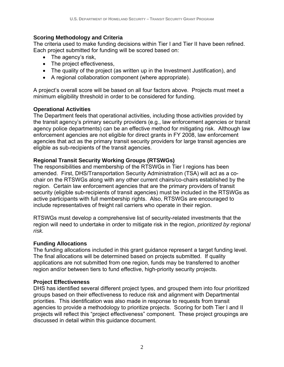#### **Scoring Methodology and Criteria**

The criteria used to make funding decisions within Tier I and Tier II have been refined. Each project submitted for funding will be scored based on:

- The agency's risk,
- The project effectiveness,
- The quality of the project (as written up in the Investment Justification), and
- A regional collaboration component (where appropriate).

A project's overall score will be based on all four factors above. Projects must meet a minimum eligibility threshold in order to be considered for funding.

#### **Operational Activities**

The Department feels that operational activities, including those activities provided by the transit agency's primary security providers (e.g., law enforcement agencies or transit agency police departments) can be an effective method for mitigating risk. Although law enforcement agencies are not eligible for direct grants in FY 2008, law enforcement agencies that act as the primary transit security providers for large transit agencies are eligible as sub-recipients of the transit agencies.

#### **Regional Transit Security Working Groups (RTSWGs)**

The responsibilities and membership of the RTSWGs in Tier I regions has been amended. First, DHS/Transportation Security Administration (TSA) will act as a cochair on the RTSWGs along with any other current chairs/co-chairs established by the region. Certain law enforcement agencies that are the primary providers of transit security (eligible sub-recipients of transit agencies) must be included in the RTSWGs as active participants with full membership rights. Also, RTSWGs are encouraged to include representatives of freight rail carriers who operate in their region.

RTSWGs must develop a comprehensive list of security-related investments that the region will need to undertake in order to mitigate risk in the region, *prioritized by regional risk.* 

#### **Funding Allocations**

The funding allocations included in this grant guidance represent a target funding level. The final allocations will be determined based on projects submitted. If quality applications are not submitted from one region, funds may be transferred to another region and/or between tiers to fund effective, high-priority security projects.

#### **Project Effectiveness**

DHS has identified several different project types, and grouped them into four prioritized groups based on their effectiveness to reduce risk and alignment with Departmental priorities. This identification was also made in response to requests from transit agencies to provide a methodology to prioritize projects. Scoring for both Tier I and II projects will reflect this "project effectiveness" component. These project groupings are discussed in detail within this guidance document.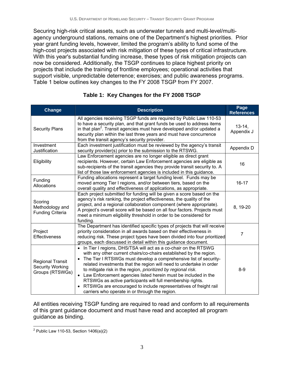Securing high-risk critical assets, such as underwater tunnels and multi-level/multiagency underground stations, remains one of the Department's highest priorities. Prior year grant funding levels, however, limited the program's ability to fund some of the high-cost projects associated with risk mitigation of these types of critical infrastructure. With this year's substantial funding increase, these types of risk mitigation projects can now be considered. Additionally, the TSGP continues to place highest priority on projects that include the training of frontline employees; operational activities that support visible, unpredictable deterrence; exercises; and public awareness programs. Table 1 below outlines key changes to the FY 2008 TSGP from FY 2007.

| Change                                                                | <b>Description</b>                                                                                                                                                                                                                                                                                                                                                                                                                                                                                                                                                                                                                 | Page<br><b>References</b> |
|-----------------------------------------------------------------------|------------------------------------------------------------------------------------------------------------------------------------------------------------------------------------------------------------------------------------------------------------------------------------------------------------------------------------------------------------------------------------------------------------------------------------------------------------------------------------------------------------------------------------------------------------------------------------------------------------------------------------|---------------------------|
| <b>Security Plans</b>                                                 | All agencies receiving TSGP funds are required by Public Law 110-53<br>to have a security plan, and that grant funds be used to address items<br>in that plan <sup>2</sup> . Transit agencies must have developed and/or updated a<br>security plan within the last three years and must have concurrence<br>from the transit agency's security provider.                                                                                                                                                                                                                                                                          | $13-14,$<br>Appendix J    |
| Investment<br>Justification                                           | Each investment justification must be reviewed by the agency's transit<br>security provider(s) prior to the submission to the RTSWG.                                                                                                                                                                                                                                                                                                                                                                                                                                                                                               | Appendix D                |
| Eligibility                                                           | Law Enforcement agencies are no longer eligible as direct grant<br>recipients. However, certain Law Enforcement agencies are eligible as<br>sub-recipients of the transit agencies they provide transit security to. A<br>list of those law enforcement agencies is included in this guidance.                                                                                                                                                                                                                                                                                                                                     | 16                        |
| Funding<br>Allocations                                                | Funding allocations represent a target funding level. Funds may be<br>moved among Tier I regions, and/or between tiers, based on the<br>overall quality and effectiveness of applications, as appropriate.                                                                                                                                                                                                                                                                                                                                                                                                                         | $16 - 17$                 |
| Scoring<br>Methodology and<br><b>Funding Criteria</b>                 | Each project submitted for funding will be given a score based on the<br>agency's risk ranking, the project effectiveness, the quality of the<br>project, and a regional collaboration component (where appropriate).<br>A project's overall score will be based on all four factors. Projects must<br>meet a minimum eligibility threshold in order to be considered for<br>funding.                                                                                                                                                                                                                                              | 8, 19-20                  |
| Project<br>Effectiveness                                              | The Department has identified specific types of projects that will receive<br>priority consideration in all awards based on their effectiveness in<br>reducing risk. These project types have been divided into four prioritized<br>groups, each discussed in detail within this guidance document.                                                                                                                                                                                                                                                                                                                                | 7                         |
| <b>Regional Transit</b><br><b>Security Working</b><br>Groups (RTSWGs) | • In Tier I regions, DHS/TSA will act as a co-chair on the RTSWG<br>with any other current chairs/co-chairs established by the region.<br>The Tier I RTSWGs must develop a comprehensive list of security-<br>$\bullet$<br>related investments that the region will need to undertake in order<br>to mitigate risk in the region, prioritized by regional risk.<br>Law Enforcement agencies listed herein must be included in the<br>$\bullet$<br>RTSWGs as active participants will full membership rights.<br>RTSWGs are encouraged to include representatives of freight rail<br>carriers who operate in or through the region. | $8 - 9$                   |

#### **Table 1: Key Changes for the FY 2008 TSGP**

All entities receiving TSGP funding are required to read and conform to all requirements of this grant guidance document and must have read and accepted all program guidance as binding.

 2 Public Law 110-53, Section 1406(a)(2)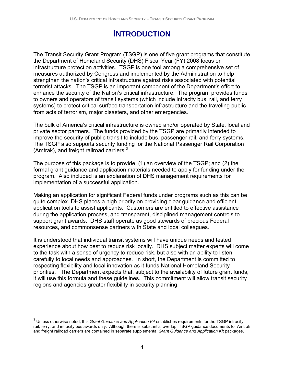## **INTRODUCTION**

The Transit Security Grant Program (TSGP) is one of five grant programs that constitute the Department of Homeland Security (DHS) Fiscal Year (FY) 2008 focus on infrastructure protection activities. TSGP is one tool among a comprehensive set of measures authorized by Congress and implemented by the Administration to help strengthen the nation's critical infrastructure against risks associated with potential terrorist attacks. The TSGP is an important component of the Department's effort to enhance the security of the Nation's critical infrastructure. The program provides funds to owners and operators of transit systems (which include intracity bus, rail, and ferry systems) to protect critical surface transportation infrastructure and the traveling public from acts of terrorism, major disasters, and other emergencies.

The bulk of America's critical infrastructure is owned and/or operated by State, local and private sector partners. The funds provided by the TSGP are primarily intended to improve the security of public transit to include bus, passenger rail, and ferry systems. The TSGP also supports security funding for the National Passenger Rail Corporation (Amtrak), and freight railroad carriers.<sup>3</sup>

The purpose of this package is to provide: (1) an overview of the TSGP; and (2) the formal grant guidance and application materials needed to apply for funding under the program. Also included is an explanation of DHS management requirements for implementation of a successful application.

Making an application for significant Federal funds under programs such as this can be quite complex. DHS places a high priority on providing clear guidance and efficient application tools to assist applicants. Customers are entitled to effective assistance during the application process, and transparent, disciplined management controls to support grant awards. DHS staff operate as good stewards of precious Federal resources, and commonsense partners with State and local colleagues.

It is understood that individual transit systems will have unique needs and tested experience about how best to reduce risk locally. DHS subject matter experts will come to the task with a sense of urgency to reduce risk, but also with an ability to listen carefully to local needs and approaches. In short, the Department is committed to respecting flexibility and local innovation as it funds National Homeland Security priorities. The Department expects that, subject to the availability of future grant funds, it will use this formula and these guidelines. This commitment will allow transit security regions and agencies greater flexibility in security planning.

 $\overline{a}$ 

<sup>3</sup> Unless otherwise noted, this *Grant Guidance and Application Kit* establishes requirements for the TSGP intracity rail, ferry, and intracity bus awards only. Although there is substantial overlap, TSGP guidance documents for Amtrak and freight railroad carriers are contained in separate supplemental *Grant Guidance and Application Kit* packages.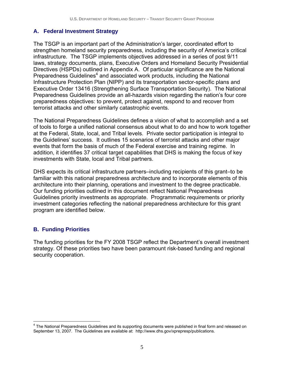#### **A. Federal Investment Strategy**

The TSGP is an important part of the Administration's larger, coordinated effort to strengthen homeland security preparedness, including the security of America's critical infrastructure. The TSGP implements objectives addressed in a series of post 9/11 laws, strategy documents, plans, Executive Orders and Homeland Security Presidential Directives (HSPDs) outlined in Appendix A. Of particular significance are the National Preparedness Guidelines<sup>4</sup> and associated work products, including the National Infrastructure Protection Plan (NIPP) and its transportation sector-specific plans and Executive Order 13416 (Strengthening Surface Transportation Security). The National Preparedness Guidelines provide an all-hazards vision regarding the nation's four core preparedness objectives: to prevent, protect against, respond to and recover from terrorist attacks and other similarly catastrophic events.

The National Preparedness Guidelines defines a vision of what to accomplish and a set of tools to forge a unified national consensus about what to do and how to work together at the Federal, State, local, and Tribal levels. Private sector participation is integral to the Guidelines' success. It outlines 15 scenarios of terrorist attacks and other major events that form the basis of much of the Federal exercise and training regime. In addition, it identifies 37 critical target capabilities that DHS is making the focus of key investments with State, local and Tribal partners.

DHS expects its critical infrastructure partners–including recipients of this grant–to be familiar with this national preparedness architecture and to incorporate elements of this architecture into their planning, operations and investment to the degree practicable. Our funding priorities outlined in this document reflect National Preparedness Guidelines priority investments as appropriate. Programmatic requirements or priority investment categories reflecting the national preparedness architecture for this grant program are identified below.

#### **B. Funding Priorities**

The funding priorities for the FY 2008 TSGP reflect the Department's overall investment strategy. Of these priorities two have been paramount risk-based funding and regional security cooperation.

 4 The National Preparedness Guidelines and its supporting documents were published in final form and released on September 13, 2007. The Guidelines are available at: http://www.dhs.gov/xprepresp/publications.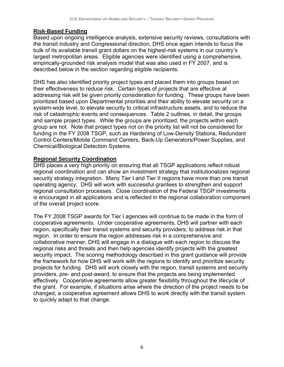#### **Risk-Based Funding**

Based upon ongoing intelligence analysis, extensive security reviews, consultations with the transit industry and Congressional direction, DHS once again intends to focus the bulk of its available transit grant dollars on the highest-risk systems in our country's largest metropolitan areas. Eligible agencies were identified using a comprehensive, empirically-grounded risk analysis model that was also used in FY 2007, and is described below in the section regarding eligible recipients.

DHS has also identified priority project types and placed them into groups based on their effectiveness to reduce risk. Certain types of projects that are effective at addressing risk will be given priority consideration for funding. These groups have been prioritized based upon Departmental priorities and their ability to elevate security on a system-wide level, to elevate security to critical infrastructure assets, and to reduce the risk of catastrophic events and consequences. Table 2 outlines, in detail, the groups and sample project types. While the groups are prioritized, the projects within each group are not. Note that project types not on the priority list will not be considered for funding in the FY 2008 TSGP, such as Hardening of Low-Density Stations, Redundant Control Centers/Mobile Command Centers, Back-Up Generators/Power Supplies, and Chemical/Biological Detection Systems.

#### **Regional Security Coordination**

DHS places a very high priority on ensuring that all TSGP applications reflect robust regional coordination and can show an investment strategy that institutionalizes regional security strategy integration. Many Tier I and Tier II regions have more than one transit operating agency. DHS will work with successful grantees to strengthen and support regional consultation processes. Close coordination of the Federal TSGP investments is encouraged in all applications and is reflected in the regional collaboration component of the overall project score.

The FY 2008 TSGP awards for Tier I agencies will continue to be made in the form of cooperative agreements. Under cooperative agreements, DHS will partner with each region, specifically their transit systems and security providers, to address risk in that region. In order to ensure the region addresses risk in a comprehensive and collaborative manner, DHS will engage in a dialogue with each region to discuss the regional risks and threats and then help agencies identify projects with the greatest security impact. The scoring methodology described in this grant guidance will provide the framework for how DHS will work with the regions to identify and prioritize security projects for funding. DHS will work closely with the region, transit systems and security providers, pre- and post-award, to ensure that the projects are being implemented effectively. Cooperative agreements allow greater flexibility throughout the lifecycle of the grant. For example, if situations arise where the direction of the project needs to be changed, a cooperative agreement allows DHS to work directly with the transit system to quickly adapt to that change.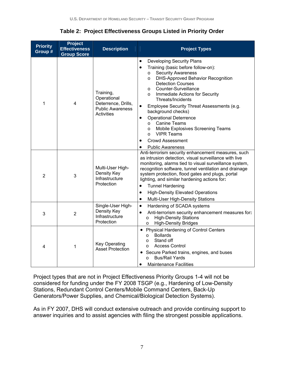**Table 2: Project Effectiveness Groups Listed in Priority Order** 

| <b>Priority</b><br>Group # | <b>Project</b><br><b>Effectiveness</b><br><b>Group Score</b> | <b>Description</b>                                                                              | <b>Project Types</b>                                                                                                                                                                                                                                                                                                                                                                                                                                                                                                                                                                                        |  |
|----------------------------|--------------------------------------------------------------|-------------------------------------------------------------------------------------------------|-------------------------------------------------------------------------------------------------------------------------------------------------------------------------------------------------------------------------------------------------------------------------------------------------------------------------------------------------------------------------------------------------------------------------------------------------------------------------------------------------------------------------------------------------------------------------------------------------------------|--|
| 1                          | 4                                                            | Training,<br>Operational<br>Deterrence, Drills,<br><b>Public Awareness</b><br><b>Activities</b> | <b>Developing Security Plans</b><br>٠<br>Training (basic before follow-on):<br>$\bullet$<br><b>Security Awareness</b><br>$\circ$<br>DHS-Approved Behavior Recognition<br>$\circ$<br><b>Detection Courses</b><br>Counter-Surveillance<br>$\circ$<br>Immediate Actions for Security<br>$\circ$<br>Threats/Incidents<br>Employee Security Threat Assessments (e.g.<br>$\bullet$<br>background checks)<br><b>Operational Deterrence</b><br>$\bullet$<br><b>Canine Teams</b><br>$\circ$<br>Mobile Explosives Screening Teams<br>$\circ$<br><b>VIPR Teams</b><br>$\Omega$<br><b>Crowd Assessment</b><br>$\bullet$ |  |
| $\overline{2}$             | 3                                                            | Multi-User High-<br>Density Key<br>Infrastructure<br>Protection                                 | <b>Public Awareness</b><br>Anti-terrorism security enhancement measures, such<br>as intrusion detection, visual surveillance with live<br>monitoring, alarms tied to visual surveillance system,<br>recognition software, tunnel ventilation and drainage<br>system protection, flood gates and plugs, portal<br>lighting, and similar hardening actions for:<br><b>Tunnel Hardening</b><br>$\bullet$<br><b>High-Density Elevated Operations</b><br>$\bullet$<br>Multi-User High-Density Stations<br>$\bullet$                                                                                              |  |
| 3                          | $\overline{2}$                                               | Single-User High-<br>Density Key<br>Infrastructure<br>Protection                                | Hardening of SCADA systems<br>$\bullet$<br>Anti-terrorism security enhancement measures for:<br>$\bullet$<br><b>High-Density Stations</b><br>$\circ$<br><b>High-Density Bridges</b><br>$\circ$                                                                                                                                                                                                                                                                                                                                                                                                              |  |
| 4                          | 1                                                            | <b>Key Operating</b><br><b>Asset Protection</b>                                                 | Physical Hardening of Control Centers<br><b>Bollards</b><br>$\circ$<br>Stand off<br>$\Omega$<br><b>Access Control</b><br>$\Omega$<br>Secure Parked trains, engines, and buses<br>٠<br><b>Bus/Rail Yards</b><br>$\circ$<br><b>Maintenance Facilities</b>                                                                                                                                                                                                                                                                                                                                                     |  |

Project types that are not in Project Effectiveness Priority Groups 1-4 will not be considered for funding under the FY 2008 TSGP (e.g., Hardening of Low-Density Stations, Redundant Control Centers/Mobile Command Centers, Back-Up Generators/Power Supplies, and Chemical/Biological Detection Systems).

As in FY 2007, DHS will conduct extensive outreach and provide continuing support to answer inquiries and to assist agencies with filing the strongest possible applications.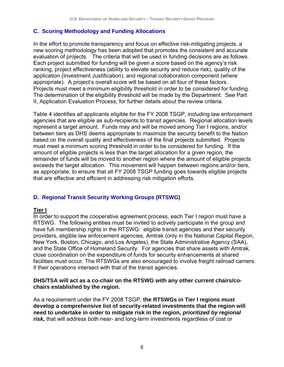#### **C. Scoring Methodology and Funding Allocations**

In the effort to promote transparency and focus on effective risk-mitigating projects, a new scoring methodology has been adopted that promotes the consistent and accurate evaluation of projects. The criteria that will be used in funding decisions are as follows. Each project submitted for funding will be given a score based on the agency's risk ranking, project effectiveness (ability to elevate security and reduce risk), quality of the application (Investment Justification), and regional collaboration component (where appropriate). A project's overall score will be based on all four of these factors. Projects must meet a minimum eligibility threshold in order to be considered for funding. The determination of the eligibility threshold will be made by the Department. See Part II, Application Evaluation Process, for further details about the review criteria.

Table 4 identifies all applicants eligible for the FY 2008 TSGP, including law enforcement agencies that are eligible as sub-recipients to transit agencies. Regional allocation levels represent a target amount. Funds may and will be moved among Tier I regions, and/or between tiers as DHS deems appropriate to maximize the security benefit to the Nation based on the overall quality and effectiveness of the final projects submitted. Projects must meet a minimum scoring threshold in order to be considered for funding. If the amount of eligible projects is less than the target allocation for a given region, the remainder of funds will be moved to another region where the amount of eligible projects exceeds the target allocation. This movement will happen between regions and/or tiers, as appropriate, to ensure that all FY 2008 TSGP funding goes towards eligible projects that are effective and efficient in addressing risk mitigation efforts.

#### **D. Regional Transit Security Working Groups (RTSWG)**

#### **Tier I**

In order to support the cooperative agreement process, each Tier I region must have a RTSWG. The following entities must be invited to actively participate in the group and have full membership rights in the RTSWG: eligible transit agencies and their security providers, eligible law enforcement agencies, Amtrak (only in the National Capital Region, New York, Boston, Chicago, and Los Angeles), the State Administrative Agency (SAA), and the State Office of Homeland Security. For agencies that share assets with Amtrak, close coordination on the expenditure of funds for security enhancements at shared facilities must occur. The RTSWGs are also encouraged to involve freight railroad carriers if their operations intersect with that of the transit agencies.

#### **DHS/TSA will act as a co-chair on the RTSWG with any other current chairs/cochairs established by the region.**

As a requirement under the FY 2008 TSGP, **the RTSWGs in Tier I regions must develop a comprehensive list of security-related investments that the region will need to undertake in order to mitigate risk in the region,** *prioritized by regional risk,* that will address both near- and long-term investments regardless of cost or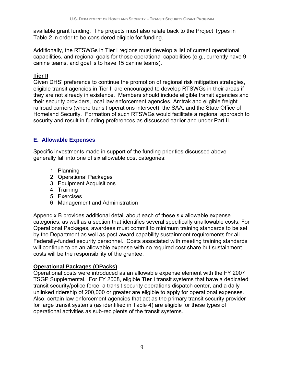available grant funding. The projects must also relate back to the Project Types in Table 2 in order to be considered eligible for funding.

Additionally, the RTSWGs in Tier I regions must develop a list of current operational capabilities, and regional goals for those operational capabilities (e.g., currently have 9 canine teams, and goal is to have 15 canine teams).

#### **Tier II**

Given DHS' preference to continue the promotion of regional risk mitigation strategies, eligible transit agencies in Tier II are encouraged to develop RTSWGs in their areas if they are not already in existence. Members should include eligible transit agencies and their security providers, local law enforcement agencies, Amtrak and eligible freight railroad carriers (where transit operations intersect), the SAA, and the State Office of Homeland Security. Formation of such RTSWGs would facilitate a regional approach to security and result in funding preferences as discussed earlier and under Part II.

#### **E. Allowable Expenses**

Specific investments made in support of the funding priorities discussed above generally fall into one of six allowable cost categories:

- 1. Planning
- 2. Operational Packages
- 3. Equipment Acquisitions
- 4. Training
- 5. Exercises
- 6. Management and Administration

Appendix B provides additional detail about each of these six allowable expense categories, as well as a section that identifies several specifically unallowable costs. For Operational Packages, awardees must commit to minimum training standards to be set by the Department as well as post-award capability sustainment requirements for all Federally-funded security personnel. Costs associated with meeting training standards will continue to be an allowable expense with no required cost share but sustainment costs will be the responsibility of the grantee.

#### **Operational Packages (OPacks)**

Operational costs were introduced as an allowable expense element with the FY 2007 TSGP Supplemental. For FY 2008, eligible **Tier I** transit systems that have a dedicated transit security/police force, a transit security operations dispatch center, and a daily unlinked ridership of 200,000 or greater are eligible to apply for operational expenses. Also, certain law enforcement agencies that act as the primary transit security provider for large transit systems (as identified in Table 4) are eligible for these types of operational activities as sub-recipients of the transit systems.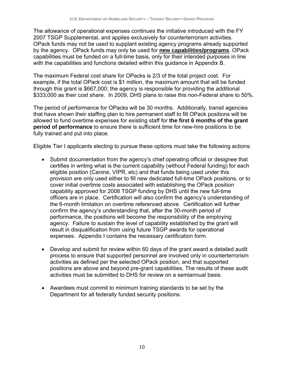The allowance of operational expenses continues the initiative introduced with the FY 2007 TSGP Supplemental, and applies exclusively for counterterrorism activities. OPack funds may not be used to supplant existing agency programs already supported by the agency. OPack funds may only be used for **new capabilities/programs**. OPack capabilities must be funded on a full-time basis, only for their intended purposes in line with the capabilities and functions detailed within this guidance in Appendix B.

The maximum Federal cost share for OPacks is 2/3 of the total project cost. For example, if the total OPack cost is \$1 million, the maximum amount that will be funded through this grant is \$667,000; the agency is responsible for providing the additional \$333,000 as their cost share. In 2009, DHS plans to raise this non-Federal share to 50%.

The period of performance for OPacks will be 30 months. Additionally, transit agencies that have shown their staffing plan to hire permanent staff to fill OPack positions will be allowed to fund overtime expenses for existing staff for **the first 6 months of the grant period of performance** to ensure there is sufficient time for new-hire positions to be fully trained and put into place.

Eligible Tier I applicants electing to pursue these options must take the following actions:

- Submit documentation from the agency's chief operating official or designee that certifies in writing what is the current capability (without Federal funding) for each eligible position (Canine, VIPR, etc) and that funds being used under this provision are only used either to fill new dedicated full-time OPack positions, or to cover initial overtime costs associated with establishing the OPack position capability approved for 2008 TSGP funding by DHS until the new full-time officers are in place. Certification will also confirm the agency's understanding of the 6-month limitation on overtime referenced above. Certification will further confirm the agency's understanding that, after the 30-month period of performance, the positions will become the responsibility of the employing agency. Failure to sustain the level of capability established by the grant will result in disqualification from using future TSGP awards for operational expenses. Appendix I contains the necessary certification form.
- Develop and submit for review within 60 days of the grant award a detailed audit process to ensure that supported personnel are involved only in counterterrorism activities as defined per the selected OPack position, and that supported positions are above and beyond pre-grant capabilities. The results of these audit activities must be submitted to DHS for review on a semiannual basis.
- Awardees must commit to minimum training standards to be set by the Department for all federally funded security positions.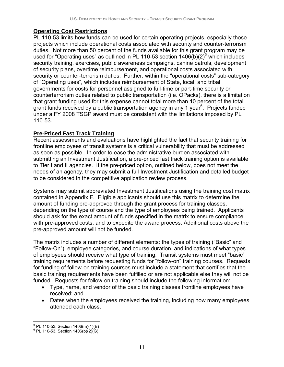#### **Operating Cost Restrictions**

PL 110-53 limits how funds can be used for certain operating projects, especially those projects which include operational costs associated with security and counter-terrorism duties. Not more than 50 percent of the funds available for this grant program may be used for "Operating uses" as outlined in PL 110-53 section  $1406(b)(2)^5$  which includes security training, exercises, public awareness campaigns, canine patrols, development of security plans, overtime reimbursement, and operational costs associated with security or counter-terrorism duties. Further, within the "operational costs" sub-category of "Operating uses", which includes reimbursement of State, local, and tribal governments for costs for personnel assigned to full-time or part-time security or counterterrorism duties related to public transportation (i.e. OPacks), there is a limitation that grant funding used for this expense cannot total more than 10 percent of the total grant funds received by a public transportation agency in any 1 year<sup>6</sup>. Projects funded under a FY 2008 TSGP award must be consistent with the limitations imposed by PL 110-53.

#### **Pre-Priced Fast Track Training**

Recent assessments and evaluations have highlighted the fact that security training for frontline employees of transit systems is a critical vulnerability that must be addressed as soon as possible. In order to ease the administrative burden associated with submitting an Investment Justification, a pre-priced fast track training option is available to Tier I and II agencies. If the pre-priced option, outlined below, does not meet the needs of an agency, they may submit a full Investment Justification and detailed budget to be considered in the competitive application review process.

Systems may submit abbreviated Investment Justifications using the training cost matrix contained in Appendix F. Eligible applicants should use this matrix to determine the amount of funding pre-approved through the grant process for training classes, depending on the type of course and the type of employees being trained. Applicants should ask for the exact amount of funds specified in the matrix to ensure compliance with pre-approved costs, and to expedite the award process. Additional costs above the pre-approved amount will not be funded.

The matrix includes a number of different elements: the types of training ("Basic" and "Follow-On"), employee categories, and course duration, and indications of what types of employees should receive what type of training. Transit systems must meet "basic" training requirements before requesting funds for "follow-on" training courses. Requests for funding of follow-on training courses must include a statement that certifies that the basic training requirements have been fulfilled or are not applicable else they will not be funded. Requests for follow-on training should include the following information:

- Type, name, and vendor of the basic training classes frontline employees have received; and
- Dates when the employees received the training, including how many employees attended each class.

<sup>-&</sup>lt;br><sup>5</sup> PL 110-53, Section 1406(m)(1)(B)<br><sup>6</sup> PL 110-53, Section 1406(b)(2)(G)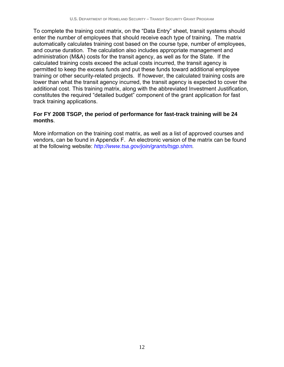To complete the training cost matrix, on the "Data Entry" sheet, transit systems should enter the number of employees that should receive each type of training. The matrix automatically calculates training cost based on the course type, number of employees, and course duration. The calculation also includes appropriate management and administration (M&A) costs for the transit agency, as well as for the State. If the calculated training costs exceed the actual costs incurred, the transit agency is permitted to keep the excess funds and put these funds toward additional employee training or other security-related projects. If however, the calculated training costs are lower than what the transit agency incurred, the transit agency is expected to cover the additional cost. This training matrix, along with the abbreviated Investment Justification, constitutes the required "detailed budget" component of the grant application for fast track training applications.

#### **For FY 2008 TSGP, the period of performance for fast-track training will be 24 months**.

More information on the training cost matrix, as well as a list of approved courses and vendors, can be found in Appendix F. An electronic version of the matrix can be found at the following website: *http://www.tsa.gov/join/grants/tsgp.shtm.*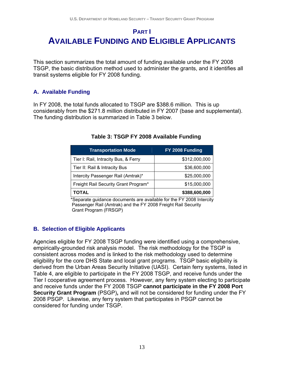### **PART I AVAILABLE FUNDING AND ELIGIBLE APPLICANTS**

This section summarizes the total amount of funding available under the FY 2008 TSGP, the basic distribution method used to administer the grants, and it identifies all transit systems eligible for FY 2008 funding.

#### **A. Available Funding**

In FY 2008, the total funds allocated to TSGP are \$388.6 million. This is up considerably from the \$271.8 million distributed in FY 2007 (base and supplemental). The funding distribution is summarized in Table 3 below.

| <b>Transportation Mode</b>           | FY 2008 Funding |
|--------------------------------------|-----------------|
| Tier I: Rail, Intracity Bus, & Ferry | \$312,000,000   |
| Tier II: Rail & Intracity Bus        | \$36,600,000    |
| Intercity Passenger Rail (Amtrak)*   | \$25,000,000    |
| Freight Rail Security Grant Program* | \$15,000,000    |
| <b>TOTAL</b>                         | \$388,600,000   |

#### **Table 3: TSGP FY 2008 Available Funding**

 \*Separate guidance documents are available for the FY 2008 Intercity Passenger Rail (Amtrak) and the FY 2008 Freight Rail Security Grant Program (FRSGP)

#### **B. Selection of Eligible Applicants**

Agencies eligible for FY 2008 TSGP funding were identified using a comprehensive, empirically-grounded risk analysis model. The risk methodology for the TSGP is consistent across modes and is linked to the risk methodology used to determine eligibility for the core DHS State and local grant programs. TSGP basic eligibility is derived from the Urban Areas Security Initiative (UASI). Certain ferry systems, listed in Table 4, are eligible to participate in the FY 2008 TSGP, and receive funds under the Tier I cooperative agreement process. However, any ferry system electing to participate and receive funds under the FY 2008 TSGP **cannot participate in the FY 2008 Port Security Grant Program** (PSGP)**,** and will not be considered for funding under the FY 2008 PSGP. Likewise, any ferry system that participates in PSGP cannot be considered for funding under TSGP.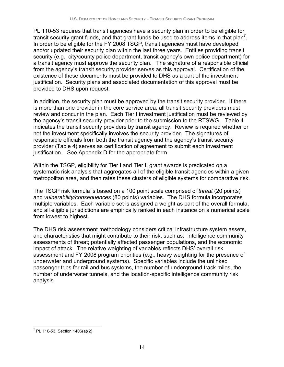PL 110-53 requires that transit agencies have a security plan in order to be eligible for transit security grant funds, and that grant funds be used to address items in that plan<sup>7</sup>. In order to be eligible for the FY 2008 TSGP, transit agencies must have developed and/or updated their security plan within the last three years. Entities providing transit security (e.g., city/county police department, transit agency's own police department) for a transit agency must approve the security plan. The signature of a responsible official from the agency's transit security provider serves as this approval. Certification of the existence of these documents must be provided to DHS as a part of the investment justification. Security plans and associated documentation of this approval must be provided to DHS upon request.

In addition, the security plan must be approved by the transit security provider. If there is more than one provider in the core service area, all transit security providers must review and concur in the plan. Each Tier I investment justification must be reviewed by the agency's transit security provider prior to the submission to the RTSWG. Table 4 indicates the transit security providers by transit agency. Review is required whether or not the investment specifically involves the security provider. The signatures of responsible officials from both the transit agency and the agency's transit security provider (Table 4) serves as certification of agreement to submit each investment justification. See Appendix D for the appropriate form

Within the TSGP, eligibility for Tier I and Tier II grant awards is predicated on a systematic risk analysis that aggregates all of the eligible transit agencies within a given metropolitan area, and then rates these clusters of eligible systems for comparative risk.

The TSGP risk formula is based on a 100 point scale comprised of *threat* (20 points) and *vulnerability/consequences* (80 points) variables. The DHS formula incorporates multiple variables. Each variable set is assigned a weight as part of the overall formula, and all eligible jurisdictions are empirically ranked in each instance on a numerical scale from lowest to highest.

The DHS risk assessment methodology considers critical infrastructure system assets, and characteristics that might contribute to their risk, such as: intelligence community assessments of threat; potentially affected passenger populations, and the economic impact of attack. The relative weighting of variables reflects DHS' overall risk assessment and FY 2008 program priorities (e.g., heavy weighting for the presence of underwater and underground systems). Specific variables include the unlinked passenger trips for rail and bus systems, the number of underground track miles, the number of underwater tunnels, and the location-specific intelligence community risk analysis.

 $\overline{a}$ <sup>7</sup> PL 110-53, Section 1406(a)(2)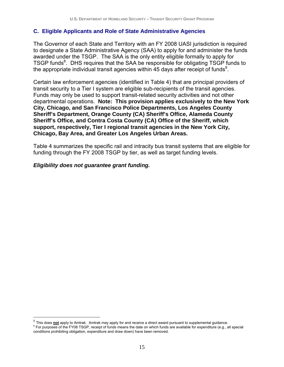#### **C. Eligible Applicants and Role of State Administrative Agencies**

The Governor of each State and Territory with an FY 2008 UASI jurisdiction is required to designate a State Administrative Agency (SAA) to apply for and administer the funds awarded under the TSGP. The SAA is the only entity eligible formally to apply for TSGP funds<sup>8</sup>. DHS requires that the SAA be responsible for obligating TSGP funds to the appropriate individual transit agencies within 45 days after receipt of funds<sup>9</sup>.

Certain law enforcement agencies (identified in Table 4) that are principal providers of transit security to a Tier I system are eligible sub-recipients of the transit agencies. Funds may only be used to support transit-related security activities and not other departmental operations. **Note: This provision applies exclusively to the New York City, Chicago, and San Francisco Police Departments, Los Angeles County Sheriff's Department, Orange County (CA) Sheriff's Office, Alameda County Sheriff's Office, and Contra Costa County (CA) Office of the Sheriff, which support, respectively, Tier I regional transit agencies in the New York City, Chicago, Bay Area, and Greater Los Angeles Urban Areas.** 

Table 4 summarizes the specific rail and intracity bus transit systems that are eligible for funding through the FY 2008 TSGP by tier, as well as target funding levels.

#### *Eligibility does not guarantee grant funding.*

 $\overline{a}$ 

<sup>&</sup>lt;sup>8</sup> This does not apply to Amtrak. Amtrak may apply for and receive a direct award pursuant to supplemental guidance. For purposes of the FY08 TSGP, receipt of funds means the date on which funds are available for expenditure (e.g., all special conditions prohibiting obligation, expenditure and draw down) have been removed.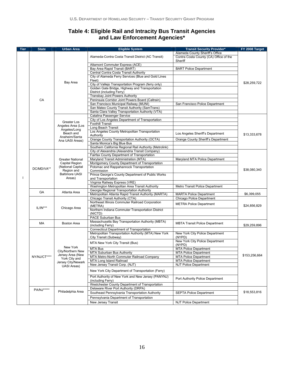#### **Table 4: Eligible Rail and Intracity Bus Transit Agencies and Law Enforcement Agencies\***

| <b>Tier</b> | <b>State</b> | <b>Urban Area</b>                                                                                              | <b>Eligible System</b>                                                               | <b>Transit Security Provider*</b>                 | FY 2008 Target |  |
|-------------|--------------|----------------------------------------------------------------------------------------------------------------|--------------------------------------------------------------------------------------|---------------------------------------------------|----------------|--|
|             |              |                                                                                                                |                                                                                      | Alameda County Sheriff's Office                   |                |  |
|             |              |                                                                                                                | Alameda-Contra Costa Transit District (AC Transit)                                   | Contra Costa County (CA) Office of the<br>Sheriff |                |  |
|             |              |                                                                                                                | Altamont Commuter Express (ACE)                                                      |                                                   |                |  |
|             |              |                                                                                                                | Bay Area Rapid Transit (BART)<br><b>BART Police Department</b>                       |                                                   |                |  |
|             |              |                                                                                                                | Central Contra Costa Transit Authority                                               |                                                   |                |  |
|             |              | Bay Area                                                                                                       | City of Alameda Ferry Services (Blue and Gold Lines<br>Fleet)                        |                                                   |                |  |
|             |              |                                                                                                                | City of Vallejo Transportation Program (ferry only)                                  |                                                   | \$28,259,722   |  |
|             |              |                                                                                                                | Golden Gate Bridge, Highway and Transportation                                       |                                                   |                |  |
|             |              |                                                                                                                | District (including Ferry)                                                           |                                                   |                |  |
|             | CA           |                                                                                                                | Transbay Joint Powers Authority<br>Peninsula Corridor Joint Powers Board (Caltrain)  |                                                   |                |  |
|             |              |                                                                                                                | San Francisco Municipal Railway (MUNI)                                               | San Francisco Police Department                   |                |  |
|             |              |                                                                                                                | San Mateo County Transit Authority (SamTrans)                                        |                                                   |                |  |
|             |              |                                                                                                                | Santa Clara Valley Transportation Authority (VTA)                                    |                                                   |                |  |
|             |              |                                                                                                                | Catalina Passenger Service                                                           |                                                   |                |  |
|             |              |                                                                                                                | City of Los Angeles Department of Transportation                                     |                                                   |                |  |
|             |              | Greater Los                                                                                                    | <b>Foothill Transit</b>                                                              |                                                   |                |  |
|             |              | Angeles Area (Los<br>Angeles/Long                                                                              | Long Beach Transit                                                                   |                                                   |                |  |
|             |              | Beach and                                                                                                      | Los Angeles County Metropolitan Transportation                                       | Los Angeles Sheriff's Department                  |                |  |
|             |              | Anaheim/Santa                                                                                                  | Authority                                                                            |                                                   | \$13,333,678   |  |
|             |              | Ana UASI Areas)                                                                                                | Orange County Transportation Authority (OCTA)                                        | Orange County Sheriff's Department                |                |  |
|             |              |                                                                                                                | Santa Monica's Big Blue Bus                                                          |                                                   |                |  |
|             |              |                                                                                                                | Southern California Regional Rail Authority (Metrolink)                              |                                                   |                |  |
|             |              |                                                                                                                | City of Alexandria (Alexandria Transit Company)                                      |                                                   |                |  |
|             |              |                                                                                                                | Fairfax County Department of Transportation<br>Maryland Transit Administration (MTA) | Maryland MTA Police Department                    |                |  |
|             |              | <b>Greater National</b><br>Capital Region<br>(National Capital                                                 | Montgomery County Department of Transportation                                       |                                                   |                |  |
|             |              |                                                                                                                | Potomac and Rappahannock Transportation                                              |                                                   |                |  |
|             | DC/MD/VA**   | Region and                                                                                                     | Commission                                                                           |                                                   | \$38,080,340   |  |
|             |              | <b>Baltimore UASI</b><br>Areas)                                                                                | Prince George's County Department of Public Works                                    |                                                   |                |  |
|             |              |                                                                                                                | and Transportation                                                                   |                                                   |                |  |
|             |              |                                                                                                                | Virginia Railway Express (VRE)                                                       |                                                   |                |  |
|             |              |                                                                                                                | Washington Metropolitan Area Transit Authority                                       | Metro Transit Police Department                   |                |  |
|             | GA           | Atlanta Area                                                                                                   | Georgia Regional Transportation Authority                                            |                                                   |                |  |
|             |              |                                                                                                                | Metropolitan Atlanta Rapid Transit Authority (MARTA)                                 | <b>MARTA Police Department</b>                    | \$6,399,055    |  |
|             | $IL/IN***$   | Chicago Area                                                                                                   | Chicago Transit Authority (CTA)<br>Northeast Illinois Commuter Railroad Corporation  | Chicago Police Department                         |                |  |
|             |              |                                                                                                                | (METRA)                                                                              | <b>METRA Police Department</b>                    | \$24,856,829   |  |
|             |              |                                                                                                                | Northern Indiana Commuter Transportation District                                    |                                                   |                |  |
|             |              |                                                                                                                | (NICTD)                                                                              |                                                   |                |  |
|             |              |                                                                                                                | PACE Suburban Bus                                                                    |                                                   |                |  |
|             | MA           | <b>Boston Area</b>                                                                                             | Massachusetts Bay Transportation Authority (MBTA)<br>(including Ferry)               | <b>MBTA Transit Police Department</b>             | \$29,259,896   |  |
|             |              |                                                                                                                | <b>Connecticut Department of Transportation</b>                                      |                                                   |                |  |
|             | NY/NJ/CT**** | New York<br>City/Northern New<br>Jersey Area (New<br>York City and<br>Jersey City/Newark<br><b>UASI Areas)</b> | Metropolitan Transportation Authority (MTA) New York                                 | New York City Police Department                   |                |  |
|             |              |                                                                                                                | City Transit (Subway)                                                                | (NYPD)<br>New York City Police Department         |                |  |
|             |              |                                                                                                                | MTA New York City Transit (Bus)<br>MTA Bus                                           | (NYPD)<br><b>MTA Police Department</b>            |                |  |
|             |              |                                                                                                                | MTA Suburban Bus Authority                                                           | <b>MTA Police Department</b>                      |                |  |
|             |              |                                                                                                                | MTA Metro-North Commuter Railroad Company                                            | <b>MTA Police Department</b>                      | \$153,256,664  |  |
|             |              |                                                                                                                | MTA Long Island Railroad                                                             | <b>MTA Police Department</b>                      |                |  |
|             |              |                                                                                                                | New Jersey Transit Corp. (NJT)                                                       | <b>NJT Police Department</b>                      |                |  |
|             |              |                                                                                                                | New York City Department of Transportation (Ferry)                                   |                                                   |                |  |
|             |              |                                                                                                                | Port Authority of New York and New Jersey (PANYNJ)<br>(including Ferry)              | Port Authority Police Department                  |                |  |
|             |              |                                                                                                                | Westchester County Department of Transportation                                      |                                                   |                |  |
|             | PA/NJ*****   | Philadelphia Area                                                                                              | Delaware River Port Authority (DRPA)                                                 |                                                   |                |  |
|             |              |                                                                                                                | Southeast Pennsylvania Transportation Authority                                      | <b>SEPTA Police Department</b>                    | \$18,553,816   |  |
|             |              |                                                                                                                | Pennsylvania Department of Transportation                                            |                                                   |                |  |
|             |              |                                                                                                                | New Jersey Transit                                                                   | NJT Police Department                             |                |  |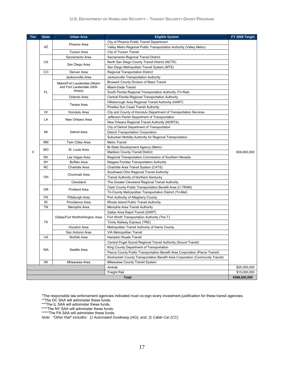#### **U.S. DEPARTMENT OF HOMELAND SECURITY – TRANSIT SECURITY GRANT PROGRAM**

| City of Phoenix Public Transit Department<br>Phoenix Area<br>AZ<br>Valley Metro Regional Public Transportation Authority (Valley Metro)<br><b>Tucson Area</b><br>City of Tucson Transit<br>Sacramento Regional Transit District<br>Sacramento Area<br>CA<br>North San Diego County Transit District (NCTD)<br>San Diego Area<br>San Diego Metropolitan Transit System (MTS)<br>CO<br>Denver Area<br>Regional Transportation District<br>Jacksonville Area<br>Jacksonville Transportation Authority<br>Broward County Division of Mass Transit<br>Miami/Fort Lauderdale (Miami<br>and Fort Lauderdale UASI<br>Miami-Dade Transit<br>Areas)<br>FL<br>South Florida Regional Transportation Authority (Tri-Rail)<br>Orlando Area<br>Central Florida Regional Transportation Authority<br>Hillsborough Area Regional Transit Authority (HART)<br>Tampa Area<br>Pinellas Sun Coast Transit Authority<br>Honolulu Area<br>HI<br>City and County of Honolulu Department of Transportation Services<br>Jefferson Parish Department of Transportation<br>LA<br>New Orleans Area<br>New Orleans Regional Transit Authority (NORTA)<br>City of Detroit Department of Transportation<br>MI<br>Detroit Area<br>Detroit Transportation Corporation<br>Suburban Mobility Authority for Regional Transportation<br><b>MN</b><br><b>Twin Cities Area</b><br>Metro Transit<br>Bi-State Development Agency (Metro)<br>МO<br>St. Louis Area<br>$\mathbf{I}$<br>\$36,600,000<br><b>Madison County Transit District</b><br><b>NV</b><br>Regional Transportation Commission of Southern Nevada<br>Las Vegas Area<br>NY<br><b>Buffalo Area</b><br>Niagara Frontier Transportation Authority<br><b>NC</b><br>Charlotte Area Transit System (CATS)<br><b>Charlotte Area</b><br>Southwest Ohio Regional Transit Authority<br>Cincinnati Area<br>OH<br>Transit Authority of Northern Kentucky<br>Cleveland<br>The Greater Cleveland Regional Transit Authority<br>Clark County Public Transportation Benefit Area (C-TRAN)<br>0R<br>Portland Area<br>Tri-County Metropolitan Transportation District (Tri-Met)<br>PA<br>Port Authority of Allegheny County<br>Pittsburgh Area<br>RI<br>Providence Area<br>Rhode Island Public Transit Authority<br>TN<br>Memphis Area Transit Authority<br>Memphis Area<br>Dallas Area Rapid Transit (DART) |
|-----------------------------------------------------------------------------------------------------------------------------------------------------------------------------------------------------------------------------------------------------------------------------------------------------------------------------------------------------------------------------------------------------------------------------------------------------------------------------------------------------------------------------------------------------------------------------------------------------------------------------------------------------------------------------------------------------------------------------------------------------------------------------------------------------------------------------------------------------------------------------------------------------------------------------------------------------------------------------------------------------------------------------------------------------------------------------------------------------------------------------------------------------------------------------------------------------------------------------------------------------------------------------------------------------------------------------------------------------------------------------------------------------------------------------------------------------------------------------------------------------------------------------------------------------------------------------------------------------------------------------------------------------------------------------------------------------------------------------------------------------------------------------------------------------------------------------------------------------------------------------------------------------------------------------------------------------------------------------------------------------------------------------------------------------------------------------------------------------------------------------------------------------------------------------------------------------------------------------------------------------------------------------------------------------------------|
|                                                                                                                                                                                                                                                                                                                                                                                                                                                                                                                                                                                                                                                                                                                                                                                                                                                                                                                                                                                                                                                                                                                                                                                                                                                                                                                                                                                                                                                                                                                                                                                                                                                                                                                                                                                                                                                                                                                                                                                                                                                                                                                                                                                                                                                                                                                 |
|                                                                                                                                                                                                                                                                                                                                                                                                                                                                                                                                                                                                                                                                                                                                                                                                                                                                                                                                                                                                                                                                                                                                                                                                                                                                                                                                                                                                                                                                                                                                                                                                                                                                                                                                                                                                                                                                                                                                                                                                                                                                                                                                                                                                                                                                                                                 |
|                                                                                                                                                                                                                                                                                                                                                                                                                                                                                                                                                                                                                                                                                                                                                                                                                                                                                                                                                                                                                                                                                                                                                                                                                                                                                                                                                                                                                                                                                                                                                                                                                                                                                                                                                                                                                                                                                                                                                                                                                                                                                                                                                                                                                                                                                                                 |
|                                                                                                                                                                                                                                                                                                                                                                                                                                                                                                                                                                                                                                                                                                                                                                                                                                                                                                                                                                                                                                                                                                                                                                                                                                                                                                                                                                                                                                                                                                                                                                                                                                                                                                                                                                                                                                                                                                                                                                                                                                                                                                                                                                                                                                                                                                                 |
|                                                                                                                                                                                                                                                                                                                                                                                                                                                                                                                                                                                                                                                                                                                                                                                                                                                                                                                                                                                                                                                                                                                                                                                                                                                                                                                                                                                                                                                                                                                                                                                                                                                                                                                                                                                                                                                                                                                                                                                                                                                                                                                                                                                                                                                                                                                 |
|                                                                                                                                                                                                                                                                                                                                                                                                                                                                                                                                                                                                                                                                                                                                                                                                                                                                                                                                                                                                                                                                                                                                                                                                                                                                                                                                                                                                                                                                                                                                                                                                                                                                                                                                                                                                                                                                                                                                                                                                                                                                                                                                                                                                                                                                                                                 |
|                                                                                                                                                                                                                                                                                                                                                                                                                                                                                                                                                                                                                                                                                                                                                                                                                                                                                                                                                                                                                                                                                                                                                                                                                                                                                                                                                                                                                                                                                                                                                                                                                                                                                                                                                                                                                                                                                                                                                                                                                                                                                                                                                                                                                                                                                                                 |
|                                                                                                                                                                                                                                                                                                                                                                                                                                                                                                                                                                                                                                                                                                                                                                                                                                                                                                                                                                                                                                                                                                                                                                                                                                                                                                                                                                                                                                                                                                                                                                                                                                                                                                                                                                                                                                                                                                                                                                                                                                                                                                                                                                                                                                                                                                                 |
|                                                                                                                                                                                                                                                                                                                                                                                                                                                                                                                                                                                                                                                                                                                                                                                                                                                                                                                                                                                                                                                                                                                                                                                                                                                                                                                                                                                                                                                                                                                                                                                                                                                                                                                                                                                                                                                                                                                                                                                                                                                                                                                                                                                                                                                                                                                 |
|                                                                                                                                                                                                                                                                                                                                                                                                                                                                                                                                                                                                                                                                                                                                                                                                                                                                                                                                                                                                                                                                                                                                                                                                                                                                                                                                                                                                                                                                                                                                                                                                                                                                                                                                                                                                                                                                                                                                                                                                                                                                                                                                                                                                                                                                                                                 |
|                                                                                                                                                                                                                                                                                                                                                                                                                                                                                                                                                                                                                                                                                                                                                                                                                                                                                                                                                                                                                                                                                                                                                                                                                                                                                                                                                                                                                                                                                                                                                                                                                                                                                                                                                                                                                                                                                                                                                                                                                                                                                                                                                                                                                                                                                                                 |
|                                                                                                                                                                                                                                                                                                                                                                                                                                                                                                                                                                                                                                                                                                                                                                                                                                                                                                                                                                                                                                                                                                                                                                                                                                                                                                                                                                                                                                                                                                                                                                                                                                                                                                                                                                                                                                                                                                                                                                                                                                                                                                                                                                                                                                                                                                                 |
|                                                                                                                                                                                                                                                                                                                                                                                                                                                                                                                                                                                                                                                                                                                                                                                                                                                                                                                                                                                                                                                                                                                                                                                                                                                                                                                                                                                                                                                                                                                                                                                                                                                                                                                                                                                                                                                                                                                                                                                                                                                                                                                                                                                                                                                                                                                 |
|                                                                                                                                                                                                                                                                                                                                                                                                                                                                                                                                                                                                                                                                                                                                                                                                                                                                                                                                                                                                                                                                                                                                                                                                                                                                                                                                                                                                                                                                                                                                                                                                                                                                                                                                                                                                                                                                                                                                                                                                                                                                                                                                                                                                                                                                                                                 |
|                                                                                                                                                                                                                                                                                                                                                                                                                                                                                                                                                                                                                                                                                                                                                                                                                                                                                                                                                                                                                                                                                                                                                                                                                                                                                                                                                                                                                                                                                                                                                                                                                                                                                                                                                                                                                                                                                                                                                                                                                                                                                                                                                                                                                                                                                                                 |
|                                                                                                                                                                                                                                                                                                                                                                                                                                                                                                                                                                                                                                                                                                                                                                                                                                                                                                                                                                                                                                                                                                                                                                                                                                                                                                                                                                                                                                                                                                                                                                                                                                                                                                                                                                                                                                                                                                                                                                                                                                                                                                                                                                                                                                                                                                                 |
|                                                                                                                                                                                                                                                                                                                                                                                                                                                                                                                                                                                                                                                                                                                                                                                                                                                                                                                                                                                                                                                                                                                                                                                                                                                                                                                                                                                                                                                                                                                                                                                                                                                                                                                                                                                                                                                                                                                                                                                                                                                                                                                                                                                                                                                                                                                 |
|                                                                                                                                                                                                                                                                                                                                                                                                                                                                                                                                                                                                                                                                                                                                                                                                                                                                                                                                                                                                                                                                                                                                                                                                                                                                                                                                                                                                                                                                                                                                                                                                                                                                                                                                                                                                                                                                                                                                                                                                                                                                                                                                                                                                                                                                                                                 |
|                                                                                                                                                                                                                                                                                                                                                                                                                                                                                                                                                                                                                                                                                                                                                                                                                                                                                                                                                                                                                                                                                                                                                                                                                                                                                                                                                                                                                                                                                                                                                                                                                                                                                                                                                                                                                                                                                                                                                                                                                                                                                                                                                                                                                                                                                                                 |
|                                                                                                                                                                                                                                                                                                                                                                                                                                                                                                                                                                                                                                                                                                                                                                                                                                                                                                                                                                                                                                                                                                                                                                                                                                                                                                                                                                                                                                                                                                                                                                                                                                                                                                                                                                                                                                                                                                                                                                                                                                                                                                                                                                                                                                                                                                                 |
|                                                                                                                                                                                                                                                                                                                                                                                                                                                                                                                                                                                                                                                                                                                                                                                                                                                                                                                                                                                                                                                                                                                                                                                                                                                                                                                                                                                                                                                                                                                                                                                                                                                                                                                                                                                                                                                                                                                                                                                                                                                                                                                                                                                                                                                                                                                 |
|                                                                                                                                                                                                                                                                                                                                                                                                                                                                                                                                                                                                                                                                                                                                                                                                                                                                                                                                                                                                                                                                                                                                                                                                                                                                                                                                                                                                                                                                                                                                                                                                                                                                                                                                                                                                                                                                                                                                                                                                                                                                                                                                                                                                                                                                                                                 |
|                                                                                                                                                                                                                                                                                                                                                                                                                                                                                                                                                                                                                                                                                                                                                                                                                                                                                                                                                                                                                                                                                                                                                                                                                                                                                                                                                                                                                                                                                                                                                                                                                                                                                                                                                                                                                                                                                                                                                                                                                                                                                                                                                                                                                                                                                                                 |
|                                                                                                                                                                                                                                                                                                                                                                                                                                                                                                                                                                                                                                                                                                                                                                                                                                                                                                                                                                                                                                                                                                                                                                                                                                                                                                                                                                                                                                                                                                                                                                                                                                                                                                                                                                                                                                                                                                                                                                                                                                                                                                                                                                                                                                                                                                                 |
|                                                                                                                                                                                                                                                                                                                                                                                                                                                                                                                                                                                                                                                                                                                                                                                                                                                                                                                                                                                                                                                                                                                                                                                                                                                                                                                                                                                                                                                                                                                                                                                                                                                                                                                                                                                                                                                                                                                                                                                                                                                                                                                                                                                                                                                                                                                 |
|                                                                                                                                                                                                                                                                                                                                                                                                                                                                                                                                                                                                                                                                                                                                                                                                                                                                                                                                                                                                                                                                                                                                                                                                                                                                                                                                                                                                                                                                                                                                                                                                                                                                                                                                                                                                                                                                                                                                                                                                                                                                                                                                                                                                                                                                                                                 |
|                                                                                                                                                                                                                                                                                                                                                                                                                                                                                                                                                                                                                                                                                                                                                                                                                                                                                                                                                                                                                                                                                                                                                                                                                                                                                                                                                                                                                                                                                                                                                                                                                                                                                                                                                                                                                                                                                                                                                                                                                                                                                                                                                                                                                                                                                                                 |
|                                                                                                                                                                                                                                                                                                                                                                                                                                                                                                                                                                                                                                                                                                                                                                                                                                                                                                                                                                                                                                                                                                                                                                                                                                                                                                                                                                                                                                                                                                                                                                                                                                                                                                                                                                                                                                                                                                                                                                                                                                                                                                                                                                                                                                                                                                                 |
|                                                                                                                                                                                                                                                                                                                                                                                                                                                                                                                                                                                                                                                                                                                                                                                                                                                                                                                                                                                                                                                                                                                                                                                                                                                                                                                                                                                                                                                                                                                                                                                                                                                                                                                                                                                                                                                                                                                                                                                                                                                                                                                                                                                                                                                                                                                 |
|                                                                                                                                                                                                                                                                                                                                                                                                                                                                                                                                                                                                                                                                                                                                                                                                                                                                                                                                                                                                                                                                                                                                                                                                                                                                                                                                                                                                                                                                                                                                                                                                                                                                                                                                                                                                                                                                                                                                                                                                                                                                                                                                                                                                                                                                                                                 |
|                                                                                                                                                                                                                                                                                                                                                                                                                                                                                                                                                                                                                                                                                                                                                                                                                                                                                                                                                                                                                                                                                                                                                                                                                                                                                                                                                                                                                                                                                                                                                                                                                                                                                                                                                                                                                                                                                                                                                                                                                                                                                                                                                                                                                                                                                                                 |
|                                                                                                                                                                                                                                                                                                                                                                                                                                                                                                                                                                                                                                                                                                                                                                                                                                                                                                                                                                                                                                                                                                                                                                                                                                                                                                                                                                                                                                                                                                                                                                                                                                                                                                                                                                                                                                                                                                                                                                                                                                                                                                                                                                                                                                                                                                                 |
|                                                                                                                                                                                                                                                                                                                                                                                                                                                                                                                                                                                                                                                                                                                                                                                                                                                                                                                                                                                                                                                                                                                                                                                                                                                                                                                                                                                                                                                                                                                                                                                                                                                                                                                                                                                                                                                                                                                                                                                                                                                                                                                                                                                                                                                                                                                 |
|                                                                                                                                                                                                                                                                                                                                                                                                                                                                                                                                                                                                                                                                                                                                                                                                                                                                                                                                                                                                                                                                                                                                                                                                                                                                                                                                                                                                                                                                                                                                                                                                                                                                                                                                                                                                                                                                                                                                                                                                                                                                                                                                                                                                                                                                                                                 |
|                                                                                                                                                                                                                                                                                                                                                                                                                                                                                                                                                                                                                                                                                                                                                                                                                                                                                                                                                                                                                                                                                                                                                                                                                                                                                                                                                                                                                                                                                                                                                                                                                                                                                                                                                                                                                                                                                                                                                                                                                                                                                                                                                                                                                                                                                                                 |
| Dallas/Fort Worth/Arlington Area<br>Fort Worth Transportation Authority (The T)                                                                                                                                                                                                                                                                                                                                                                                                                                                                                                                                                                                                                                                                                                                                                                                                                                                                                                                                                                                                                                                                                                                                                                                                                                                                                                                                                                                                                                                                                                                                                                                                                                                                                                                                                                                                                                                                                                                                                                                                                                                                                                                                                                                                                                 |
| <b>TX</b><br>Trinity Railway Express (TRE)                                                                                                                                                                                                                                                                                                                                                                                                                                                                                                                                                                                                                                                                                                                                                                                                                                                                                                                                                                                                                                                                                                                                                                                                                                                                                                                                                                                                                                                                                                                                                                                                                                                                                                                                                                                                                                                                                                                                                                                                                                                                                                                                                                                                                                                                      |
| <b>Houston Area</b><br>Metropolitan Transit Authority of Harris County                                                                                                                                                                                                                                                                                                                                                                                                                                                                                                                                                                                                                                                                                                                                                                                                                                                                                                                                                                                                                                                                                                                                                                                                                                                                                                                                                                                                                                                                                                                                                                                                                                                                                                                                                                                                                                                                                                                                                                                                                                                                                                                                                                                                                                          |
| San Antonio Area<br>VIA Metropolitan Transit                                                                                                                                                                                                                                                                                                                                                                                                                                                                                                                                                                                                                                                                                                                                                                                                                                                                                                                                                                                                                                                                                                                                                                                                                                                                                                                                                                                                                                                                                                                                                                                                                                                                                                                                                                                                                                                                                                                                                                                                                                                                                                                                                                                                                                                                    |
| VA<br>Norfolk Area<br>Hampton Roads Transit                                                                                                                                                                                                                                                                                                                                                                                                                                                                                                                                                                                                                                                                                                                                                                                                                                                                                                                                                                                                                                                                                                                                                                                                                                                                                                                                                                                                                                                                                                                                                                                                                                                                                                                                                                                                                                                                                                                                                                                                                                                                                                                                                                                                                                                                     |
| Central Puget Sound Regional Transit Authority (Sound Transit)                                                                                                                                                                                                                                                                                                                                                                                                                                                                                                                                                                                                                                                                                                                                                                                                                                                                                                                                                                                                                                                                                                                                                                                                                                                                                                                                                                                                                                                                                                                                                                                                                                                                                                                                                                                                                                                                                                                                                                                                                                                                                                                                                                                                                                                  |
| King County Department of Transportation                                                                                                                                                                                                                                                                                                                                                                                                                                                                                                                                                                                                                                                                                                                                                                                                                                                                                                                                                                                                                                                                                                                                                                                                                                                                                                                                                                                                                                                                                                                                                                                                                                                                                                                                                                                                                                                                                                                                                                                                                                                                                                                                                                                                                                                                        |
| WA<br>Seattle Area<br>Pierce County Public Transportation Benefit Area Corporation (Pierce Transit)                                                                                                                                                                                                                                                                                                                                                                                                                                                                                                                                                                                                                                                                                                                                                                                                                                                                                                                                                                                                                                                                                                                                                                                                                                                                                                                                                                                                                                                                                                                                                                                                                                                                                                                                                                                                                                                                                                                                                                                                                                                                                                                                                                                                             |
|                                                                                                                                                                                                                                                                                                                                                                                                                                                                                                                                                                                                                                                                                                                                                                                                                                                                                                                                                                                                                                                                                                                                                                                                                                                                                                                                                                                                                                                                                                                                                                                                                                                                                                                                                                                                                                                                                                                                                                                                                                                                                                                                                                                                                                                                                                                 |
| Snohomish County Transportation Benefit Area Corporation (Community Transit)                                                                                                                                                                                                                                                                                                                                                                                                                                                                                                                                                                                                                                                                                                                                                                                                                                                                                                                                                                                                                                                                                                                                                                                                                                                                                                                                                                                                                                                                                                                                                                                                                                                                                                                                                                                                                                                                                                                                                                                                                                                                                                                                                                                                                                    |
| Milwaukee County Transit System<br>WI<br>Milwaukee Area                                                                                                                                                                                                                                                                                                                                                                                                                                                                                                                                                                                                                                                                                                                                                                                                                                                                                                                                                                                                                                                                                                                                                                                                                                                                                                                                                                                                                                                                                                                                                                                                                                                                                                                                                                                                                                                                                                                                                                                                                                                                                                                                                                                                                                                         |
| Amtrak<br>\$25,000,000<br>Freight Rail<br>\$15,000,000                                                                                                                                                                                                                                                                                                                                                                                                                                                                                                                                                                                                                                                                                                                                                                                                                                                                                                                                                                                                                                                                                                                                                                                                                                                                                                                                                                                                                                                                                                                                                                                                                                                                                                                                                                                                                                                                                                                                                                                                                                                                                                                                                                                                                                                          |
| <b>Total</b><br>\$388,600,000                                                                                                                                                                                                                                                                                                                                                                                                                                                                                                                                                                                                                                                                                                                                                                                                                                                                                                                                                                                                                                                                                                                                                                                                                                                                                                                                                                                                                                                                                                                                                                                                                                                                                                                                                                                                                                                                                                                                                                                                                                                                                                                                                                                                                                                                                   |

\*The responsible law enforcement agencies indicated must co-sign every investment justification for these transit agencies.

\*\*\*The IL SAA will administer these funds.

\*\*\*\*The NY SAA will administer these funds.

\*\*\*\*\*The PA SAA will administer these funds.

*Note: "Other Rail" includes: 1) Automated Guideway (AG); and, 2) Cable Car (CC)* 

<sup>\*\*</sup>The DC SAA will administer these funds.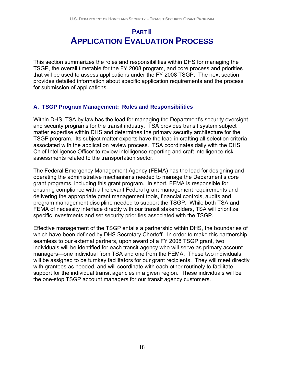### **PART II APPLICATION EVALUATION PROCESS**

This section summarizes the roles and responsibilities within DHS for managing the TSGP, the overall timetable for the FY 2008 program, and core process and priorities that will be used to assess applications under the FY 2008 TSGP. The next section provides detailed information about specific application requirements and the process for submission of applications.

#### **A. TSGP Program Management: Roles and Responsibilities**

Within DHS, TSA by law has the lead for managing the Department's security oversight and security programs for the transit industry. TSA provides transit system subject matter expertise within DHS and determines the primary security architecture for the TSGP program. Its subject matter experts have the lead in crafting all selection criteria associated with the application review process. TSA coordinates daily with the DHS Chief Intelligence Officer to review intelligence reporting and craft intelligence risk assessments related to the transportation sector.

The Federal Emergency Management Agency (FEMA) has the lead for designing and operating the administrative mechanisms needed to manage the Department's core grant programs, including this grant program. In short, FEMA is responsible for ensuring compliance with all relevant Federal grant management requirements and delivering the appropriate grant management tools, financial controls, audits and program management discipline needed to support the TSGP. While both TSA and FEMA of necessity interface directly with our transit stakeholders, TSA will prioritize specific investments and set security priorities associated with the TSGP.

Effective management of the TSGP entails a partnership within DHS, the boundaries of which have been defined by DHS Secretary Chertoff. In order to make this partnership seamless to our external partners, upon award of a FY 2008 TSGP grant, two individuals will be identified for each transit agency who will serve as primary account managers—one individual from TSA and one from the FEMA. These two individuals will be assigned to be turnkey facilitators for our grant recipients. They will meet directly with grantees as needed, and will coordinate with each other routinely to facilitate support for the individual transit agencies in a given region. These individuals will be the one-stop TSGP account managers for our transit agency customers.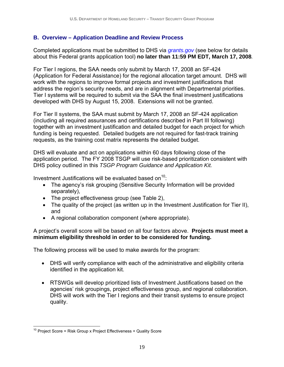#### **B. Overview – Application Deadline and Review Process**

Completed applications must be submitted to DHS via *grants.gov* (see below for details about this Federal grants application tool) **no later than 11:59 PM EDT, March 17, 2008***.* 

For Tier I regions, the SAA needs only submit by March 17, 2008 an SF-424 (Application for Federal Assistance) for the regional allocation target amount. DHS will work with the regions to improve formal projects and investment justifications that address the region's security needs, and are in alignment with Departmental priorities. Tier I systems will be required to submit via the SAA the final investment justifications developed with DHS by August 15, 2008. Extensions will not be granted.

For Tier II systems, the SAA must submit by March 17, 2008 an SF-424 application (including all required assurances and certifications described in Part III following) together with an investment justification and detailed budget for each project for which funding is being requested. Detailed budgets are not required for fast-track training requests, as the training cost matrix represents the detailed budget.

DHS will evaluate and act on applications within 60 days following close of the application period. The FY 2008 TSGP will use risk-based prioritization consistent with DHS policy outlined in this *TSGP Program Guidance and Application Kit.*

Investment Justifications will be evaluated based on $10$ :

- The agency's risk grouping (Sensitive Security Information will be provided separately),
- The project effectiveness group (see Table 2),
- The quality of the project (as written up in the Investment Justification for Tier II), and
- A regional collaboration component (where appropriate).

A project's overall score will be based on all four factors above. **Projects must meet a minimum eligibility threshold in order to be considered for funding.**

The following process will be used to make awards for the program:

- DHS will verify compliance with each of the administrative and eligibility criteria identified in the application kit.
- RTSWGs will develop prioritized lists of Investment Justifications based on the agencies' risk groupings, project effectiveness group, and regional collaboration. DHS will work with the Tier I regions and their transit systems to ensure project quality.

 $\overline{a}$  $10$  Project Score = Risk Group x Project Effectiveness + Quality Score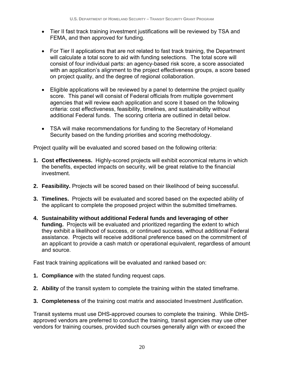- Tier II fast track training investment justifications will be reviewed by TSA and FEMA, and then approved for funding.
- For Tier II applications that are not related to fast track training, the Department will calculate a total score to aid with funding selections. The total score will consist of four individual parts: an agency-based risk score, a score associated with an application's alignment to the project effectiveness groups, a score based on project quality, and the degree of regional collaboration.
- Eligible applications will be reviewed by a panel to determine the project quality score. This panel will consist of Federal officials from multiple government agencies that will review each application and score it based on the following criteria: cost effectiveness, feasibility, timelines, and sustainability without additional Federal funds. The scoring criteria are outlined in detail below.
- TSA will make recommendations for funding to the Secretary of Homeland Security based on the funding priorities and scoring methodology.

Project quality will be evaluated and scored based on the following criteria:

- **1. Cost effectiveness.** Highly-scored projects will exhibit economical returns in which the benefits, expected impacts on security, will be great relative to the financial investment.
- **2. Feasibility.** Projects will be scored based on their likelihood of being successful.
- **3. Timelines.** Projects will be evaluated and scored based on the expected ability of the applicant to complete the proposed project within the submitted timeframes.
- **4. Sustainability without additional Federal funds and leveraging of other funding.** Projects will be evaluated and prioritized regarding the extent to which they exhibit a likelihood of success, or continued success, without additional Federal assistance. Projects will receive additional preference based on the commitment of an applicant to provide a cash match or operational equivalent, regardless of amount and source.

Fast track training applications will be evaluated and ranked based on:

- **1. Compliance** with the stated funding request caps.
- **2. Ability** of the transit system to complete the training within the stated timeframe.
- **3. Completeness** of the training cost matrix and associated Investment Justification.

Transit systems must use DHS-approved courses to complete the training. While DHSapproved vendors are preferred to conduct the training, transit agencies may use other vendors for training courses, provided such courses generally align with or exceed the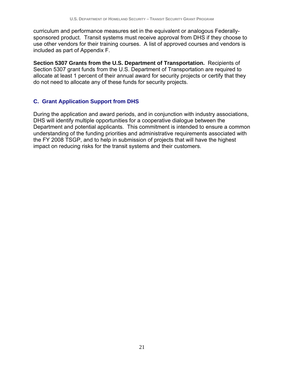curriculum and performance measures set in the equivalent or analogous Federallysponsored product. Transit systems must receive approval from DHS if they choose to use other vendors for their training courses. A list of approved courses and vendors is included as part of Appendix F.

**Section 5307 Grants from the U.S. Department of Transportation.** Recipients of Section 5307 grant funds from the U.S. Department of Transportation are required to allocate at least 1 percent of their annual award for security projects or certify that they do not need to allocate any of these funds for security projects.

#### **C. Grant Application Support from DHS**

During the application and award periods, and in conjunction with industry associations, DHS will identify multiple opportunities for a cooperative dialogue between the Department and potential applicants. This commitment is intended to ensure a common understanding of the funding priorities and administrative requirements associated with the FY 2008 TSGP, and to help in submission of projects that will have the highest impact on reducing risks for the transit systems and their customers.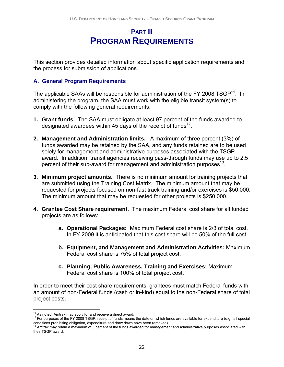### **PART III PROGRAM REQUIREMENTS**

This section provides detailed information about specific application requirements and the process for submission of applications.

#### **A. General Program Requirements**

The applicable SAAs will be responsible for administration of the FY 2008  $TSGP<sup>11</sup>$ . In administering the program, the SAA must work with the eligible transit system(s) to comply with the following general requirements:

- **1. Grant funds.** The SAA must obligate at least 97 percent of the funds awarded to designated awardees within 45 days of the receipt of funds<sup>12</sup>.
- **2. Management and Administration limits.** A maximum of three percent (3%) of funds awarded may be retained by the SAA, and any funds retained are to be used solely for management and administrative purposes associated with the TSGP award. In addition, transit agencies receiving pass-through funds may use up to 2.5 percent of their sub-award for management and administration purposes $^{13}$ .
- **3. Minimum project amounts**. There is no minimum amount for training projects that are submitted using the Training Cost Matrix. The minimum amount that may be requested for projects focused on non-fast track training and/or exercises is \$50,000. The minimum amount that may be requested for other projects is \$250,000.
- **4. Grantee Cost Share requirement.** The maximum Federal cost share for all funded projects are as follows:
	- **a. Operational Packages:** Maximum Federal cost share is 2/3 of total cost. In FY 2009 it is anticipated that this cost share will be 50% of the full cost.
	- **b. Equipment, and Management and Administration Activities:** Maximum Federal cost share is 75% of total project cost.
	- **c. Planning, Public Awareness, Training and Exercises:** Maximum Federal cost share is 100% of total project cost.

In order to meet their cost share requirements, grantees must match Federal funds with an amount of non-Federal funds (cash or in-kind) equal to the non-Federal share of total project costs.

 $11$  As noted. Amtrak may apply for and receive a direct award.

<sup>&</sup>lt;sup>12</sup> For purposes of the FY 2008 TSGP, receipt of funds means the date on which funds are available for expenditure (e.g., all special conditions prohibiting obligation, expenditure and draw down have been removed).<br><sup>13</sup> Amtrak may retain a maximum of 3 percent of the funds awarded for management and administrative purposes associated with

their TSGP award.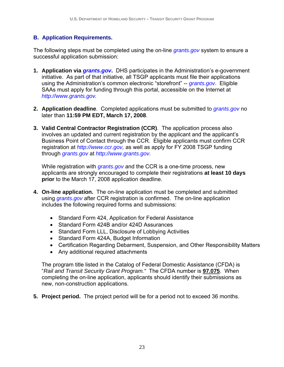#### **B. Application Requirements.**

The following steps must be completed using the on-line *grants.gov* system to ensure a successful application submission:

- **1. Application via** *grants.gov***.** DHS participates in the Administration's e-government initiative. As part of that initiative, all TSGP applicants must file their applications using the Administration's common electronic "storefront" -- *grants.gov*. Eligible SAAs must apply for funding through this portal, accessible on the Internet at *http://www.grants.gov.*
- **2. Application deadline**. Completed applications must be submitted to *grants.gov* no later than **11:59 PM EDT, March 17, 2008**.
- **3. Valid Central Contractor Registration (CCR)**. The application process also involves an updated and current registration by the applicant and the applicant's Business Point of Contact through the CCR. Eligible applicants must confirm CCR registration at *http://www.ccr.gov,* as well as apply for FY 2008 TSGP funding through *grants.gov* at *http://www.grants.gov.*

While registration with *grants.gov* and the CCR is a one-time process, new applicants are strongly encouraged to complete their registrations **at least 10 days prior** to the March 17, 2008 application deadline.

- **4. On-line application.** The on-line application must be completed and submitted using *grants.gov* after CCR registration is confirmed. The on-line application includes the following required forms and submissions:
	- Standard Form 424, Application for Federal Assistance
	- Standard Form 424B and/or 424D Assurances
	- Standard Form LLL, Disclosure of Lobbying Activities
	- Standard Form 424A, Budget Information
	- Certification Regarding Debarment, Suspension, and Other Responsibility Matters
	- Any additional required attachments

The program title listed in the Catalog of Federal Domestic Assistance (CFDA) is "*Rail and Transit Security Grant Program."* The CFDA number is **97.075**. When completing the on-line application, applicants should identify their submissions as new, non-construction applications.

**5. Project period.** The project period will be for a period not to exceed 36 months.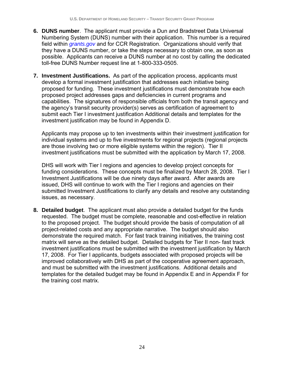- **6. DUNS number**. The applicant must provide a Dun and Bradstreet Data Universal Numbering System (DUNS) number with their application. This number is a required field within *grants.gov* and for CCR Registration. Organizations should verify that they have a DUNS number, or take the steps necessary to obtain one, as soon as possible. Applicants can receive a DUNS number at no cost by calling the dedicated toll-free DUNS Number request line at 1-800-333-0505.
- **7. Investment Justifications.** As part of the application process, applicants must develop a formal investment justification that addresses each initiative being proposed for funding. These investment justifications must demonstrate how each proposed project addresses gaps and deficiencies in current programs and capabilities. The signatures of responsible officials from both the transit agency and the agency's transit security provider(s) serves as certification of agreement to submit each Tier I investment justification Additional details and templates for the investment justification may be found in Appendix D.

Applicants may propose up to ten investments within their investment justification for individual systems and up to five investments for regional projects (regional projects are those involving two or more eligible systems within the region). Tier II investment justifications must be submitted with the application by March 17, 2008.

DHS will work with Tier I regions and agencies to develop project concepts for funding considerations. These concepts must be finalized by March 28, 2008. Tier I Investment Justifications will be due ninety days after award. After awards are issued, DHS will continue to work with the Tier I regions and agencies on their submitted Investment Justifications to clarify any details and resolve any outstanding issues, as necessary.

**8. Detailed budget**. The applicant must also provide a detailed budget for the funds requested. The budget must be complete, reasonable and cost-effective in relation to the proposed project. The budget should provide the basis of computation of all project-related costs and any appropriate narrative. The budget should also demonstrate the required match. For fast track training initiatives, the training cost matrix will serve as the detailed budget. Detailed budgets for Tier II non- fast track investment justifications must be submitted with the investment justification by March 17, 2008. For Tier I applicants, budgets associated with proposed projects will be improved collaboratively with DHS as part of the cooperative agreement approach, and must be submitted with the investment justifications. Additional details and templates for the detailed budget may be found in Appendix E and in Appendix F for the training cost matrix.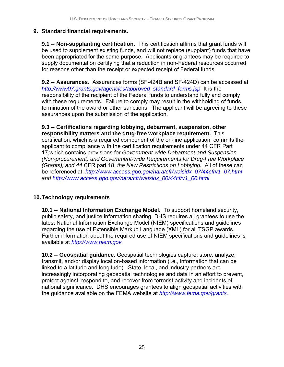#### **9. Standard financial requirements.**

**9.1 -- Non-supplanting certification.** This certification affirms that grant funds will be used to supplement existing funds, and will not replace (supplant) funds that have been appropriated for the same purpose. Applicants or grantees may be required to supply documentation certifying that a reduction in non-Federal resources occurred for reasons other than the receipt or expected receipt of Federal funds.

**9.2 -- Assurances.** Assurances forms (SF-424B and SF-424D) can be accessed at *http://www07.grants.gov/agencies/approved\_standard\_forms.jsp* It is the responsibility of the recipient of the Federal funds to understand fully and comply with these requirements. Failure to comply may result in the withholding of funds, termination of the award or other sanctions. The applicant will be agreeing to these assurances upon the submission of the application.

**9.3 -- Certifications regarding lobbying, debarment, suspension, other responsibility matters and the drug-free workplace requirement.** This certification, which is a required component of the on-line application, commits the applicant to compliance with the certification requirements under 44 CFR Part 17,which contains provisions for *Government-wide Debarment and Suspension (Non-procurement) and Government-wide Requirements for Drug-Free Workplace (Grants); and 44* CFR part 18, *the New Restrictions on Lobbying.* All of these can be referenced at: *http://www.access.gpo.gov/nara/cfr/waisidx\_07/44cfrv1\_07.html and http://www.access.gpo.gov/nara/cfr/waisidx\_00/44cfrv1\_00.html*

#### **10. Technology requirements**

**10.1 -- National Information Exchange Model.** To support homeland security, public safety, and justice information sharing, DHS requires all grantees to use the latest National Information Exchange Model (NIEM) specifications and guidelines regarding the use of Extensible Markup Language (XML) for all TSGP awards. Further information about the required use of NIEM specifications and guidelines is available at *http://www.niem.gov.* 

**10.2 -- Geospatial guidance.** Geospatial technologies capture, store, analyze, transmit, and/or display location-based information (i.e., information that can be linked to a latitude and longitude). State, local, and industry partners are increasingly incorporating geospatial technologies and data in an effort to prevent, protect against, respond to, and recover from terrorist activity and incidents of national significance. DHS encourages grantees to align geospatial activities with the guidance available on the FEMA website at *http://www.fema.gov/grants.*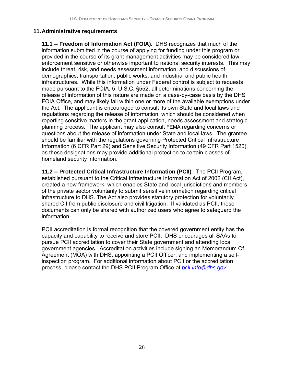#### **11. Administrative requirements**

**11.1 -- Freedom of Information Act (FOIA).** DHS recognizes that much of the information submitted in the course of applying for funding under this program or provided in the course of its grant management activities may be considered law enforcement sensitive or otherwise important to national security interests. This may include threat, risk, and needs assessment information, and discussions of demographics, transportation, public works, and industrial and public health infrastructures. While this information under Federal control is subject to requests made pursuant to the FOIA, 5. U.S.C. §552, all determinations concerning the release of information of this nature are made on a case-by-case basis by the DHS FOIA Office, and may likely fall within one or more of the available exemptions under the Act. The applicant is encouraged to consult its own State and local laws and regulations regarding the release of information, which should be considered when reporting sensitive matters in the grant application, needs assessment and strategic planning process. The applicant may also consult FEMA regarding concerns or questions about the release of information under State and local laws. The grantee should be familiar with the regulations governing Protected Critical Infrastructure Information (6 CFR Part 29) and Sensitive Security Information (49 CFR Part 1520), as these designations may provide additional protection to certain classes of homeland security information.

**11.2 -- Protected Critical Infrastructure Information (PCII)**. The PCII Program, established pursuant to the Critical Infrastructure Information Act of 2002 (CII Act), created a new framework, which enables State and local jurisdictions and members of the private sector voluntarily to submit sensitive information regarding critical infrastructure to DHS. The Act also provides statutory protection for voluntarily shared CII from public disclosure and civil litigation. If validated as PCII, these documents can only be shared with authorized users who agree to safeguard the information.

PCII accreditation is formal recognition that the covered government entity has the capacity and capability to receive and store PCII. DHS encourages all SAAs to pursue PCII accreditation to cover their State government and attending local government agencies. Accreditation activities include signing an Memorandum Of Agreement (MOA) with DHS, appointing a PCII Officer, and implementing a selfinspection program. For additional information about PCII or the accreditation process, please contact the DHS PCII Program Office at *pcii-info@dhs.gov.*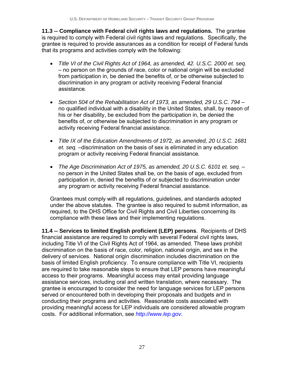**11.3 -- Compliance with Federal civil rights laws and regulations.** The grantee is required to comply with Federal civil rights laws and regulations. Specifically, the grantee is required to provide assurances as a condition for receipt of Federal funds that its programs and activities comply with the following:

- *Title VI of the Civil Rights Act of 1964, as amended, 42. U.S.C. 2000 et. seq.*  – no person on the grounds of race, color or national origin will be excluded from participation in, be denied the benefits of, or be otherwise subjected to discrimination in any program or activity receiving Federal financial assistance*.*
- *Section 504 of the Rehabilitation Act of 1973, as amended, 29 U.S.C. 794*  no qualified individual with a disability in the United States, shall, by reason of his or her disability, be excluded from the participation in, be denied the benefits of, or otherwise be subjected to discrimination in any program or activity receiving Federal financial assistance.
- *Title IX of the Education Amendments of 197*2, *as amended, 20 U.S.C. 1681 et. seq.* –discrimination on the basis of sex is eliminated in any education program or activity receiving Federal financial assistance*.*
- *The Age Discrimination Act of 1975, as amended, 20 U.S.C. 6101 et. seq.*  no person in the United States shall be, on the basis of age, excluded from participation in, denied the benefits of or subjected to discrimination under any program or activity receiving Federal financial assistance.

Grantees must comply with all regulations, guidelines, and standards adopted under the above statutes. The grantee is also required to submit information, as required, to the DHS Office for Civil Rights and Civil Liberties concerning its compliance with these laws and their implementing regulations.

**11.4 -- Services to limited English proficient (LEP) persons**. Recipients of DHS financial assistance are required to comply with several Federal civil rights laws, including Title VI of the Civil Rights Act of 1964, as amended. These laws prohibit discrimination on the basis of race, color, religion, national origin, and sex in the delivery of services. National origin discrimination includes discrimination on the basis of limited English proficiency. To ensure compliance with Title VI, recipients are required to take reasonable steps to ensure that LEP persons have meaningful access to their programs. Meaningful access may entail providing language assistance services, including oral and written translation, where necessary. The grantee is encouraged to consider the need for language services for LEP persons served or encountered both in developing their proposals and budgets and in conducting their programs and activities. Reasonable costs associated with providing meaningful access for LEP individuals are considered allowable program costs. For additional information, see *http://www.lep.gov.*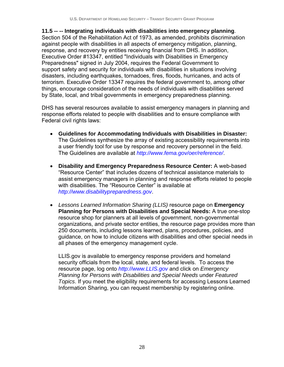**11.5 -- -- Integrating individuals with disabilities into emergency planning**. Section 504 of the Rehabilitation Act of 1973, as amended, prohibits discrimination against people with disabilities in all aspects of emergency mitigation, planning, response, and recovery by entities receiving financial from DHS. In addition, Executive Order #13347, entitled "Individuals with Disabilities in Emergency Preparedness" signed in July 2004, requires the Federal Government to support safety and security for individuals with disabilities in situations involving disasters, including earthquakes, tornadoes, fires, floods, hurricanes, and acts of terrorism. Executive Order 13347 requires the federal government to, among other things, encourage consideration of the needs of individuals with disabilities served by State, local, and tribal governments in emergency preparedness planning.

DHS has several resources available to assist emergency managers in planning and response efforts related to people with disabilities and to ensure compliance with Federal civil rights laws:

- **Guidelines for Accommodating Individuals with Disabilities in Disaster:** The Guidelines synthesize the array of existing accessibility requirements into a user friendly tool for use by response and recovery personnel in the field. The Guidelines are available at *http://www.fema.gov/oer/reference/*.
- **Disability and Emergency Preparedness Resource Center:** A web-based "Resource Center" that includes dozens of technical assistance materials to assist emergency managers in planning and response efforts related to people with disabilities. The "Resource Center" is available at *http://www.disabilitypreparedness.gov*.
- *Lessons Learned Information Sharing (LLIS)* resource page on **Emergency Planning for Persons with Disabilities and Special Needs:** A true one-stop resource shop for planners at all levels of government, non-governmental organizations, and private sector entities, the resource page provides more than 250 documents, including lessons learned, plans, procedures, policies, and guidance, on how to include citizens with disabilities and other special needs in all phases of the emergency management cycle.

LLIS.gov is available to emergency response providers and homeland security officials from the local, state, and federal levels. To access the resource page, log onto *http://www.LLIS.gov* and click on *Emergency Planning for Persons with Disabilities and Special Needs* under *Featured Topics*. If you meet the eligibility requirements for accessing Lessons Learned Information Sharing, you can request membership by registering online.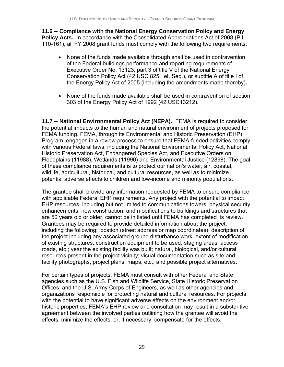**11.6 -- Compliance with the National Energy Conservation Policy and Energy Policy Acts.** In accordance with the Consolidated Appropriations Act of 2008 (P.L. 110-161), all FY 2008 grant funds must comply with the following two requirements:

- None of the funds made available through shall be used in contravention of the Federal buildings performance and reporting requirements of Executive Order No. 13123, part 3 of title V of the National Energy Conservation Policy Act (42 USC 8251 et. Seq.), or subtitle A of title I of the Energy Policy Act of 2005 (including the amendments made thereby)**.**
- None of the funds made available shall be used in contravention of section 303 of the Energy Policy Act of 1992 (42 USC13212).

**11.7 -- National Environmental Policy Act (NEPA).** FEMA is required to consider the potential impacts to the human and natural environment of projects proposed for FEMA funding. FEMA, through its Environmental and Historic Preservation (EHP) Program, engages in a review process to ensure that FEMA-funded activities comply with various Federal laws, including the National Environmental Policy Act, National Historic Preservation Act, Endangered Species Act, and Executive Orders on Floodplains (11988), Wetlands (11990) and Environmental Justice (12898). The goal of these compliance requirements is to protect our nation's water, air, coastal, wildlife, agricultural, historical, and cultural resources, as well as to minimize potential adverse effects to children and low-income and minority populations.

The grantee shall provide any information requested by FEMA to ensure compliance with applicable Federal EHP requirements. Any project with the potential to impact EHP resources, including but not limited to communications towers, physical security enhancements, new construction, and modifications to buildings and structures that are 50 years old or older, cannot be initiated until FEMA has completed its review. Grantees may be required to provide detailed information about the project, including the following: location (street address or map coordinates); description of the project including any associated ground disturbance work, extent of modification of existing structures, construction equipment to be used, staging areas, access roads, etc.; year the existing facility was built; natural, biological, and/or cultural resources present in the project vicinity; visual documentation such as site and facility photographs, project plans, maps, etc.; and possible project alternatives.

For certain types of projects, FEMA must consult with other Federal and State agencies such as the U.S. Fish and Wildlife Service, State Historic Preservation Offices, and the U.S. Army Corps of Engineers, as well as other agencies and organizations responsible for protecting natural and cultural resources. For projects with the potential to have significant adverse effects on the environment and/or historic properties, FEMA's EHP review and consultation may result in a substantive agreement between the involved parties outlining how the grantee will avoid the effects, minimize the effects, or, if necessary, compensate for the effects.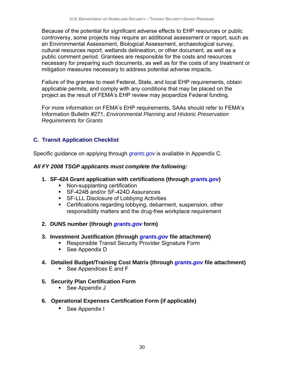Because of the potential for significant adverse effects to EHP resources or public controversy, some projects may require an additional assessment or report, such as an Environmental Assessment, Biological Assessment, archaeological survey, cultural resources report, wetlands delineation, or other document, as well as a public comment period. Grantees are responsible for the costs and resources necessary for preparing such documents, as well as for the costs of any treatment or mitigation measures necessary to address potential adverse impacts.

Failure of the grantee to meet Federal, State, and local EHP requirements, obtain applicable permits, and comply with any conditions that may be placed on the project as the result of FEMA's EHP review may jeopardize Federal funding.

For more information on FEMA's EHP requirements, SAAs should refer to FEMA's Information Bulletin #271, *Environmental Planning and Historic Preservation Requirements for Grants*

#### **C. Transit Application Checklist**

Specific guidance on applying through *grants.gov* is available in Appendix C.

#### *All FY 2008 TSGP applicants must complete the following:*

- **1. SF-424 Grant application with certifications (through** *grants.gov***)** 
	- Non-supplanting certification
	- SF-424B and/or SF-424D Assurances
	- **SF-LLL Disclosure of Lobbying Activities**
	- Certifications regarding lobbying, debarment, suspension, other responsibility matters and the drug-free workplace requirement

#### **2. DUNS number (through** *grants.gov* **form)**

- **3. Investment Justification (through** *grants.gov* **file attachment)** 
	- **Responsible Transit Security Provider Signature Form**
	- See Appendix D

#### **4. Detailed Budget/Training Cost Matrix (through** *grants.gov* **file attachment)**

- See Appendices E and F
- **5. Security Plan Certification Form** 
	- See Appendix J
- **6. Operational Expenses Certification Form (if applicable)** 
	- See Appendix I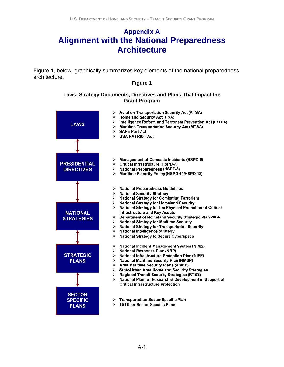## **Appendix A Alignment with the National Preparedness Architecture**

Figure 1, below, graphically summarizes key elements of the national preparedness architecture.

#### **Figure 1**

#### **Laws, Strategy Documents, Directives and Plans That Impact the Grant Program**

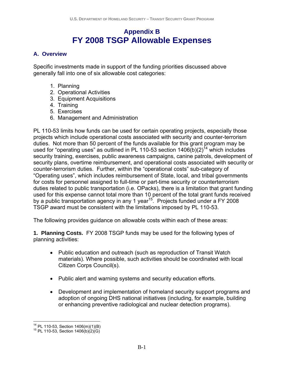### **Appendix B FY 2008 TSGP Allowable Expenses**

#### **A. Overview**

Specific investments made in support of the funding priorities discussed above generally fall into one of six allowable cost categories:

- 1. Planning
- 2. Operational Activities
- 3. Equipment Acquisitions
- 4. Training
- 5. Exercises
- 6. Management and Administration

PL 110-53 limits how funds can be used for certain operating projects, especially those projects which include operational costs associated with security and counter-terrorism duties. Not more than 50 percent of the funds available for this grant program may be used for "operating uses" as outlined in PL 110-53 section  $1406(b)(2)^{14}$  which includes security training, exercises, public awareness campaigns, canine patrols, development of security plans, overtime reimbursement, and operational costs associated with security or counter-terrorism duties. Further, within the "operational costs" sub-category of "Operating uses", which includes reimbursement of State, local, and tribal governments for costs for personnel assigned to full-time or part-time security or counterterrorism duties related to public transportation (i.e. OPacks), there is a limitation that grant funding used for this expense cannot total more than 10 percent of the total grant funds received by a public transportation agency in any 1 year<sup>15</sup>. Projects funded under a FY 2008 TSGP award must be consistent with the limitations imposed by PL 110-53.

The following provides guidance on allowable costs within each of these areas:

**1. Planning Costs.** FY 2008 TSGP funds may be used for the following types of planning activities:

- Public education and outreach (such as reproduction of Transit Watch materials). Where possible, such activities should be coordinated with local Citizen Corps Council(s).
- Public alert and warning systems and security education efforts.
- Development and implementation of homeland security support programs and adoption of ongoing DHS national initiatives (including, for example, building or enhancing preventive radiological and nuclear detection programs).

 $\overline{a}$ <sup>14</sup> PL 110-53, Section 1406(m)(1)(B)<br><sup>15</sup> PL 110-53, Section 1406(b)(2)(G)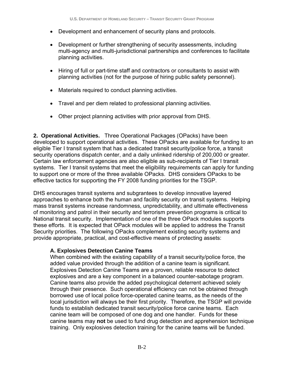- Development and enhancement of security plans and protocols.
- Development or further strengthening of security assessments, including multi-agency and multi-jurisdictional partnerships and conferences to facilitate planning activities.
- Hiring of full or part-time staff and contractors or consultants to assist with planning activities (not for the purpose of hiring public safety personnel).
- Materials required to conduct planning activities.
- Travel and per diem related to professional planning activities.
- Other project planning activities with prior approval from DHS.

**2. Operational Activities.** Three Operational Packages (OPacks) have been developed to support operational activities. These OPacks are available for funding to an eligible Tier I transit system that has a dedicated transit security/police force, a transit security operations dispatch center, and a daily unlinked ridership of 200,000 or greater. Certain law enforcement agencies are also eligible as sub-recipients of Tier I transit systems. Tier I transit systems that meet the eligibility requirements can apply for funding to support one or more of the three available OPacks. DHS considers OPacks to be effective tactics for supporting the FY 2008 funding priorities for the TSGP.

DHS encourages transit systems and subgrantees to develop innovative layered approaches to enhance both the human and facility security on transit systems. Helping mass transit systems increase randomness, unpredictability, and ultimate effectiveness of monitoring and patrol in their security and terrorism prevention programs is critical to National transit security. Implementation of one of the three OPack modules supports these efforts. It is expected that OPack modules will be applied to address the Transit Security priorities. The following OPacks complement existing security systems and provide appropriate, practical, and cost-effective means of protecting assets:

#### **A. Explosives Detection Canine Teams**

When combined with the existing capability of a transit security/police force, the added value provided through the addition of a canine team is significant. Explosives Detection Canine Teams are a proven, reliable resource to detect explosives and are a key component in a balanced counter-sabotage program. Canine teams also provide the added psychological deterrent achieved solely through their presence. Such operational efficiency can not be obtained through borrowed use of local police force-operated canine teams, as the needs of the local jurisdiction will always be their first priority. Therefore, the TSGP will provide funds to establish dedicated transit security/police force canine teams. Each canine team will be composed of one dog and one handler. Funds for these canine teams may **not** be used to fund drug detection and apprehension technique training. Only explosives detection training for the canine teams will be funded.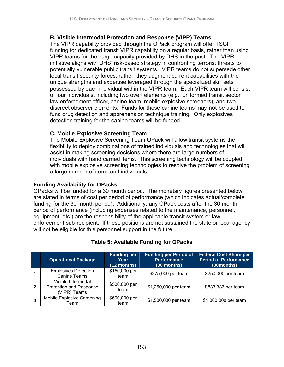#### **B. Visible Intermodal Protection and Response (VIPR) Teams**

The VIPR capability provided through the OPack program will offer TSGP funding for dedicated transit VIPR capability on a regular basis, rather than using VIPR teams for the surge capacity provided by DHS in the past. The VIPR initiative aligns with DHS' risk-based strategy in confronting terrorist threats to potentially vulnerable public transit systems. VIPR teams do not supersede other local transit security forces; rather, they augment current capabilities with the unique strengths and expertise leveraged through the specialized skill sets possessed by each individual within the VIPR team. Each VIPR team will consist of four individuals, including two overt elements (e.g., uniformed transit sector law enforcement officer, canine team, mobile explosive screeners), and two discreet observer elements. Funds for these canine teams may **not** be used to fund drug detection and apprehension technique training. Only explosives detection training for the canine teams will be funded.

#### **C. Mobile Explosive Screening Team**

The Mobile Explosive Screening Team OPack will allow transit systems the flexibility to deploy combinations of trained individuals and technologies that will assist in making screening decisions where there are large numbers of individuals with hand carried items. This screening technology will be coupled with mobile explosive screening technologies to resolve the problem of screening a large number of items and individuals.

#### **Funding Availability for OPacks**

OPacks will be funded for a 30 month period. The monetary figures presented below are stated in terms of cost per period of performance (which indicates actual/complete funding for the 30 month period). Additionally, any OPack costs after the 30 month period of performance (including expenses related to the maintenance, personnel, equipment, etc.) are the responsibility of the applicable transit system or law enforcement sub-recipient. If these positions are not sustained the state or local agency will not be eligible for this personnel support in the future.

|    | <b>Operational Package</b>                                    | <b>Funding per</b><br>Year<br>$(12$ months) | <b>Funding per Period of</b><br><b>Performance</b><br>(30 months) | Federal Cost Share per<br><b>Period of Performance</b><br>(30months) |
|----|---------------------------------------------------------------|---------------------------------------------|-------------------------------------------------------------------|----------------------------------------------------------------------|
|    | <b>Explosives Detection</b><br><b>Canine Teams</b>            | \$150,000 per<br>team                       | \$375,000 per team                                                | \$250,000 per team                                                   |
| 2. | Visible Intermodal<br>Protection and Response<br>(VIPR) Teams | \$500,000 per<br>team                       | \$1,250,000 per team                                              | \$833,333 per team                                                   |
| 3. | Mobile Explosive Screening<br>Team                            | \$600,000 per<br>team                       | \$1,500,000 per team                                              | \$1,000,000 per team                                                 |

#### **Table 5: Available Funding for OPacks**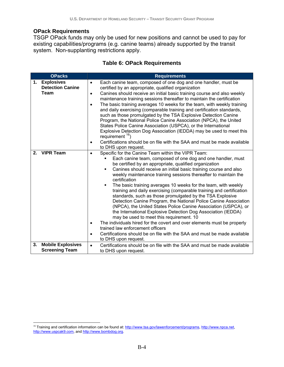#### **OPack Requirements**

TSGP OPack funds may only be used for new positions and cannot be used to pay for existing capabilities/programs (e.g. canine teams) already supported by the transit system. Non-supplanting restrictions apply.

# **Table 6: OPack Requirements**

|                              | <b>OPacks</b>                                     | <b>Requirements</b>                                                                                                                                                                                                                                                                                                                                                                                                                                                                                                                                                                                                                                                                                                                                                                                                                                                                                                                                                                                                                                                |
|------------------------------|---------------------------------------------------|--------------------------------------------------------------------------------------------------------------------------------------------------------------------------------------------------------------------------------------------------------------------------------------------------------------------------------------------------------------------------------------------------------------------------------------------------------------------------------------------------------------------------------------------------------------------------------------------------------------------------------------------------------------------------------------------------------------------------------------------------------------------------------------------------------------------------------------------------------------------------------------------------------------------------------------------------------------------------------------------------------------------------------------------------------------------|
| 1. Explosives<br><b>Team</b> | <b>Detection Canine</b>                           | Each canine team, composed of one dog and one handler, must be<br>$\bullet$<br>certified by an appropriate, qualified organization<br>Canines should receive an initial basic training course and also weekly<br>$\bullet$<br>maintenance training sessions thereafter to maintain the certification<br>The basic training averages 10 weeks for the team, with weekly training<br>$\bullet$<br>and daily exercising (comparable training and certification standards,<br>such as those promulgated by the TSA Explosive Detection Canine<br>Program, the National Police Canine Association (NPCA), the United<br>States Police Canine Association (USPCA), or the International<br>Explosive Detection Dog Association (IEDDA) may be used to meet this<br>requirement $16$ )<br>Certifications should be on file with the SAA and must be made available<br>$\bullet$<br>to DHS upon request.                                                                                                                                                                   |
| 2. VIPR Team                 |                                                   | Specific for the Canine Team within the VIPR Team:<br>$\bullet$<br>Each canine team, composed of one dog and one handler, must<br>be certified by an appropriate, qualified organization<br>Canines should receive an initial basic training course and also<br>٠<br>weekly maintenance training sessions thereafter to maintain the<br>certification<br>The basic training averages 10 weeks for the team, with weekly<br>٠<br>training and daily exercising (comparable training and certification<br>standards, such as those promulgated by the TSA Explosive<br>Detection Canine Program, the National Police Canine Association<br>(NPCA), the United States Police Canine Association (USPCA), or<br>the International Explosive Detection Dog Association (IEDDA)<br>may be used to meet this requirement. 10<br>The individuals hired for the covert and over elements must be properly<br>$\bullet$<br>trained law enforcement officers<br>Certifications should be on file with the SAA and must be made available<br>$\bullet$<br>to DHS upon request. |
| 3.                           | <b>Mobile Explosives</b><br><b>Screening Team</b> | Certifications should be on file with the SAA and must be made available<br>$\bullet$<br>to DHS upon request.                                                                                                                                                                                                                                                                                                                                                                                                                                                                                                                                                                                                                                                                                                                                                                                                                                                                                                                                                      |

 $\overline{a}$ <sup>16</sup> Training and certification information can be found at: http://www.tsa.gov/lawenforcement/programs, http://www.npca.net, http://www.uspcak9.com, and http://www.bombdog.org.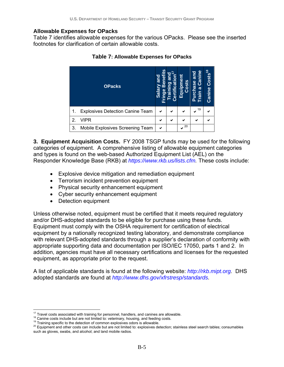### **Allowable Expenses for OPacks**

Table 7 identifies allowable expenses for the various OPacks. Please see the inserted footnotes for clarification of certain allowable costs.

|    | <b>OPacks</b>                           | and<br>ಠ<br>$\overline{\mathbf{S}}$ | ō | Equipment<br>osts | nine<br><b>Purchase and</b><br>ဇြ<br>ಹ<br>Train | ∞<br>Costs<br>Canine |
|----|-----------------------------------------|-------------------------------------|---|-------------------|-------------------------------------------------|----------------------|
| 1. | <b>Explosives Detection Canine Team</b> | ✔                                   | ✔ | ✔                 | 19                                              | ✔                    |
| 2  | VIPR                                    |                                     |   |                   |                                                 |                      |
| 3. | Mobile Explosives Screening Team        | ✔                                   |   | 20                |                                                 |                      |

**Table 7: Allowable Expenses for OPacks** 

**3. Equipment Acquisition Costs.** FY 2008 TSGP funds may be used for the following categories of equipment. A comprehensive listing of allowable equipment categories and types is found on the web-based Authorized Equipment List (AEL) on the Responder Knowledge Base (RKB) at *https://www.rkb.us/lists.cfm.* These costs include:

- Explosive device mitigation and remediation equipment
- Terrorism incident prevention equipment
- Physical security enhancement equipment
- Cyber security enhancement equipment
- Detection equipment

Unless otherwise noted, equipment must be certified that it meets required regulatory and/or DHS-adopted standards to be eligible for purchase using these funds. Equipment must comply with the OSHA requirement for certification of electrical equipment by a nationally recognized testing laboratory, and demonstrate compliance with relevant DHS-adopted standards through a supplier's declaration of conformity with appropriate supporting data and documentation per ISO/IEC 17050, parts 1 and 2. In addition, agencies must have all necessary certifications and licenses for the requested equipment, as appropriate prior to the request.

A list of applicable standards is found at the following website: *http://rkb.mipt.org.* DHS adopted standards are found at *http://www.dhs.gov/xfrstresp/standards.* 

<sup>&</sup>lt;sup>17</sup> Travel costs associated with training for personnel, handlers, and canines are allowable.

 $^{18}$  Canine costs include but are not limited to: veterinary, housing, and feeding costs.<br><sup>19</sup> Training specific to the detection of common explosives odors is allowable.<br><sup>20</sup> Equipment and other costs can include but a such as gloves, swabs, and alcohol; and land mobile radios.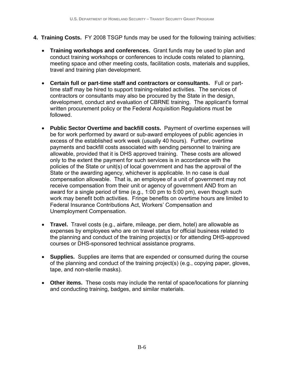- **4. Training Costs.** FY 2008 TSGP funds may be used for the following training activities:
	- **Training workshops and conferences.** Grant funds may be used to plan and conduct training workshops or conferences to include costs related to planning, meeting space and other meeting costs, facilitation costs, materials and supplies, travel and training plan development.
	- **Certain full or part-time staff and contractors or consultants.** Full or parttime staff may be hired to support training-related activities. The services of contractors or consultants may also be procured by the State in the design, development, conduct and evaluation of CBRNE training. The applicant's formal written procurement policy or the Federal Acquisition Regulations must be followed.
	- **Public Sector Overtime and backfill costs.** Payment of overtime expenses will be for work performed by award or sub-award employees of public agencies in excess of the established work week (usually 40 hours). Further, overtime payments and backfill costs associated with sending personnel to training are allowable, provided that it is DHS approved training. These costs are allowed only to the extent the payment for such services is in accordance with the policies of the State or unit(s) of local government and has the approval of the State or the awarding agency, whichever is applicable. In no case is dual compensation allowable. That is, an employee of a unit of government may not receive compensation from their unit or agency of government AND from an award for a single period of time (e.g., 1:00 pm to 5:00 pm), even though such work may benefit both activities. Fringe benefits on overtime hours are limited to Federal Insurance Contributions Act, Workers' Compensation and Unemployment Compensation.
	- **Travel.** Travel costs (e.g., airfare, mileage, per diem, hotel) are allowable as expenses by employees who are on travel status for official business related to the planning and conduct of the training project(s) or for attending DHS-approved courses or DHS-sponsored technical assistance programs.
	- **Supplies.** Supplies are items that are expended or consumed during the course of the planning and conduct of the training project(s) (e.g., copying paper, gloves, tape, and non-sterile masks).
	- **Other items.** These costs may include the rental of space/locations for planning and conducting training, badges, and similar materials.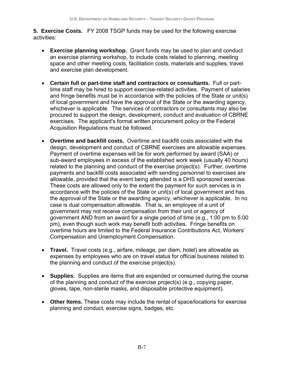**5. Exercise Costs.** FY 2008 TSGP funds may be used for the following exercise activities:

- **Exercise planning workshop.** Grant funds may be used to plan and conduct an exercise planning workshop, to include costs related to planning, meeting space and other meeting costs, facilitation costs, materials and supplies, travel and exercise plan development.
- **Certain full or part-time staff and contractors or consultants.** Full or parttime staff may be hired to support exercise-related activities. Payment of salaries and fringe benefits must be in accordance with the policies of the State or unit(s) of local government and have the approval of the State or the awarding agency, whichever is applicable. The services of contractors or consultants may also be procured to support the design, development, conduct and evaluation of CBRNE exercises. The applicant's formal written procurement policy or the Federal Acquisition Regulations must be followed.
- **Overtime and backfill costs.** Overtime and backfill costs associated with the design, development and conduct of CBRNE exercises are allowable expenses. Payment of overtime expenses will be for work performed by award (SAA) or sub-award employees in excess of the established work week (usually 40 hours) related to the planning and conduct of the exercise project(s). Further, overtime payments and backfill costs associated with sending personnel to exercises are allowable, provided that the event being attended is a DHS sponsored exercise. These costs are allowed only to the extent the payment for such services is in accordance with the policies of the State or unit(s) of local government and has the approval of the State or the awarding agency, whichever is applicable. In no case is dual compensation allowable. That is, an employee of a unit of government may not receive compensation from their unit or agency of government AND from an award for a single period of time (e.g., 1:00 pm to 5:00 pm), even though such work may benefit both activities. Fringe benefits on overtime hours are limited to the Federal Insurance Contributions Act, Workers' Compensation and Unemployment Compensation.
- **Travel.** Travel costs (e.g., airfare, mileage, per diem, hotel) are allowable as expenses by employees who are on travel status for official business related to the planning and conduct of the exercise project(s).
- **Supplies.** Supplies are items that are expended or consumed during the course of the planning and conduct of the exercise project(s) (e.g., copying paper, gloves, tape, non-sterile masks, and disposable protective equipment).
- **Other Items.** These costs may include the rental of space/locations for exercise planning and conduct, exercise signs, badges, etc.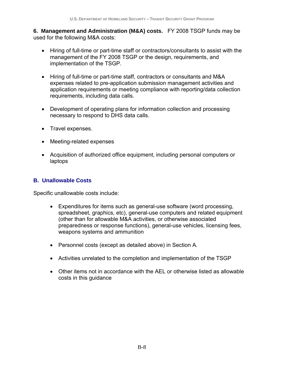**6. Management and Administration (M&A) costs.** FY 2008 TSGP funds may be used for the following M&A costs:

- Hiring of full-time or part-time staff or contractors/consultants to assist with the management of the FY 2008 TSGP or the design, requirements, and implementation of the TSGP.
- Hiring of full-time or part-time staff, contractors or consultants and M&A expenses related to pre-application submission management activities and application requirements or meeting compliance with reporting/data collection requirements, including data calls.
- Development of operating plans for information collection and processing necessary to respond to DHS data calls.
- Travel expenses.
- Meeting-related expenses
- Acquisition of authorized office equipment, including personal computers or laptops

### **B. Unallowable Costs**

Specific unallowable costs include:

- Expenditures for items such as general-use software (word processing, spreadsheet, graphics, etc), general-use computers and related equipment (other than for allowable M&A activities, or otherwise associated preparedness or response functions), general-use vehicles, licensing fees, weapons systems and ammunition
- Personnel costs (except as detailed above) in Section A.
- Activities unrelated to the completion and implementation of the TSGP
- Other items not in accordance with the AEL or otherwise listed as allowable costs in this guidance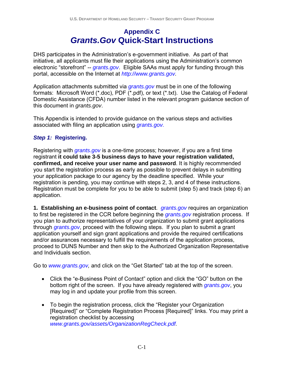# **Appendix C**  *Grants.Gov* **Quick-Start Instructions**

DHS participates in the Administration's e-government initiative. As part of that initiative, all applicants must file their applications using the Administration's common electronic "storefront" -- *grants.gov*. Eligible SAAs must apply for funding through this portal, accessible on the Internet at *http://www.grants.gov.*

Application attachments submitted via *grants.gov* must be in one of the following formats: Microsoft Word (\*.doc), PDF (\*.pdf), or text (\*.txt). Use the Catalog of Federal Domestic Assistance (CFDA) number listed in the relevant program guidance section of this document in *grants.gov*.

This Appendix is intended to provide guidance on the various steps and activities associated with filing an application using *grants.gov.* 

# *Step 1:* **Registering.**

Registering with *grants.gov* is a one-time process; however, if you are a first time registrant **it could take 3-5 business days to have your registration validated, confirmed, and receive your user name and password**. It is highly recommended you start the registration process as early as possible to prevent delays in submitting your application package to our agency by the deadline specified. While your registration is pending, you may continue with steps 2, 3, and 4 of these instructions. Registration must be complete for you to be able to submit (step 5) and track (step 6) an application.

**1. Establishing an e-business point of contact**. *grants.gov* requires an organization to first be registered in the CCR before beginning the *grants.gov* registration process. If you plan to authorize representatives of your organization to submit grant applications through *grants.gov*, proceed with the following steps. If you plan to submit a grant application yourself and sign grant applications and provide the required certifications and/or assurances necessary to fulfill the requirements of the application process, proceed to DUNS Number and then skip to the Authorized Organization Representative and Individuals section.

Go to *www.grants.gov,* and click on the "Get Started" tab at the top of the screen.

- Click the "e-Business Point of Contact" option and click the "GO" button on the bottom right of the screen. If you have already registered with *grants.gov*, you may log in and update your profile from this screen.
- To begin the registration process, click the "Register your Organization [Required]" or "Complete Registration Process [Required]" links. You may print a registration checklist by accessing *www.grants.gov/assets/OrganizationRegCheck.pdf.*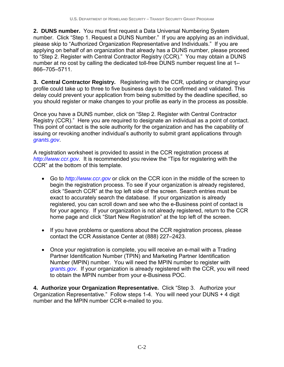**2. DUNS number.** You must first request a Data Universal Numbering System number. Click "Step 1. Request a DUNS Number." If you are applying as an individual, please skip to "Authorized Organization Representative and Individuals." If you are applying on behalf of an organization that already has a DUNS number, please proceed to "Step 2. Register with Central Contractor Registry (CCR)." You may obtain a DUNS number at no cost by calling the dedicated toll-free DUNS number request line at 1– 866–705–5711.

**3. Central Contractor Registry.** Registering with the CCR, updating or changing your profile could take up to three to five business days to be confirmed and validated. This delay could prevent your application from being submitted by the deadline specified, so you should register or make changes to your profile as early in the process as possible.

Once you have a DUNS number, click on "Step 2. Register with Central Contractor Registry (CCR)." Here you are required to designate an individual as a point of contact. This point of contact is the sole authority for the organization and has the capability of issuing or revoking another individual's authority to submit grant applications through *grants.gov*.

A registration worksheet is provided to assist in the CCR registration process at *http://www.ccr.gov.* It is recommended you review the "Tips for registering with the CCR" at the bottom of this template.

- Go to *http://www.ccr.gov* or click on the CCR icon in the middle of the screen to begin the registration process. To see if your organization is already registered, click "Search CCR" at the top left side of the screen. Search entries must be exact to accurately search the database. If your organization is already registered, you can scroll down and see who the e-Business point of contact is for your agency. If your organization is not already registered, return to the CCR home page and click "Start New Registration" at the top left of the screen.
- If you have problems or questions about the CCR registration process, please contact the CCR Assistance Center at (888) 227–2423.
- Once your registration is complete, you will receive an e-mail with a Trading Partner Identification Number (TPIN) and Marketing Partner Identification Number (MPIN) number. You will need the MPIN number to register with *grants.gov*. If your organization is already registered with the CCR, you will need to obtain the MPIN number from your e-Business POC.

**4. Authorize your Organization Representative.** Click "Step 3. Authorize your Organization Representative." Follow steps 1-4. You will need your DUNS + 4 digit number and the MPIN number CCR e-mailed to you.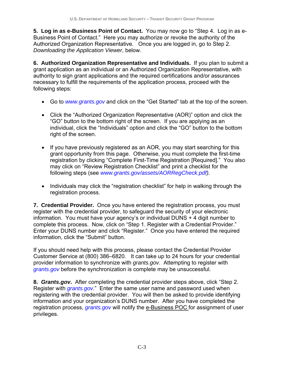**5. Log in as e-Business Point of Contact.** You may now go to "Step 4. Log in as e-Business Point of Contact." Here you may authorize or revoke the authority of the Authorized Organization Representative. Once you are logged in, go to Step 2. *Downloading the Application Viewer*, below.

**6. Authorized Organization Representative and Individuals.** If you plan to submit a grant application as an individual or an Authorized Organization Representative, with authority to sign grant applications and the required certifications and/or assurances necessary to fulfill the requirements of the application process, proceed with the following steps:

- Go to *www.grants.gov* and click on the "Get Started" tab at the top of the screen.
- Click the "Authorized Organization Representative (AOR)" option and click the "GO" button to the bottom right of the screen. If you are applying as an individual, click the "Individuals" option and click the "GO" button to the bottom right of the screen.
- If you have previously registered as an AOR, you may start searching for this grant opportunity from this page. Otherwise, you must complete the first-time registration by clicking "Complete First-Time Registration [Required]." You also may click on "Review Registration Checklist" and print a checklist for the following steps (see *www.grants.gov/assets/AORRegCheck.pdf).*
- Individuals may click the "registration checklist" for help in walking through the registration process.

**7. Credential Provider.** Once you have entered the registration process, you must register with the credential provider, to safeguard the security of your electronic information. You must have your agency's or individual DUNS + 4 digit number to complete this process. Now, click on "Step 1. Register with a Credential Provider." Enter your DUNS number and click "Register." Once you have entered the required information, click the "Submit" button.

If you should need help with this process, please contact the Credential Provider Customer Service at (800) 386–6820. It can take up to 24 hours for your credential provider information to synchronize with *grants.gov*. Attempting to register with *grants.gov* before the synchronization is complete may be unsuccessful.

**8.** *Grants.gov***.** After completing the credential provider steps above, click "Step 2. Register with *grants.gov*." Enter the same user name and password used when registering with the credential provider. You will then be asked to provide identifying information and your organization's DUNS number. After you have completed the registration process, *grants.gov* will notify the e-Business POC for assignment of user privileges.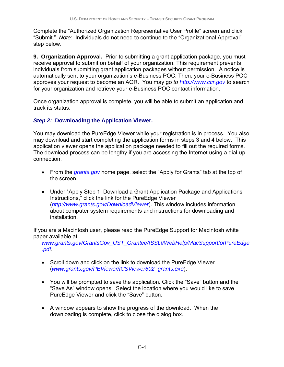Complete the "Authorized Organization Representative User Profile" screen and click "Submit." *Note:*Individuals do not need to continue to the "Organizational Approval" step below.

**9. Organization Approval.** Prior to submitting a grant application package, you must receive approval to submit on behalf of your organization. This requirement prevents individuals from submitting grant application packages without permission. A notice is automatically sent to your organization's e-Business POC. Then, your e-Business POC approves your request to become an AOR. You may go *to http://www.ccr.gov* to search for your organization and retrieve your e-Business POC contact information.

Once organization approval is complete, you will be able to submit an application and track its status.

# *Step 2:* **Downloading the Application Viewer.**

You may download the PureEdge Viewer while your registration is in process. You also may download and start completing the application forms in steps 3 and 4 below. This application viewer opens the application package needed to fill out the required forms. The download process can be lengthy if you are accessing the Internet using a dial-up connection.

- From the *grants.gov* home page, select the "Apply for Grants" tab at the top of the screen.
- Under "Apply Step 1: Download a Grant Application Package and Applications Instructions," click the link for the PureEdge Viewer (*http://www.grants.gov/DownloadViewer*). This window includes information about computer system requirements and instructions for downloading and installation.

If you are a Macintosh user, please read the PureEdge Support for Macintosh white paper available at

*www.grants.gov/GrantsGov\_UST\_Grantee/!SSL!/WebHelp/MacSupportforPureEdge .pdf*.

- Scroll down and click on the link to download the PureEdge Viewer (*www.grants.gov/PEViewer/ICSViewer602\_grants.exe*).
- You will be prompted to save the application. Click the "Save" button and the "Save As" window opens. Select the location where you would like to save PureEdge Viewer and click the "Save" button.
- A window appears to show the progress of the download. When the downloading is complete, click to close the dialog box.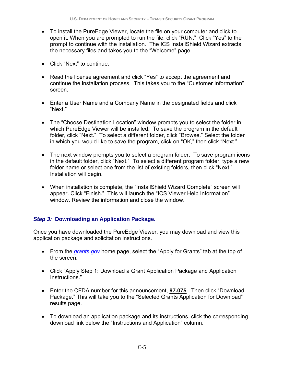- To install the PureEdge Viewer, locate the file on your computer and click to open it. When you are prompted to run the file, click "RUN." Click "Yes" to the prompt to continue with the installation. The ICS InstallShield Wizard extracts the necessary files and takes you to the "Welcome" page.
- Click "Next" to continue.
- Read the license agreement and click "Yes" to accept the agreement and continue the installation process. This takes you to the "Customer Information" screen.
- Enter a User Name and a Company Name in the designated fields and click "Next."
- The "Choose Destination Location" window prompts you to select the folder in which PureEdge Viewer will be installed. To save the program in the default folder, click "Next." To select a different folder, click "Browse." Select the folder in which you would like to save the program, click on "OK," then click "Next."
- The next window prompts you to select a program folder. To save program icons in the default folder, click "Next." To select a different program folder, type a new folder name or select one from the list of existing folders, then click "Next." Installation will begin.
- When installation is complete, the "InstallShield Wizard Complete" screen will appear. Click "Finish." This will launch the "ICS Viewer Help Information" window. Review the information and close the window.

# *Step 3:* **Downloading an Application Package.**

Once you have downloaded the PureEdge Viewer, you may download and view this application package and solicitation instructions.

- From the *grants.gov* home page, select the "Apply for Grants" tab at the top of the screen.
- Click "Apply Step 1: Download a Grant Application Package and Application Instructions."
- Enter the CFDA number for this announcement, **97.075**. Then click "Download Package." This will take you to the "Selected Grants Application for Download" results page.
- To download an application package and its instructions, click the corresponding download link below the "Instructions and Application" column.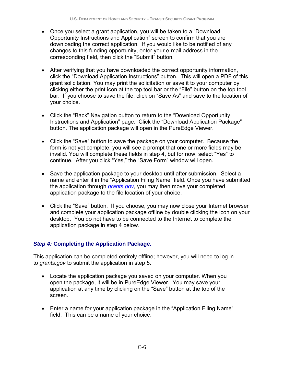- Once you select a grant application, you will be taken to a "Download Opportunity Instructions and Application" screen to confirm that you are downloading the correct application. If you would like to be notified of any changes to this funding opportunity, enter your e-mail address in the corresponding field, then click the "Submit" button.
- After verifying that you have downloaded the correct opportunity information, click the "Download Application Instructions" button. This will open a PDF of this grant solicitation. You may print the solicitation or save it to your computer by clicking either the print icon at the top tool bar or the "File" button on the top tool bar. If you choose to save the file, click on "Save As" and save to the location of your choice.
- Click the "Back" Navigation button to return to the "Download Opportunity Instructions and Application" page. Click the "Download Application Package" button. The application package will open in the PureEdge Viewer.
- Click the "Save" button to save the package on your computer. Because the form is not yet complete, you will see a prompt that one or more fields may be invalid. You will complete these fields in step 4, but for now, select "Yes" to continue. After you click "Yes," the "Save Form" window will open.
- Save the application package to your desktop until after submission. Select a name and enter it in the "Application Filing Name" field. Once you have submitted the application through *grants.gov*, you may then move your completed application package to the file location of your choice.
- Click the "Save" button. If you choose, you may now close your Internet browser and complete your application package offline by double clicking the icon on your desktop. You do not have to be connected to the Internet to complete the application package in step 4 below.

## *Step 4:* **Completing the Application Package.**

This application can be completed entirely offline; however, you will need to log in to *grants.gov* to submit the application in step 5.

- Locate the application package you saved on your computer. When you open the package, it will be in PureEdge Viewer. You may save your application at any time by clicking on the "Save" button at the top of the screen.
- Enter a name for your application package in the "Application Filing Name" field. This can be a name of your choice.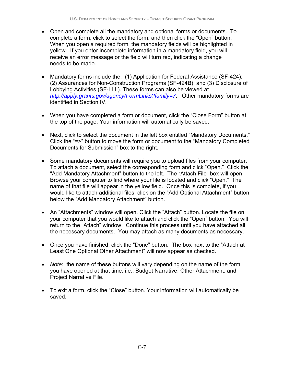- Open and complete all the mandatory and optional forms or documents. To complete a form, click to select the form, and then click the "Open" button. When you open a required form, the mandatory fields will be highlighted in yellow. If you enter incomplete information in a mandatory field, you will receive an error message or the field will turn red, indicating a change needs to be made.
- Mandatory forms include the: (1) Application for Federal Assistance (SF-424); (2) Assurances for Non-Construction Programs (SF-424B); and (3) Disclosure of Lobbying Activities (SF-LLL). These forms can also be viewed at *http://apply.grants.gov/agency/FormLinks?family=7*. Other mandatory forms are identified in Section IV.
- When you have completed a form or document, click the "Close Form" button at the top of the page. Your information will automatically be saved.
- Next, click to select the document in the left box entitled "Mandatory Documents." Click the "=>" button to move the form or document to the "Mandatory Completed Documents for Submission" box to the right.
- Some mandatory documents will require you to upload files from your computer. To attach a document, select the corresponding form and click "Open." Click the "Add Mandatory Attachment" button to the left. The "Attach File" box will open. Browse your computer to find where your file is located and click "Open." The name of that file will appear in the yellow field. Once this is complete, if you would like to attach additional files, click on the "Add Optional Attachment" button below the "Add Mandatory Attachment" button.
- An "Attachments" window will open. Click the "Attach" button. Locate the file on your computer that you would like to attach and click the "Open" button. You will return to the "Attach" window. Continue this process until you have attached all the necessary documents. You may attach as many documents as necessary.
- Once you have finished, click the "Done" button. The box next to the "Attach at Least One Optional Other Attachment" will now appear as checked.
- *Note:* the name of these buttons will vary depending on the name of the form you have opened at that time; i.e., Budget Narrative, Other Attachment, and Project Narrative File.
- To exit a form, click the "Close" button. Your information will automatically be saved.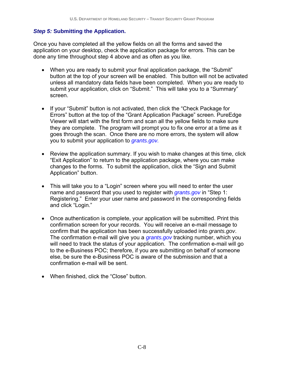#### *Step 5:* **Submitting the Application.**

Once you have completed all the yellow fields on all the forms and saved the application on your desktop, check the application package for errors. This can be done any time throughout step 4 above and as often as you like.

- When you are ready to submit your final application package, the "Submit" button at the top of your screen will be enabled. This button will not be activated unless all mandatory data fields have been completed. When you are ready to submit your application, click on "Submit." This will take you to a "Summary" screen.
- If your "Submit" button is not activated, then click the "Check Package for Errors" button at the top of the "Grant Application Package" screen. PureEdge Viewer will start with the first form and scan all the yellow fields to make sure they are complete. The program will prompt you to fix one error at a time as it goes through the scan. Once there are no more errors, the system will allow you to submit your application to *grants.gov.*
- Review the application summary. If you wish to make changes at this time, click "Exit Application" to return to the application package, where you can make changes to the forms. To submit the application, click the "Sign and Submit Application" button.
- This will take you to a "Login" screen where you will need to enter the user name and password that you used to register with *grants.gov* in "Step 1: Registering." Enter your user name and password in the corresponding fields and click "Login."
- Once authentication is complete, your application will be submitted. Print this confirmation screen for your records. You will receive an e-mail message to confirm that the application has been successfully uploaded into *grants.gov*. The confirmation e-mail will give you a *grants.gov* tracking number, which you will need to track the status of your application. The confirmation e-mail will go to the e-Business POC; therefore, if you are submitting on behalf of someone else, be sure the e-Business POC is aware of the submission and that a confirmation e-mail will be sent.
- When finished, click the "Close" button.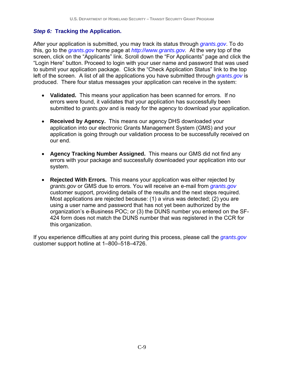## *Step 6:* **Tracking the Application.**

After your application is submitted, you may track its status through *grants.gov*. To do this, go to the *grants.gov* home page at *http://www.grants.gov.* At the very top of the screen, click on the "Applicants" link. Scroll down the "For Applicants" page and click the "Login Here" button. Proceed to login with your user name and password that was used to submit your application package. Click the "Check Application Status" link to the top left of the screen. A list of all the applications you have submitted through *grants.gov* is produced. There four status messages your application can receive in the system:

- **Validated.** This means your application has been scanned for errors. If no errors were found, it validates that your application has successfully been submitted to *grants.gov* and is ready for the agency to download your application.
- **Received by Agency.** This means our agency DHS downloaded your application into our electronic Grants Management System (GMS) and your application is going through our validation process to be successfully received on our end.
- **Agency Tracking Number Assigned.** This means our GMS did not find any errors with your package and successfully downloaded your application into our system.
- **Rejected With Errors.** This means your application was either rejected by *grants.gov* or GMS due to errors. You will receive an e-mail from *grants.gov* customer support, providing details of the results and the next steps required. Most applications are rejected because: (1) a virus was detected; (2) you are using a user name and password that has not yet been authorized by the organization's e-Business POC; or (3) the DUNS number you entered on the SF-424 form does not match the DUNS number that was registered in the CCR for this organization.

If you experience difficulties at any point during this process, please call the *grants.gov* customer support hotline at 1–800–518–4726.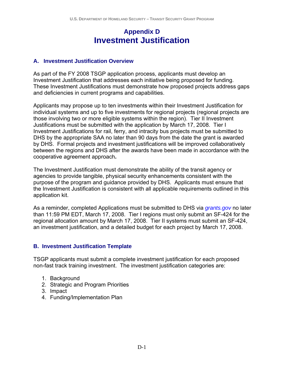# **Appendix D Investment Justification**

### **A. Investment Justification Overview**

As part of the FY 2008 TSGP application process, applicants must develop an Investment Justification that addresses each initiative being proposed for funding. These Investment Justifications must demonstrate how proposed projects address gaps and deficiencies in current programs and capabilities.

Applicants may propose up to ten investments within their Investment Justification for individual systems and up to five investments for regional projects (regional projects are those involving two or more eligible systems within the region). Tier II Investment Justifications must be submitted with the application by March 17, 2008. Tier I Investment Justifications for rail, ferry, and intracity bus projects must be submitted to DHS by the appropriate SAA no later than 90 days from the date the grant is awarded by DHS. Formal projects and investment justifications will be improved collaboratively between the regions and DHS after the awards have been made in accordance with the cooperative agreement approach**.**

The Investment Justification must demonstrate the ability of the transit agency or agencies to provide tangible, physical security enhancements consistent with the purpose of the program and guidance provided by DHS. Applicants must ensure that the Investment Justification is consistent with all applicable requirements outlined in this application kit.

As a reminder, completed Applications must be submitted to DHS via *grants.gov* no later than 11:59 PM EDT, March 17, 2008. Tier I regions must only submit an SF-424 for the regional allocation amount by March 17, 2008. Tier II systems must submit an SF-424, an investment justification, and a detailed budget for each project by March 17, 2008.

### **B. Investment Justification Template**

TSGP applicants must submit a complete investment justification for each proposed non-fast track training investment. The investment justification categories are:

- 1. Background
- 2. Strategic and Program Priorities
- 3. Impact
- 4. Funding/Implementation Plan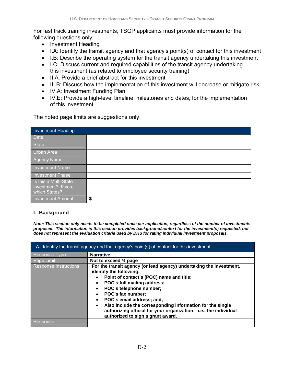For fast track training investments, TSGP applicants must provide information for the following questions only:

- Investment Heading
- I.A: Identify the transit agency and that agency's point(s) of contact for this investment
- I.B: Describe the operating system for the transit agency undertaking this investment
- I.C: Discuss current and required capabilities of the transit agency undertaking this investment (as related to employee security training)
- II.A: Provide a brief abstract for this investment
- III.B: Discuss how the implementation of this investment will decrease or mitigate risk
- IV.A: Investment Funding Plan
- IV.E: Provide a high-level timeline, milestones and dates, for the implementation of this investment

The noted page limits are suggestions only.

| <b>Investment Heading</b>                                     |    |
|---------------------------------------------------------------|----|
| <b>Date</b>                                                   |    |
| State                                                         |    |
| Urban Area                                                    |    |
| Agency Name                                                   |    |
| Investment Name                                               |    |
| Investment Phase                                              |    |
| Is this a Multi-State<br>investment? If yes,<br>which States? |    |
| Investment Amount                                             | \$ |

#### **I. Background**

*Note: This section only needs to be completed once per application, regardless of the number of investments proposed. The information in this section provides background/context for the investment(s) requested, but does not represent the evaluation criteria used by DHS for rating individual investment proposals.*

| I.A. Identify the transit agency and that agency's point(s) of contact for this investment. |                                                                                                                                                                                                                                                                                                                                                                                                                                          |  |  |
|---------------------------------------------------------------------------------------------|------------------------------------------------------------------------------------------------------------------------------------------------------------------------------------------------------------------------------------------------------------------------------------------------------------------------------------------------------------------------------------------------------------------------------------------|--|--|
| Response Type                                                                               | <b>Narrative</b>                                                                                                                                                                                                                                                                                                                                                                                                                         |  |  |
| Page Limit                                                                                  | Not to exceed $\frac{1}{2}$ page                                                                                                                                                                                                                                                                                                                                                                                                         |  |  |
| <b>Response Instructions</b>                                                                | For the transit agency (or lead agency) undertaking the investment,<br>identify the following:<br>Point of contact's (POC) name and title;<br>POC's full mailing address;<br>POC's telephone number;<br>POC's fax number;<br>POC's email address; and,<br>Also include the corresponding information for the single<br>$\bullet$<br>authorizing official for your organization-i.e., the individual<br>authorized to sign a grant award. |  |  |
| Response:                                                                                   |                                                                                                                                                                                                                                                                                                                                                                                                                                          |  |  |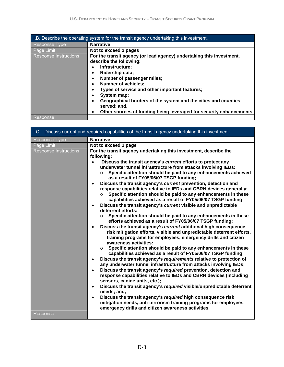| I.B. Describe the operating system for the transit agency undertaking this investment. |                                                                                                                                                                                                                                                                                                                                                                                                                                                                                                                       |  |
|----------------------------------------------------------------------------------------|-----------------------------------------------------------------------------------------------------------------------------------------------------------------------------------------------------------------------------------------------------------------------------------------------------------------------------------------------------------------------------------------------------------------------------------------------------------------------------------------------------------------------|--|
| <b>Response Type</b>                                                                   | <b>Narrative</b>                                                                                                                                                                                                                                                                                                                                                                                                                                                                                                      |  |
| Page Limit                                                                             | Not to exceed 2 pages                                                                                                                                                                                                                                                                                                                                                                                                                                                                                                 |  |
| <b>Response Instructions</b>                                                           | For the transit agency (or lead agency) undertaking this investment,<br>describe the following:<br>Infrastructure;<br>Ridership data;<br>$\bullet$<br>Number of passenger miles;<br>$\bullet$<br><b>Number of vehicles;</b><br>$\bullet$<br>Types of service and other important features;<br>$\bullet$<br>System map;<br>$\bullet$<br>Geographical borders of the system and the cities and counties<br>$\bullet$<br>served; and,<br>Other sources of funding being leveraged for security enhancements<br>$\bullet$ |  |
| Response                                                                               |                                                                                                                                                                                                                                                                                                                                                                                                                                                                                                                       |  |

| I.C. Discuss current and required capabilities of the transit agency undertaking this investment. |                                                                                                                                                                                                                                                                                                                                                                                                                                                                                                                                                                                                                                                                                                                                                                                                                                                                                                                                                                                                                                                                                                                                                                                                                                                                                                                                                                                                                                                                                                                                                                                                                                                                                                                                                                                                                                                                                                                                                                    |  |  |
|---------------------------------------------------------------------------------------------------|--------------------------------------------------------------------------------------------------------------------------------------------------------------------------------------------------------------------------------------------------------------------------------------------------------------------------------------------------------------------------------------------------------------------------------------------------------------------------------------------------------------------------------------------------------------------------------------------------------------------------------------------------------------------------------------------------------------------------------------------------------------------------------------------------------------------------------------------------------------------------------------------------------------------------------------------------------------------------------------------------------------------------------------------------------------------------------------------------------------------------------------------------------------------------------------------------------------------------------------------------------------------------------------------------------------------------------------------------------------------------------------------------------------------------------------------------------------------------------------------------------------------------------------------------------------------------------------------------------------------------------------------------------------------------------------------------------------------------------------------------------------------------------------------------------------------------------------------------------------------------------------------------------------------------------------------------------------------|--|--|
| Response Type                                                                                     | <b>Narrative</b>                                                                                                                                                                                                                                                                                                                                                                                                                                                                                                                                                                                                                                                                                                                                                                                                                                                                                                                                                                                                                                                                                                                                                                                                                                                                                                                                                                                                                                                                                                                                                                                                                                                                                                                                                                                                                                                                                                                                                   |  |  |
| Page Limit                                                                                        | Not to exceed 1 page                                                                                                                                                                                                                                                                                                                                                                                                                                                                                                                                                                                                                                                                                                                                                                                                                                                                                                                                                                                                                                                                                                                                                                                                                                                                                                                                                                                                                                                                                                                                                                                                                                                                                                                                                                                                                                                                                                                                               |  |  |
| <b>Response Instructions</b>                                                                      | For the transit agency undertaking this investment, describe the<br>following:<br>Discuss the transit agency's current efforts to protect any<br>$\bullet$<br>underwater tunnel infrastructure from attacks involving IEDs:<br>Specific attention should be paid to any enhancements achieved<br>$\circ$<br>as a result of FY05/06/07 TSGP funding;<br>Discuss the transit agency's current prevention, detection and<br>$\bullet$<br>response capabilities relative to IEDs and CBRN devices generally:<br>Specific attention should be paid to any enhancements in these<br>$\circ$<br>capabilities achieved as a result of FY05/06/07 TSGP funding;<br>Discuss the transit agency's current visible and unpredictable<br>$\bullet$<br>deterrent efforts:<br>Specific attention should be paid to any enhancements in these<br>$\circ$<br>efforts achieved as a result of FY05/06/07 TSGP funding;<br>Discuss the transit agency's current additional high consequence<br>$\bullet$<br>risk mitigation efforts, visible and unpredictable deterrent efforts,<br>training programs for employees, emergency drills and citizen<br>awareness activities:<br>Specific attention should be paid to any enhancements in these<br>$\circ$<br>capabilities achieved as a result of FY05/06/07 TSGP funding;<br>Discuss the transit agency's requirements relative to protection of<br>$\bullet$<br>any underwater tunnel infrastructure from attacks involving IEDs;<br>Discuss the transit agency's required prevention, detection and<br>$\bullet$<br>response capabilities relative to IEDs and CBRN devices (including<br>sensors, canine units, etc.);<br>Discuss the transit agency's required visible/unpredictable deterrent<br>$\bullet$<br>needs; and,<br>Discuss the transit agency's required high consequence risk<br>$\bullet$<br>mitigation needs, anti-terrorism training programs for employees,<br>emergency drills and citizen awareness activities. |  |  |
| Response                                                                                          |                                                                                                                                                                                                                                                                                                                                                                                                                                                                                                                                                                                                                                                                                                                                                                                                                                                                                                                                                                                                                                                                                                                                                                                                                                                                                                                                                                                                                                                                                                                                                                                                                                                                                                                                                                                                                                                                                                                                                                    |  |  |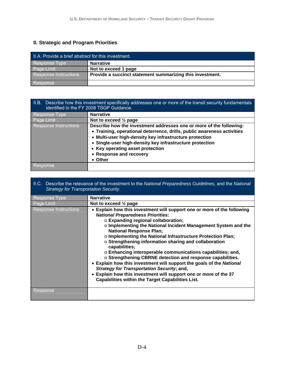# **II. Strategic and Program Priorities**

| II.A. Provide a brief abstract for this investment. |                                                           |  |
|-----------------------------------------------------|-----------------------------------------------------------|--|
| Response Type                                       | <b>Narrative</b>                                          |  |
| Page Limit                                          | Not to exceed 1 page                                      |  |
| <b>Response Instructions</b>                        | Provide a succinct statement summarizing this investment. |  |
| Response                                            |                                                           |  |

| H.B.<br>Describe how this investment specifically addresses one or more of the transit security fundamentals<br>identified in the FY 2008 TSGP Guidance. |                                                                                                                                                                                                                                                                                                                                                 |  |  |
|----------------------------------------------------------------------------------------------------------------------------------------------------------|-------------------------------------------------------------------------------------------------------------------------------------------------------------------------------------------------------------------------------------------------------------------------------------------------------------------------------------------------|--|--|
| Response Type                                                                                                                                            | <b>Narrative</b>                                                                                                                                                                                                                                                                                                                                |  |  |
| Page Limit                                                                                                                                               | Not to exceed $\frac{1}{2}$ page                                                                                                                                                                                                                                                                                                                |  |  |
| <b>Response Instructions</b>                                                                                                                             | Describe how the investment addresses one or more of the following:<br>• Training, operational deterrence, drills, public awareness activities<br>• Multi-user high-density key infrastructure protection<br>• Single-user high-density key infrastructure protection<br>• Key operating asset protection<br>• Response and recovery<br>• Other |  |  |
| <b>Response</b>                                                                                                                                          |                                                                                                                                                                                                                                                                                                                                                 |  |  |

#### II.C. Describe the relevance of the investment to the *National Preparedness Guidelines*, and the *National Strategy for Transportation Security*.

| Response Type                | <b>Narrative</b>                                                                                                                                                                                                                                                                                                                                                                                                                                                                                                                                                                                                                                                                                                                                                                                        |
|------------------------------|---------------------------------------------------------------------------------------------------------------------------------------------------------------------------------------------------------------------------------------------------------------------------------------------------------------------------------------------------------------------------------------------------------------------------------------------------------------------------------------------------------------------------------------------------------------------------------------------------------------------------------------------------------------------------------------------------------------------------------------------------------------------------------------------------------|
| Page Limit                   | Not to exceed $\frac{1}{2}$ page                                                                                                                                                                                                                                                                                                                                                                                                                                                                                                                                                                                                                                                                                                                                                                        |
| <b>Response Instructions</b> | • Explain how this investment will support one or more of the following<br><b>National Preparedness Priorities:</b><br>○ Expanding regional collaboration;<br>o Implementing the National Incident Management System and the<br><b>National Response Plan;</b><br>o Implementing the National Infrastructure Protection Plan;<br>o Strengthening information sharing and collaboration<br>capabilities;<br>$\circ$ Enhancing interoperable communications capabilities; and,<br>o Strengthening CBRNE detection and response capabilities.<br>• Explain how this investment will support the goals of the National<br><b>Strategy for Transportation Security; and,</b><br>• Explain how this investment will support one or more of the 37<br><b>Capabilities within the Target Capabilities List.</b> |
| Response                     |                                                                                                                                                                                                                                                                                                                                                                                                                                                                                                                                                                                                                                                                                                                                                                                                         |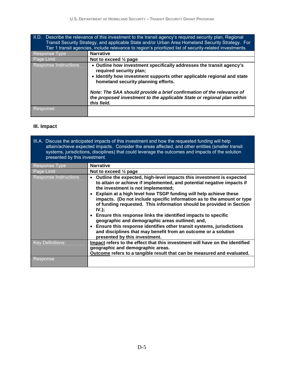| II.D. Describe the relevance of this investment to the transit agency's required security plan, Regional<br>Transit Security Strategy, and applicable State and/or Urban Area Homeland Security Strategy. For<br>Tier 1 transit agencies, include relevance to region's prioritized list of security-related investments. |                                                                                                                                                                                                                                                                                                                                                                      |  |
|---------------------------------------------------------------------------------------------------------------------------------------------------------------------------------------------------------------------------------------------------------------------------------------------------------------------------|----------------------------------------------------------------------------------------------------------------------------------------------------------------------------------------------------------------------------------------------------------------------------------------------------------------------------------------------------------------------|--|
| Response Type                                                                                                                                                                                                                                                                                                             | <b>Narrative</b>                                                                                                                                                                                                                                                                                                                                                     |  |
| Page Limit                                                                                                                                                                                                                                                                                                                | Not to exceed $\frac{1}{2}$ page                                                                                                                                                                                                                                                                                                                                     |  |
| <b>Response Instructions</b>                                                                                                                                                                                                                                                                                              | • Outline how investment specifically addresses the transit agency's<br>required security plan;<br>• Identify how investment supports other applicable regional and state<br>homeland security planning efforts.<br>Note: The SAA should provide a brief confirmation of the relevance of<br>the proposed investment to the applicable State or regional plan within |  |
|                                                                                                                                                                                                                                                                                                                           | this field.                                                                                                                                                                                                                                                                                                                                                          |  |
| Response:                                                                                                                                                                                                                                                                                                                 |                                                                                                                                                                                                                                                                                                                                                                      |  |

# **III. Impact**

| III.A. Discuss the anticipated impacts of this investment and how the requested funding will help<br>attain/achieve expected impacts. Consider the areas affected, and other entities (smaller transit<br>systems, jurisdictions, disciplines) that could leverage the outcomes and impacts of the solution<br>presented by this investment. |                                                                                                                                                                                                                                                                                                                                                                                                                                                                                                                                                                                                                                                                                                                           |  |  |
|----------------------------------------------------------------------------------------------------------------------------------------------------------------------------------------------------------------------------------------------------------------------------------------------------------------------------------------------|---------------------------------------------------------------------------------------------------------------------------------------------------------------------------------------------------------------------------------------------------------------------------------------------------------------------------------------------------------------------------------------------------------------------------------------------------------------------------------------------------------------------------------------------------------------------------------------------------------------------------------------------------------------------------------------------------------------------------|--|--|
| Response Type                                                                                                                                                                                                                                                                                                                                | <b>Narrative</b>                                                                                                                                                                                                                                                                                                                                                                                                                                                                                                                                                                                                                                                                                                          |  |  |
| Page Limit                                                                                                                                                                                                                                                                                                                                   | Not to exceed $\frac{1}{2}$ page                                                                                                                                                                                                                                                                                                                                                                                                                                                                                                                                                                                                                                                                                          |  |  |
| Response Instructions                                                                                                                                                                                                                                                                                                                        | Outline the expected, high-level impacts this investment is expected<br>to attain or achieve if implemented, and potential negative impacts if<br>the investment is not implemented;<br>Explain at a high level how TSGP funding will help achieve these<br>impacts. (Do not include specific information as to the amount or type<br>of funding requested. This information should be provided in Section<br>$IV.$ );<br>• Ensure this response links the identified impacts to specific<br>geographic and demographic areas outlined; and,<br>• Ensure this response identifies other transit systems, jurisdictions<br>and disciplines that may benefit from an outcome or a solution<br>presented by this investment. |  |  |
| <b>Key Definitions:</b>                                                                                                                                                                                                                                                                                                                      | Impact refers to the effect that this investment will have on the identified<br>geographic and demographic areas.                                                                                                                                                                                                                                                                                                                                                                                                                                                                                                                                                                                                         |  |  |
|                                                                                                                                                                                                                                                                                                                                              | Outcome refers to a tangible result that can be measured and evaluated.                                                                                                                                                                                                                                                                                                                                                                                                                                                                                                                                                                                                                                                   |  |  |
| Response                                                                                                                                                                                                                                                                                                                                     |                                                                                                                                                                                                                                                                                                                                                                                                                                                                                                                                                                                                                                                                                                                           |  |  |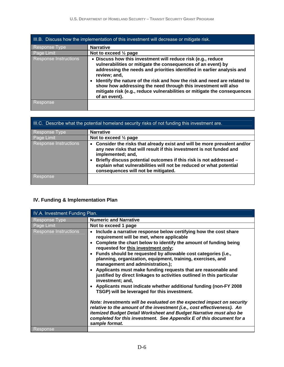| III.B. Discuss how the implementation of this investment will decrease or mitigate risk. |                                                                                                                                                                                                                                                                                                                                                                                                                                                                   |  |  |
|------------------------------------------------------------------------------------------|-------------------------------------------------------------------------------------------------------------------------------------------------------------------------------------------------------------------------------------------------------------------------------------------------------------------------------------------------------------------------------------------------------------------------------------------------------------------|--|--|
| Response Type                                                                            | <b>Narrative</b>                                                                                                                                                                                                                                                                                                                                                                                                                                                  |  |  |
| Page Limit                                                                               | Not to exceed $\frac{1}{2}$ page                                                                                                                                                                                                                                                                                                                                                                                                                                  |  |  |
| <b>Response Instructions</b>                                                             | • Discuss how this investment will reduce risk (e.g., reduce<br>vulnerabilities or mitigate the consequences of an event) by<br>addressing the needs and priorities identified in earlier analysis and<br>review; and,<br>Identify the nature of the risk and how the risk and need are related to<br>show how addressing the need through this investment will also<br>mitigate risk (e.g., reduce vulnerabilities or mitigate the consequences<br>of an event). |  |  |
| Response                                                                                 |                                                                                                                                                                                                                                                                                                                                                                                                                                                                   |  |  |

| III.C. Describe what the potential homeland security risks of not funding this investment are. |                                                                                                                                                                                                                                             |  |
|------------------------------------------------------------------------------------------------|---------------------------------------------------------------------------------------------------------------------------------------------------------------------------------------------------------------------------------------------|--|
| Response Type                                                                                  | <b>Narrative</b>                                                                                                                                                                                                                            |  |
| Page Limit                                                                                     | Not to exceed $\frac{1}{2}$ page                                                                                                                                                                                                            |  |
| <b>Response Instructions</b>                                                                   | • Consider the risks that already exist and will be more prevalent and/or<br>any new risks that will result if this investment is not funded and<br>implemented; and,<br>Briefly discuss potential outcomes if this risk is not addressed - |  |
|                                                                                                | explain what vulnerabilities will not be reduced or what potential<br>consequences will not be mitigated.                                                                                                                                   |  |
| Response                                                                                       |                                                                                                                                                                                                                                             |  |

# **IV. Funding & Implementation Plan**

| IV.A. Investment Funding Plan. |                                                                                                                                                                                                                                                                                                                                                                                                                                                                                                                                                                                                                                                                                                                                                                   |  |
|--------------------------------|-------------------------------------------------------------------------------------------------------------------------------------------------------------------------------------------------------------------------------------------------------------------------------------------------------------------------------------------------------------------------------------------------------------------------------------------------------------------------------------------------------------------------------------------------------------------------------------------------------------------------------------------------------------------------------------------------------------------------------------------------------------------|--|
| <b>Response Type</b>           | <b>Numeric and Narrative</b>                                                                                                                                                                                                                                                                                                                                                                                                                                                                                                                                                                                                                                                                                                                                      |  |
| Page Limit                     | Not to exceed 1 page                                                                                                                                                                                                                                                                                                                                                                                                                                                                                                                                                                                                                                                                                                                                              |  |
| Response Instructions          | Include a narrative response below certifying how the cost share<br>requirement will be met, where applicable<br>• Complete the chart below to identify the amount of funding being<br>requested for this investment only;<br>• Funds should be requested by allowable cost categories (i.e.,<br>planning, organization, equipment, training, exercises, and<br>management and administration.);<br>• Applicants must make funding requests that are reasonable and<br>justified by direct linkages to activities outlined in this particular<br>investment; and,<br>• Applicants must indicate whether additional funding (non-FY 2008<br>TSGP) will be leveraged for this investment.<br>Note: Investments will be evaluated on the expected impact on security |  |
|                                | relative to the amount of the investment (i.e., cost effectiveness). An<br>itemized Budget Detail Worksheet and Budget Narrative must also be<br>completed for this investment. See Appendix E of this document for a<br>sample format.                                                                                                                                                                                                                                                                                                                                                                                                                                                                                                                           |  |
| Response                       |                                                                                                                                                                                                                                                                                                                                                                                                                                                                                                                                                                                                                                                                                                                                                                   |  |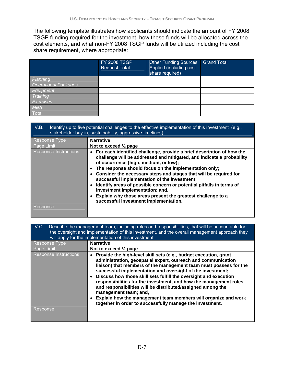The following template illustrates how applicants should indicate the amount of FY 2008 TSGP funding required for the investment, how these funds will be allocated across the cost elements, and what non-FY 2008 TSGP funds will be utilized including the cost share requirement, where appropriate:

|                             | <b>FY 2008 TSGP</b><br><b>Request Total</b> | <b>Other Funding Sources</b><br>Applied (including cost<br>share required) | <b>Grand Total</b> |
|-----------------------------|---------------------------------------------|----------------------------------------------------------------------------|--------------------|
| Planning                    |                                             |                                                                            |                    |
| <b>Operational Packages</b> |                                             |                                                                            |                    |
| Equipment                   |                                             |                                                                            |                    |
| Training                    |                                             |                                                                            |                    |
| <b>Exercises</b>            |                                             |                                                                            |                    |
| M&A                         |                                             |                                                                            |                    |
| Total                       |                                             |                                                                            |                    |

| IV.B.<br>Identify up to five potential challenges to the effective implementation of this investment (e.g.,<br>stakeholder buy-in, sustainability, aggressive timelines). |                                                                                                                                                                                                                                                                                                                                                                                                                                                                                                                                                                                            |  |
|---------------------------------------------------------------------------------------------------------------------------------------------------------------------------|--------------------------------------------------------------------------------------------------------------------------------------------------------------------------------------------------------------------------------------------------------------------------------------------------------------------------------------------------------------------------------------------------------------------------------------------------------------------------------------------------------------------------------------------------------------------------------------------|--|
| <b>Response Type</b>                                                                                                                                                      | <b>Narrative</b>                                                                                                                                                                                                                                                                                                                                                                                                                                                                                                                                                                           |  |
| Page Limit                                                                                                                                                                | Not to exceed $\frac{1}{2}$ page                                                                                                                                                                                                                                                                                                                                                                                                                                                                                                                                                           |  |
| Response Instructions                                                                                                                                                     | • For each identified challenge, provide a brief description of how the<br>challenge will be addressed and mitigated, and indicate a probability<br>of occurrence (high, medium, or low);<br>The response should focus on the implementation only;<br>Consider the necessary steps and stages that will be required for<br>successful implementation of the investment;<br>Identify areas of possible concern or potential pitfalls in terms of<br>investment implementation; and,<br>Explain why those areas present the greatest challenge to a<br>successful investment implementation. |  |
| 'Response,                                                                                                                                                                |                                                                                                                                                                                                                                                                                                                                                                                                                                                                                                                                                                                            |  |

| IV.C.<br>Describe the management team, including roles and responsibilities, that will be accountable for<br>the oversight and implementation of this investment, and the overall management approach they<br>will apply for the implementation of this investment. |                                                                                                                                                                                                                                                                                                                                                                                                                                                                                                                                                                         |  |
|---------------------------------------------------------------------------------------------------------------------------------------------------------------------------------------------------------------------------------------------------------------------|-------------------------------------------------------------------------------------------------------------------------------------------------------------------------------------------------------------------------------------------------------------------------------------------------------------------------------------------------------------------------------------------------------------------------------------------------------------------------------------------------------------------------------------------------------------------------|--|
| Response Type                                                                                                                                                                                                                                                       | <b>Narrative</b>                                                                                                                                                                                                                                                                                                                                                                                                                                                                                                                                                        |  |
| Page Limit                                                                                                                                                                                                                                                          | Not to exceed $\frac{1}{2}$ page                                                                                                                                                                                                                                                                                                                                                                                                                                                                                                                                        |  |
| <b>Response Instructions</b>                                                                                                                                                                                                                                        | Provide the high-level skill sets (e.g., budget execution, grant<br>administration, geospatial expert, outreach and communication<br>liaison) that members of the management team must possess for the<br>successful implementation and oversight of the investment;<br>Discuss how those skill sets fulfill the oversight and execution<br>responsibilities for the investment, and how the management roles<br>and responsibilities will be distributed/assigned among the<br>management team; and,<br>Explain how the management team members will organize and work |  |
|                                                                                                                                                                                                                                                                     | together in order to successfully manage the investment.                                                                                                                                                                                                                                                                                                                                                                                                                                                                                                                |  |
| Response                                                                                                                                                                                                                                                            |                                                                                                                                                                                                                                                                                                                                                                                                                                                                                                                                                                         |  |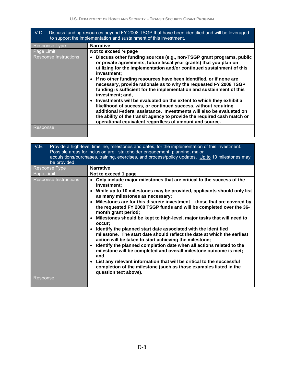| IV.D. | Discuss funding resources beyond FY 2008 TSGP that have been identified and will be leveraged |
|-------|-----------------------------------------------------------------------------------------------|
|       | to support the implementation and sustainment of this investment.                             |

| Response Type                | <b>Narrative</b>                                                                                                                                                                                                                                                                                                                                      |
|------------------------------|-------------------------------------------------------------------------------------------------------------------------------------------------------------------------------------------------------------------------------------------------------------------------------------------------------------------------------------------------------|
| Page Limit                   | Not to exceed $\frac{1}{2}$ page                                                                                                                                                                                                                                                                                                                      |
| <b>Response Instructions</b> | Discuss other funding sources (e.g., non-TSGP grant programs, public<br>or private agreements, future fiscal year grants) that you plan on<br>utilizing for the implementation and/or continued sustainment of this<br>investment;                                                                                                                    |
|                              | • If no other funding resources have been identified, or if none are<br>necessary, provide rationale as to why the requested FY 2008 TSGP<br>funding is sufficient for the implementation and sustainment of this<br>investment; and,                                                                                                                 |
|                              | • Investments will be evaluated on the extent to which they exhibit a<br>likelihood of success, or continued success, without requiring<br>additional Federal assistance. Investments will also be evaluated on<br>the ability of the transit agency to provide the required cash match or<br>operational equivalent regardless of amount and source. |
| Response                     |                                                                                                                                                                                                                                                                                                                                                       |

| IV.E.<br>Provide a high-level timeline, milestones and dates, for the implementation of this investment.<br>Possible areas for inclusion are: stakeholder engagement, planning, major<br>acquisitions/purchases, training, exercises, and process/policy updates. Up to 10 milestones may<br>be provided. |                                                                                                                                                                                                                                                                                                                                                                                                                                                                                                                                                                                                                                                                                                                                                                                                                                                                                                                                                                                                                |  |
|-----------------------------------------------------------------------------------------------------------------------------------------------------------------------------------------------------------------------------------------------------------------------------------------------------------|----------------------------------------------------------------------------------------------------------------------------------------------------------------------------------------------------------------------------------------------------------------------------------------------------------------------------------------------------------------------------------------------------------------------------------------------------------------------------------------------------------------------------------------------------------------------------------------------------------------------------------------------------------------------------------------------------------------------------------------------------------------------------------------------------------------------------------------------------------------------------------------------------------------------------------------------------------------------------------------------------------------|--|
| Response Type                                                                                                                                                                                                                                                                                             | <b>Narrative</b>                                                                                                                                                                                                                                                                                                                                                                                                                                                                                                                                                                                                                                                                                                                                                                                                                                                                                                                                                                                               |  |
| Page Limit                                                                                                                                                                                                                                                                                                | Not to exceed 1 page                                                                                                                                                                                                                                                                                                                                                                                                                                                                                                                                                                                                                                                                                                                                                                                                                                                                                                                                                                                           |  |
| <b>Response Instructions</b>                                                                                                                                                                                                                                                                              | Only include major milestones that are critical to the success of the<br>investment;<br>• While up to 10 milestones may be provided, applicants should only list<br>as many milestones as necessary;<br>• Milestones are for this discrete investment - those that are covered by<br>the requested FY 2008 TSGP funds and will be completed over the 36-<br>month grant period;<br>• Milestones should be kept to high-level, major tasks that will need to<br>occur;<br>• Identify the planned start date associated with the identified<br>milestone. The start date should reflect the date at which the earliest<br>action will be taken to start achieving the milestone;<br>• Identify the planned completion date when all actions related to the<br>milestone will be completed and overall milestone outcome is met;<br>and,<br>• List any relevant information that will be critical to the successful<br>completion of the milestone (such as those examples listed in the<br>question text above). |  |
| Response                                                                                                                                                                                                                                                                                                  |                                                                                                                                                                                                                                                                                                                                                                                                                                                                                                                                                                                                                                                                                                                                                                                                                                                                                                                                                                                                                |  |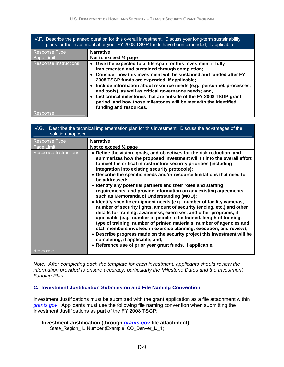| IV.F. Describe the planned duration for this overall investment. Discuss your long-term sustainability<br>plans for the investment after your FY 2008 TSGP funds have been expended, if applicable. |                                                                                                                                                                                                                                                                                                                                                                                                                                                                                                                                                       |  |  |
|-----------------------------------------------------------------------------------------------------------------------------------------------------------------------------------------------------|-------------------------------------------------------------------------------------------------------------------------------------------------------------------------------------------------------------------------------------------------------------------------------------------------------------------------------------------------------------------------------------------------------------------------------------------------------------------------------------------------------------------------------------------------------|--|--|
| Response Type                                                                                                                                                                                       | <b>Narrative</b>                                                                                                                                                                                                                                                                                                                                                                                                                                                                                                                                      |  |  |
| Page Limit                                                                                                                                                                                          | Not to exceed 1/2 page                                                                                                                                                                                                                                                                                                                                                                                                                                                                                                                                |  |  |
| <b>Response Instructions</b>                                                                                                                                                                        | • Give the expected total life-span for this investment if fully<br>implemented and sustained through completion;<br>• Consider how this investment will be sustained and funded after FY<br>2008 TSGP funds are expended, if applicable;<br>• Include information about resource needs (e.g., personnel, processes,<br>and tools), as well as critical governance needs; and,<br>• List critical milestones that are outside of the FY 2008 TSGP grant<br>period, and how those milestones will be met with the identified<br>funding and resources. |  |  |
| Response                                                                                                                                                                                            |                                                                                                                                                                                                                                                                                                                                                                                                                                                                                                                                                       |  |  |

| Describe the technical implementation plan for this investment. Discuss the advantages of the<br>IV.G.<br>solution proposed. |                                                                                                                                                                                                                                                                                                                                                                                                                                                                                                                                                                                                                                                                                                                                                                                                                                                                                                                                                                                                                                                                                                                                                                                         |  |
|------------------------------------------------------------------------------------------------------------------------------|-----------------------------------------------------------------------------------------------------------------------------------------------------------------------------------------------------------------------------------------------------------------------------------------------------------------------------------------------------------------------------------------------------------------------------------------------------------------------------------------------------------------------------------------------------------------------------------------------------------------------------------------------------------------------------------------------------------------------------------------------------------------------------------------------------------------------------------------------------------------------------------------------------------------------------------------------------------------------------------------------------------------------------------------------------------------------------------------------------------------------------------------------------------------------------------------|--|
| Response Type                                                                                                                | <b>Narrative</b>                                                                                                                                                                                                                                                                                                                                                                                                                                                                                                                                                                                                                                                                                                                                                                                                                                                                                                                                                                                                                                                                                                                                                                        |  |
| Page Limit                                                                                                                   | Not to exceed $\frac{1}{2}$ page                                                                                                                                                                                                                                                                                                                                                                                                                                                                                                                                                                                                                                                                                                                                                                                                                                                                                                                                                                                                                                                                                                                                                        |  |
| <b>Response Instructions</b>                                                                                                 | • Define the vision, goals, and objectives for the risk reduction, and<br>summarizes how the proposed investment will fit into the overall effort<br>to meet the critical infrastructure security priorities (including<br>integration into existing security protocols);<br>• Describe the specific needs and/or resource limitations that need to<br>be addressed:<br>• Identify any potential partners and their roles and staffing<br>requirements, and provide information on any existing agreements<br>such as Memoranda of Understanding (MOU);<br>• Identify specific equipment needs (e.g., number of facility cameras,<br>number of security lights, amount of security fencing, etc.) and other<br>details for training, awareness, exercises, and other programs, if<br>applicable (e.g., number of people to be trained, length of training,<br>type of training, number of printed materials, number of agencies and<br>staff members involved in exercise planning, execution, and review);<br>• Describe progress made on the security project this investment will be<br>completing, if applicable; and,<br>• Reference use of prior year grant funds, if applicable. |  |
| Response                                                                                                                     |                                                                                                                                                                                                                                                                                                                                                                                                                                                                                                                                                                                                                                                                                                                                                                                                                                                                                                                                                                                                                                                                                                                                                                                         |  |
|                                                                                                                              |                                                                                                                                                                                                                                                                                                                                                                                                                                                                                                                                                                                                                                                                                                                                                                                                                                                                                                                                                                                                                                                                                                                                                                                         |  |

*Note: After completing each the template for each investment, applicants should review the information provided to ensure accuracy, particularly the Milestone Dates and the Investment Funding Plan.*

#### **C. Investment Justification Submission and File Naming Convention**

Investment Justifications must be submitted with the grant application as a file attachment within *grants.gov*. Applicants must use the following file naming convention when submitting the Investment Justifications as part of the FY 2008 TSGP:

#### **Investment Justification (through** *grants.gov* **file attachment)**

State\_Region\_ IJ Number (Example: CO\_Denver\_IJ\_1)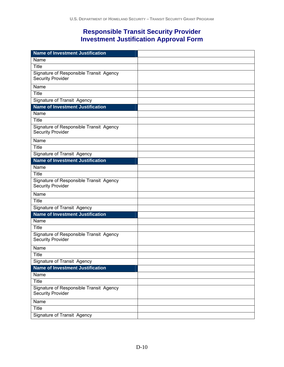# **Responsible Transit Security Provider Investment Justification Approval Form**

| <b>Name of Investment Justification</b>                             |  |
|---------------------------------------------------------------------|--|
| Name                                                                |  |
| Title                                                               |  |
| Signature of Responsible Transit Agency<br><b>Security Provider</b> |  |
| Name                                                                |  |
| Title                                                               |  |
| <b>Signature of Transit Agency</b>                                  |  |
| <b>Name of Investment Justification</b>                             |  |
| Name                                                                |  |
| <b>Title</b>                                                        |  |
| Signature of Responsible Transit Agency<br><b>Security Provider</b> |  |
| Name                                                                |  |
| <b>Title</b>                                                        |  |
| <b>Signature of Transit Agency</b>                                  |  |
| <b>Name of Investment Justification</b>                             |  |
| Name                                                                |  |
| Title                                                               |  |
| Signature of Responsible Transit Agency<br><b>Security Provider</b> |  |
| Name                                                                |  |
| Title                                                               |  |
| <b>Signature of Transit Agency</b>                                  |  |
| <b>Name of Investment Justification</b>                             |  |
| Name                                                                |  |
| Title                                                               |  |
| Signature of Responsible Transit Agency<br><b>Security Provider</b> |  |
| Name                                                                |  |
| Title                                                               |  |
| Signature of Transit Agency                                         |  |
| <b>Name of Investment Justification</b>                             |  |
| Name                                                                |  |
| <b>Title</b>                                                        |  |
| Signature of Responsible Transit Agency<br><b>Security Provider</b> |  |
| Name                                                                |  |
| <b>Title</b>                                                        |  |
| <b>Signature of Transit Agency</b>                                  |  |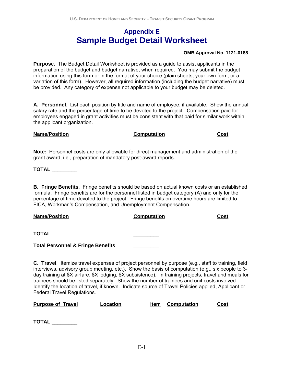# **Appendix E Sample Budget Detail Worksheet**

#### **OMB Approval No. 1121-0188**

**Purpose.** The Budget Detail Worksheet is provided as a guide to assist applicants in the preparation of the budget and budget narrative, when required. You may submit the budget information using this form or in the format of your choice (plain sheets, your own form, or a variation of this form). However, all required information (including the budget narrative) must be provided. Any category of expense not applicable to your budget may be deleted.

**A. Personnel**. List each position by title and name of employee, if available. Show the annual salary rate and the percentage of time to be devoted to the project. Compensation paid for employees engaged in grant activities must be consistent with that paid for similar work within the applicant organization.

#### **Name/Position Computation Cost**

**Note:** Personnel costs are only allowable for direct management and administration of the grant award, i.e., preparation of mandatory post-award reports.

**TOTAL** \_\_\_\_\_\_\_\_\_

**B. Fringe Benefits**. Fringe benefits should be based on actual known costs or an established formula. Fringe benefits are for the personnel listed in budget category (A) and only for the percentage of time devoted to the project. Fringe benefits on overtime hours are limited to FICA, Workman's Compensation, and Unemployment Compensation.

#### **Name/Position Computation Cost**

**TOTAL** \_\_\_\_\_\_\_\_\_

**Total Personnel & Fringe Benefits** \_\_\_\_\_\_\_\_\_

**C. Travel**. Itemize travel expenses of project personnel by purpose (e.g., staff to training, field interviews, advisory group meeting, etc.). Show the basis of computation (e.g., six people to 3 day training at \$X airfare, \$X lodging, \$X subsistence). In training projects, travel and meals for trainees should be listed separately. Show the number of trainees and unit costs involved. Identify the location of travel, if known. Indicate source of Travel Policies applied, Applicant or Federal Travel Regulations.

#### **Purpose of Location** Item Computation Cost

| TOTAL<br>Τ |
|------------|
|------------|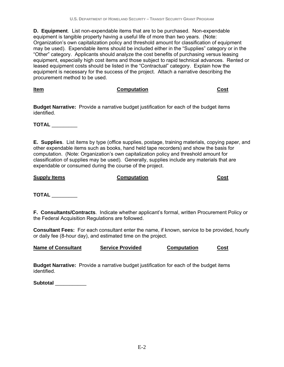**D. Equipment**. List non-expendable items that are to be purchased. Non-expendable equipment is tangible property having a useful life of more than two years. (Note: Organization's own capitalization policy and threshold amount for classification of equipment may be used). Expendable items should be included either in the "Supplies" category or in the "Other" category. Applicants should analyze the cost benefits of purchasing versus leasing equipment, especially high cost items and those subject to rapid technical advances. Rented or leased equipment costs should be listed in the "Contractual" category. Explain how the equipment is necessary for the success of the project. Attach a narrative describing the procurement method to be used.

**Item Computation Computation Cost** 

**Budget Narrative:** Provide a narrative budget justification for each of the budget items identified.

**TOTAL** \_\_\_\_\_\_\_\_\_

**E. Supplies**. List items by type (office supplies, postage, training materials, copying paper, and other expendable items such as books, hand held tape recorders) and show the basis for computation. (Note: Organization's own capitalization policy and threshold amount for classification of supplies may be used). Generally, supplies include any materials that are expendable or consumed during the course of the project.

**Supply Items Conputation Computation Cost** 

**TOTAL** \_\_\_\_\_\_\_\_\_

**F. Consultants/Contracts**. Indicate whether applicant's formal, written Procurement Policy or the Federal Acquisition Regulations are followed.

**Consultant Fees:** For each consultant enter the name, if known, service to be provided, hourly or daily fee (8-hour day), and estimated time on the project.

**Name of Consultant Service Provided Computation Cost**

**Budget Narrative:** Provide a narrative budget justification for each of the budget items identified.

**Subtotal** \_\_\_\_\_\_\_\_\_\_\_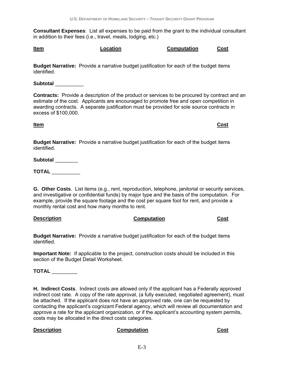**Consultant Expenses**: List all expenses to be paid from the grant to the individual consultant in addition to their fees (i.e., travel, meals, lodging, etc.)

**Budget Narrative:** Provide a narrative budget justification for each of the budget items identified.

**Subtotal** \_\_\_\_\_\_\_\_\_\_

**Contracts:** Provide a description of the product or services to be procured by contract and an estimate of the cost. Applicants are encouraged to promote free and open competition in awarding contracts. A separate justification must be provided for sole source contracts in excess of \$100,000.

**Budget Narrative:** Provide a narrative budget justification for each of the budget items identified.

**Subtotal** \_\_\_\_\_\_\_\_

**TOTAL** \_\_\_\_\_\_\_\_\_\_

**G. Other Costs**. List items (e.g., rent, reproduction, telephone, janitorial or security services, and investigative or confidential funds) by major type and the basis of the computation. For example, provide the square footage and the cost per square foot for rent, and provide a monthly rental cost and how many months to rent.

#### **Description Computation Cost**

**Budget Narrative:** Provide a narrative budget justification for each of the budget items identified.

**Important Note:**If applicable to the project, construction costs should be included in this section of the Budget Detail Worksheet.

**TOTAL** \_\_\_\_\_\_\_\_\_

**H. Indirect Costs**. Indirect costs are allowed only if the applicant has a Federally approved indirect cost rate. A copy of the rate approval, (a fully executed, negotiated agreement), must be attached. If the applicant does not have an approved rate, one can be requested by contacting the applicant's cognizant Federal agency, which will review all documentation and approve a rate for the applicant organization, or if the applicant's accounting system permits, costs may be allocated in the direct costs categories.

#### **Description Computation Cost**

**Item Cost**

**Item Computation Computation Cost**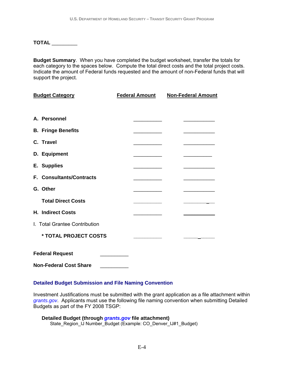**TOTAL** \_\_\_\_\_\_\_\_\_

**Budget Summary**. When you have completed the budget worksheet, transfer the totals for each category to the spaces below. Compute the total direct costs and the total project costs. Indicate the amount of Federal funds requested and the amount of non-Federal funds that will support the project.

| <b>Budget Category</b>        | <b>Federal Amount</b> | <b>Non-Federal Amount</b> |  |  |  |
|-------------------------------|-----------------------|---------------------------|--|--|--|
|                               |                       |                           |  |  |  |
| A. Personnel                  |                       |                           |  |  |  |
| <b>B. Fringe Benefits</b>     |                       |                           |  |  |  |
| C. Travel                     |                       |                           |  |  |  |
| D. Equipment                  |                       |                           |  |  |  |
| E. Supplies                   |                       |                           |  |  |  |
| F. Consultants/Contracts      |                       |                           |  |  |  |
| G. Other                      |                       |                           |  |  |  |
| <b>Total Direct Costs</b>     |                       |                           |  |  |  |
| <b>H. Indirect Costs</b>      |                       |                           |  |  |  |
| I. Total Grantee Contribution |                       |                           |  |  |  |
| * TOTAL PROJECT COSTS         |                       |                           |  |  |  |
| <b>Federal Request</b>        |                       |                           |  |  |  |
| <b>Non-Federal Cost Share</b> |                       |                           |  |  |  |

### **Detailed Budget Submission and File Naming Convention**

Investment Justifications must be submitted with the grant application as a file attachment within *grants.gov*. Applicants must use the following file naming convention when submitting Detailed Budgets as part of the FY 2008 TSGP:

|  | Detailed Budget (through <i>grants.gov</i> file attachment)    |  |  |  |
|--|----------------------------------------------------------------|--|--|--|
|  | State_Region_IJ Number_Budget (Example: CO_Denver_IJ#1_Budget) |  |  |  |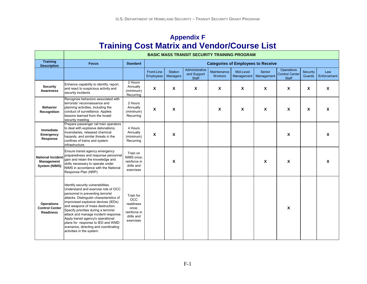# **Appendix F Training Cost Matrix and Vendor/Course List**

|                                                                | <b>BASIC MASS TRANSIT SECURITY TRAINING PROGRAM</b>                                                                                                                                                                                                                                                                                                                                                                                                                    |                                                                                   |                                |                                   |                                               |                                           |                                      |                           |                                                     |                    |                    |
|----------------------------------------------------------------|------------------------------------------------------------------------------------------------------------------------------------------------------------------------------------------------------------------------------------------------------------------------------------------------------------------------------------------------------------------------------------------------------------------------------------------------------------------------|-----------------------------------------------------------------------------------|--------------------------------|-----------------------------------|-----------------------------------------------|-------------------------------------------|--------------------------------------|---------------------------|-----------------------------------------------------|--------------------|--------------------|
| <b>Training</b><br><b>Description</b>                          | <b>Focus</b>                                                                                                                                                                                                                                                                                                                                                                                                                                                           | <b>Standard</b>                                                                   |                                |                                   |                                               | <b>Categories of Employees to Receive</b> |                                      |                           |                                                     |                    |                    |
|                                                                |                                                                                                                                                                                                                                                                                                                                                                                                                                                                        |                                                                                   | Front-Line<br><b>Employees</b> | <b>Station</b><br><b>Managers</b> | Administrative<br>and Support<br><b>Staff</b> | Maintenance<br>Workers                    | Mid-Level<br>Management   Management | Senior                    | Operations<br><b>Control Center</b><br><b>Staff</b> | Security<br>Guards | Law<br>Enforcement |
| <b>Security</b><br><b>Awareness</b>                            | Enhance capability to identify, report,<br>and react to suspicious activity and<br>security incidents                                                                                                                                                                                                                                                                                                                                                                  | 2 Hours<br>Annually<br>(minimum)<br>Recurring                                     | X                              | $\pmb{\mathsf{X}}$                | X                                             | $\pmb{\mathsf{X}}$                        | $\mathbf x$                          | $\boldsymbol{\mathsf{X}}$ | X                                                   | X                  | $\mathbf x$        |
| <b>Behavior</b><br>Recognition                                 | Recognize behaviors associated with<br>terrorists' reconnaissance and<br>planning activities, including the<br>conduct of surveillance. Applies<br>lessons learned from the Israeli<br>security meeting.                                                                                                                                                                                                                                                               | 2 Hours<br>Annually<br>(minimum)<br>Recurring                                     | X                              | $\pmb{\mathsf{X}}$                |                                               | X                                         | $\mathbf x$                          | $\boldsymbol{\mathsf{X}}$ | X                                                   | X                  | $\mathbf{x}$       |
| Immediate<br>Emergency<br>Response                             | Prepare passenger rail train operators<br>to deal with explosive detonations,<br>incendiaries, released chemical<br>hazards, and similar threats in the<br>confines of trains and system<br>infrastructure.                                                                                                                                                                                                                                                            | 4 Hours<br>Annually<br>(minimum)<br>Recurring                                     | X                              | X                                 |                                               |                                           |                                      |                           | X                                                   |                    | $\mathbf{x}$       |
| <b>National Incident</b><br><b>Management</b><br>System (NIMS) | Ensure transit agency emergency<br>preparedness and response personnel<br>gain and retain the knowledge and<br>skills necessary to operate under<br>NIMS in accordance with the National<br>Response Plan (NRP).                                                                                                                                                                                                                                                       | Train on<br>NIMS once:<br>reinforce in<br>drills and<br>exercises                 |                                | X                                 |                                               |                                           |                                      | $\boldsymbol{\mathsf{x}}$ | X                                                   |                    | $\mathbf{x}$       |
| <b>Operations</b><br><b>Control Center</b><br><b>Readiness</b> | Identify security vulnerabilities.<br>Understand and exercise role of OCC<br>personnel in preventing terrorist<br>attacks. Distinguish characteristics of<br>improvised explosive devices (IEDs)<br>and weapons of mass destruction.<br>Specify priorities during a terrorist<br>attack and manage incident response.<br>Apply transit agency's operational<br>plans for response to IED and WMD<br>scenarios, directing and coordinating<br>activities in the system. | Train for<br>OCC<br>readiness<br>once;<br>reinforce in<br>drills and<br>exercises |                                |                                   |                                               |                                           |                                      |                           | X                                                   |                    |                    |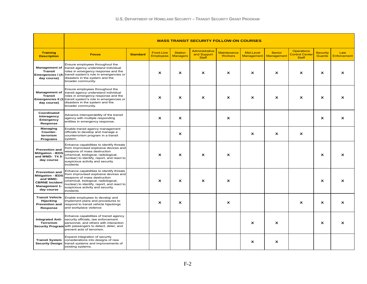|                                                                                                                              | <b>MASS TRANSIT SECURITY FOLLOW-ON COURSES</b>                                                                                                                                                                                                          |                 |                                       |                                   |                                                      |                                      |                                |                           |                                                            |                                  |                           |
|------------------------------------------------------------------------------------------------------------------------------|---------------------------------------------------------------------------------------------------------------------------------------------------------------------------------------------------------------------------------------------------------|-----------------|---------------------------------------|-----------------------------------|------------------------------------------------------|--------------------------------------|--------------------------------|---------------------------|------------------------------------------------------------|----------------------------------|---------------------------|
| <b>Training</b><br><b>Description</b>                                                                                        | <b>Focus</b>                                                                                                                                                                                                                                            | <b>Standard</b> | <b>Front-Line</b><br><b>Employees</b> | <b>Station</b><br><b>Managers</b> | <b>Administrative</b><br>and Support<br><b>Staff</b> | <b>Maintenance</b><br><b>Workers</b> | Mid-Level<br><b>Management</b> | Senior<br>Management      | <b>Operations</b><br><b>Control Center</b><br><b>Staff</b> | <b>Security</b><br><b>Guards</b> | Law<br>Enforcement        |
| <b>Management of</b><br><b>Transit</b><br>Emergencies I (4-<br>day course)                                                   | Ensure employees throughout the<br>transit agency understand individual<br>roles in emergency response and the<br>transit system's role in emergencies or<br>disasters in the system and the<br>broader community.                                      |                 | $\mathbf{x}$                          | X                                 | $\boldsymbol{\mathsf{x}}$                            | $\boldsymbol{\mathsf{x}}$            | $\mathbf{x}$                   | x                         | X                                                          | x                                | X                         |
| <b>Management of</b><br><b>Transit</b><br><b>Emergencies II (1</b><br>day course)                                            | Ensure employees throughout the<br>transit agency understand individual<br>roles in emergency response and the<br>transit system's role in emergencies or<br>disasters in the system and the<br>broader community.                                      |                 | $\mathbf{x}$                          | X                                 | $\boldsymbol{\mathsf{x}}$                            | $\boldsymbol{\mathsf{x}}$            | $\boldsymbol{\mathsf{x}}$      | $\boldsymbol{\mathsf{x}}$ | $\boldsymbol{\mathsf{x}}$                                  | $\boldsymbol{\mathsf{x}}$        | X                         |
| Coordinated<br>Interagency<br>Emergency<br>Response                                                                          | Advance interoperability of the transit<br>agency with multiple responding<br>entities in emergency response.                                                                                                                                           |                 | $\boldsymbol{\mathsf{x}}$             | $\mathbf{x}$                      |                                                      | $\mathbf{x}$                         |                                |                           |                                                            | $\mathbf{x}$                     | $\mathbf{x}$              |
| Managing<br>Counter-<br>terrorism<br>Programs                                                                                | Enable transit agency management<br>officials to develop and manage a<br>counterrorism program in a transit<br>system.                                                                                                                                  |                 |                                       | $\mathsf{x}$                      |                                                      |                                      | $\mathbf{x}$                   | $\mathbf{x}$              | $\mathbf{x}$                                               |                                  |                           |
| <b>Prevention and</b><br><b>Mitigation - IEDS</b><br>and WMD: T4 3-<br>day course                                            | Enhance capabilities to identify threats<br>from improvised explosive devices and<br>weapons of mass destruction<br>(chemical, biological, radiological,<br>nuclear) to identify, report, and react to<br>suspicious activity and security<br>incidents |                 | $\boldsymbol{\mathsf{x}}$             | x                                 | $\boldsymbol{\mathsf{x}}$                            | x                                    |                                |                           |                                                            | X                                | X                         |
| <b>Prevention and</b><br><b>Mitigation - IEDS</b><br>and WMD:<br><b>CBRNE Incident</b><br><b>Management 1-</b><br>day course | Enhance capabilities to identify threats<br>from improvised explosive devices and<br>weapons of mass destruction<br>(chemical, biological, radiological,<br>nuclear) to identify, report, and react to<br>suspicious activity and security<br>incidents |                 | $\mathbf{x}$                          | X                                 | $\boldsymbol{\mathsf{x}}$                            | $\boldsymbol{\mathsf{x}}$            |                                |                           |                                                            | X                                | X                         |
| <b>Transit Vehicle</b><br>Hijacking<br><b>Prevention and</b><br>Response                                                     | Enable employees to develop and<br>implement plans and procedures to<br>respond to transit vehicle hijackings<br>and workplace violence                                                                                                                 |                 | $\boldsymbol{\mathsf{x}}$             | $\boldsymbol{\mathsf{x}}$         |                                                      | X                                    |                                |                           | X                                                          | X                                | $\boldsymbol{\mathsf{x}}$ |
| <b>Integrated Anti-</b><br>Terrorism                                                                                         | Enhance capabilities of transit agency<br>security officials, law enforcement<br>personnel, and others with interaction<br>Security Program with passengers to detect, deter, and<br>prevent acts of terrorism.                                         |                 |                                       |                                   |                                                      |                                      | $\boldsymbol{\mathsf{x}}$      | $\boldsymbol{\mathsf{x}}$ |                                                            | X                                | X                         |
| <b>Transit System</b><br><b>Security Design</b>                                                                              | Expand integration of security<br>considerations into designs of new<br>transit systems and improvements of<br>existing systems.                                                                                                                        |                 |                                       |                                   |                                                      |                                      | $\boldsymbol{\mathsf{x}}$      | $\mathbf{x}$              |                                                            |                                  |                           |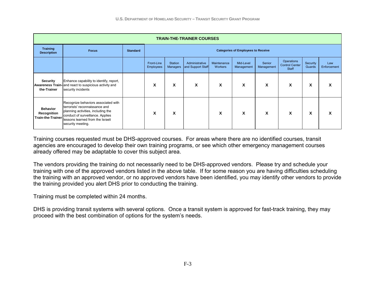| <b>TRAIN-THE-TRAINER COURSES</b>                           |                                                                                                                                                                                                          |                 |                                |                                           |                                     |                               |                         |                      |                                              |                    |                    |
|------------------------------------------------------------|----------------------------------------------------------------------------------------------------------------------------------------------------------------------------------------------------------|-----------------|--------------------------------|-------------------------------------------|-------------------------------------|-------------------------------|-------------------------|----------------------|----------------------------------------------|--------------------|--------------------|
| <b>Training</b><br><b>Description</b>                      | <b>Focus</b>                                                                                                                                                                                             | <b>Standard</b> |                                | <b>Categories of Employees to Receive</b> |                                     |                               |                         |                      |                                              |                    |                    |
|                                                            |                                                                                                                                                                                                          |                 | Front-Line<br><b>Employees</b> | Station<br><b>Managers</b>                | Administrative<br>and Support Staff | Maintenance<br><b>Workers</b> | Mid-Level<br>Management | Senior<br>Management | Operations<br><b>Control Center</b><br>Staff | Security<br>Guards | Law<br>Enforcement |
| <b>Security</b><br>the-Trainer                             | Enhance capability to identify, report,<br><b>Awareness Train-</b> and react to suspicious activity and<br>security incidents                                                                            |                 | X                              | X                                         | X                                   | X                             | X                       | X                    | X                                            | X                  | x                  |
| <b>Behavior</b><br>Recognition<br><b>Train-the-Trainer</b> | Recognize behaviors associated with<br>terrorists' reconnaissance and<br>planning activities, including the<br>conduct of surveillance. Applies<br>lessons learned from the Israeli<br>security meeting. |                 | X                              | X                                         |                                     | X                             | X                       | X                    | X                                            | X                  | X                  |

Training courses requested must be DHS-approved courses. For areas where there are no identified courses, transit agencies are encouraged to develop their own training programs, or see which other emergency management courses already offered may be adaptable to cover this subject area.

The vendors providing the training do not necessarily need to be DHS-approved vendors. Please try and schedule your training with one of the approved vendors listed in the above table. If for some reason you are having difficulties scheduling the training with an approved vendor, or no approved vendors have been identified, you may identify other vendors to provide the training provided you alert DHS prior to conducting the training.

Training must be completed within 24 months.

DHS is providing transit systems with several options. Once a transit system is approved for fast-track training, they may proceed with the best combination of options for the system's needs.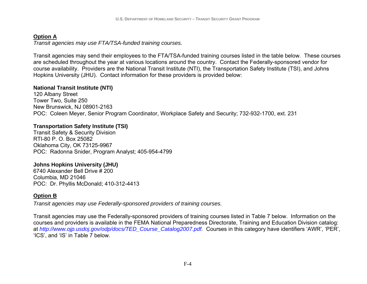# **Option A**

*Transit agencies may use FTA/TSA-funded training courses.* 

Transit agencies may send their employees to the FTA/TSA-funded training courses listed in the table below. These courses are scheduled throughout the year at various locations around the country. Contact the Federally-sponsored vendor for course availability. Providers are the National Transit Institute (NTI), the Transportation Safety Institute (TSI), and Johns Hopkins University (JHU). Contact information for these providers is provided below:

# **National Transit Institute (NTI)**

120 Albany Street Tower Two, Suite 250 New Brunswick, NJ 08901-2163 POC: Coleen Meyer, Senior Program Coordinator, Workplace Safety and Security; 732-932-1700, ext. 231

# **Transportation Safety Institute (TSI)**

Transit Safety & Security Division RTI-80 P. O. Box 25082 Oklahoma City, OK 73125-9967 POC: Radonna Snider, Program Analyst; 405-954-4799

# **Johns Hopkins University (JHU)**

6740 Alexander Bell Drive # 200 Columbia, MD 21046 POC: Dr. Phyllis McDonald; 410-312-4413

# **Option B**

*Transit agencies may use Federally-sponsored providers of training courses.* 

Transit agencies may use the Federally-sponsored providers of training courses listed in Table 7 below. Information on the courses and providers is available in the FEMA National Preparedness Directorate, Training and Education Division catalog: at *http://www.ojp.usdoj.gov/odp/docs/TED\_Course\_Catalog2007.pdf.* Courses in this category have identifiers 'AWR', 'PER', 'ICS', and 'IS' in Table 7 below.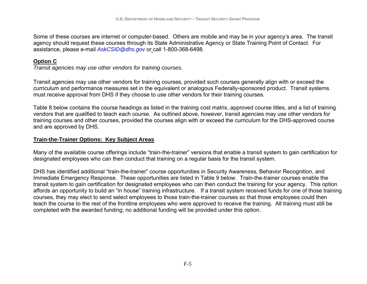Some of these courses are internet or computer-based. Others are mobile and may be in your agency's area. The transit agency should request these courses through its State Administrative Agency or State Training Point of Contact. For assistance, please e-mail *AskCSID@dhs.gov* or call 1-800-368-6498.

# **Option C**

*Transit agencies may use other vendors for training courses.* 

Transit agencies may use other vendors for training courses, provided such courses generally align with or exceed the curriculum and performance measures set in the equivalent or analogous Federally-sponsored product. Transit systems must receive approval from DHS if they choose to use other vendors for their training courses.

Table 8 below contains the course headings as listed in the training cost matrix, approved course titles, and a list of training vendors that are qualified to teach each course. As outlined above, however, transit agencies may use other vendors for training courses and other courses, provided the courses align with or exceed the curriculum for the DHS-approved course and are approved by DHS.

# **Train-the-Trainer Options: Key Subject Areas**

Many of the available course offerings include "train-the-trainer" versions that enable a transit system to gain certification for designated employees who can then conduct that training on a regular basis for the transit system.

DHS has identified additional "train-the-trainer" course opportunities in Security Awareness, Behavior Recognition, and Immediate Emergency Response. These opportunities are listed in Table 9 below. Train-the-trainer courses enable the transit system to gain certification for designated employees who can then conduct the training for your agency. This option affords an opportunity to build an "in house" training infrastructure. If a transit system received funds for one of those training courses, they may elect to send select employees to those train-the-trainer courses so that those employees could then teach the course to the rest of the frontline employees who were approved to receive the training. All training must still be completed with the awarded funding; no additional funding will be provided under this option.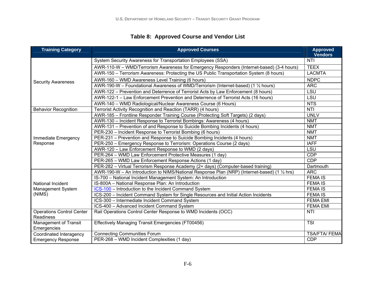# **Table 8: Approved Course and Vendor List**

| <b>Training Category</b>                             | <b>Approved Courses</b>                                                                       | <b>Approved</b>           |  |  |
|------------------------------------------------------|-----------------------------------------------------------------------------------------------|---------------------------|--|--|
|                                                      |                                                                                               | <b>Vendors</b>            |  |  |
|                                                      | System Security Awareness for Transportation Employees (SSA)                                  | <b>NTI</b>                |  |  |
|                                                      | AWR-110-W - WMD/Terrorism Awareness for Emergency Responders (Internet-based) (3-4 hours)     | <b>TEEX</b>               |  |  |
|                                                      | AWR-150 – Terrorism Awareness: Protecting the US Public Transportation System (8 hours)       | <b>LACMTA</b>             |  |  |
| <b>Security Awareness</b>                            | AWR-160 - WMD Awareness Level Training (6 hours)                                              | <b>NDPC</b>               |  |  |
|                                                      | AWR-190-W - Foundational Awareness of WMD/Terrorism (Internet-based) (1 1/2 hours)            | <b>ARC</b>                |  |  |
|                                                      | AWR-122 - Prevention and Deterrence of Terrorist Acts by Law Enforcement (8 hours)            | LSU                       |  |  |
|                                                      | AWR-122-1 - Law Enforcement Prevention and Deterrence of Terrorist Acts (16 hours)            | LSU                       |  |  |
|                                                      | AWR-140 - WMD Radiological/Nuclear Awareness Course (6 Hours)                                 | <b>NTS</b>                |  |  |
| <b>Behavior Recognition</b>                          | Terrorist Activity Recognition and Reaction (TARR) (4 hours)                                  | NTI                       |  |  |
|                                                      | AWR-185 - Frontline Responder Training Course (Protecting Soft Targets) (2 days)              | <b>UNLV</b>               |  |  |
|                                                      | AWR-130 - Incident Response to Terrorist Bombings: Awareness (4 hours)                        | <b>NMT</b>                |  |  |
| Immediate Emergency<br>Response                      | AWR-131 - Prevention of and Response to Suicide Bombing Incidents (4 hours)                   | <b>NMT</b><br><b>NMT</b>  |  |  |
|                                                      | PER-230 - Incident Response to Terrorist Bombing (6 hours)                                    |                           |  |  |
|                                                      | PER-231 – Prevention and Response to Suicide Bombing Incidents (4 hours)                      | <b>NMT</b><br><b>IAFF</b> |  |  |
|                                                      | PER-250 – Emergency Response to Terrorism: Operations Course (2 days)                         |                           |  |  |
|                                                      | AWR-120 - Law Enforcement Response to WMD (2 days)                                            | LSU                       |  |  |
|                                                      | PER-264 - WMD Law Enforcement Protective Measures (1 day)                                     | CDP                       |  |  |
|                                                      | PER-265 - WMD Law Enforcement Response Actions (1 day)                                        | <b>CDP</b>                |  |  |
|                                                      | PER-282 - Virtual Terrorism Response Academy (2+ days) (Computer-based training)              | Dartmouth                 |  |  |
|                                                      | AWR-190-W - An Introduction to NIMS/National Response Plan (NRP) (Internet-based) (1 1/2 hrs) | <b>ARC</b>                |  |  |
|                                                      | IS-700 - National Incident Management System: An Introduction                                 | <b>FEMA IS</b>            |  |  |
| National Incident                                    | IS-800A - National Response Plan: An Introduction                                             | <b>FEMA IS</b>            |  |  |
| Management System                                    | ICS-100 - Introduction to the Incident Command System                                         | <b>FEMA IS</b>            |  |  |
| (NIMS)                                               | ICS-200 - Incident Command System for Single Resources and Initial Action Incidents           | <b>FEMA IS</b>            |  |  |
|                                                      | ICS-300 - Intermediate Incident Command System                                                | <b>FEMA EMI</b>           |  |  |
|                                                      | ICS-400 - Advanced Incident Command System                                                    | <b>FEMA EMI</b>           |  |  |
| <b>Operations Control Center</b><br><b>Readiness</b> | Rail Operations Control Center Response to WMD Incidents (OCC)                                | <b>NTI</b>                |  |  |
| Management of Transit<br>Emergencies                 | Effectively Managing Transit Emergencies (FT00456)                                            | <b>TSI</b>                |  |  |
| Coordinated Interagency                              | <b>Connecting Communities Forum</b>                                                           | <b>TSA/FTA/ FEMA</b>      |  |  |
| <b>Emergency Response</b>                            | PER-268 - WMD Incident Complexities (1 day)                                                   | <b>CDP</b>                |  |  |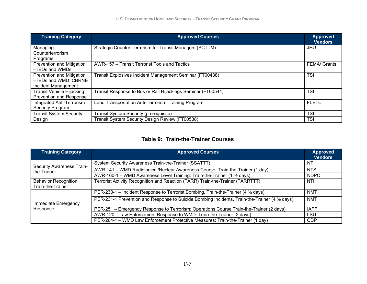| <b>Training Category</b>         | <b>Approved Courses</b>                                      | <b>Approved</b><br><b>Vendors</b> |
|----------------------------------|--------------------------------------------------------------|-----------------------------------|
| Managing                         | Strategic Counter Terrorism for Transit Managers (SCTTM)     | JHU                               |
| Counterterrorism<br>Programs     |                                                              |                                   |
| Prevention and Mitigation        | AWR-157 – Transit Terrorist Tools and Tactics                | <b>FEMA</b> / Grants              |
| - IEDs and WMDs                  |                                                              |                                   |
| Prevention and Mitigation        | Transit Explosives Incident Management Seminar (FT00438)     | <b>TSI</b>                        |
| - IEDs and WMD: CBRNE            |                                                              |                                   |
| Incident Management              |                                                              |                                   |
| <b>Transit Vehicle Hijacking</b> | Transit Response to Bus or Rail Hijackings Seminar (FT00544) | <b>TSI</b>                        |
| Prevention and Response          |                                                              |                                   |
| Integrated Anti-Terrorism        | Land Transportation Anti-Terrorism Training Program          | <b>FLETC</b>                      |
| Security Program                 |                                                              |                                   |
| <b>Transit System Security</b>   | Transit System Security (prerequisite)                       | <b>TSI</b>                        |
| Design                           | Transit System Security Design Review (FT00538)              | <b>TSI</b>                        |

#### **Table 9: Train-the-Trainer Courses**

| <b>Training Category</b>                         | <b>Approved Courses</b>                                                                        | <b>Approved</b><br><b>Vendors</b> |
|--------------------------------------------------|------------------------------------------------------------------------------------------------|-----------------------------------|
| <b>Security Awareness Train-</b>                 | System Security Awareness Train-the-Trainer (SSATTT)                                           | NTI                               |
| the-Trainer                                      | AWR-141 - WMD Radiological/Nuclear Awareness Course: Train-the-Trainer (1 day)                 | <b>NTS</b>                        |
|                                                  | AWR-160-1 – WMD Awareness Level Training: Train-the-Trainer (1 1/2 days)                       | <b>NDPC</b>                       |
| <b>Behavior Recognition</b><br>Train-the-Trainer | Terrorist Activity Recognition and Reaction (TARR) Train-the-Trainer (TARRTTT)                 | NTI                               |
|                                                  | PER-230-1 – Incident Response to Terrorist Bombing, Train-the-Trainer (4 1/2 days)             | <b>NMT</b>                        |
| Immediate Emergency                              | PER-231-1 Prevention and Response to Suicide Bombing Incidents, Train-the-Trainer (4 1/2 days) | <b>NMT</b>                        |
| Response                                         | PER-251 – Emergency Response to Terrorism: Operations Course Train-the-Trainer (2 days)        | <b>IAFF</b>                       |
|                                                  | AWR-120 - Law Enforcement Response to WMD: Train-the-Trainer (2 days)                          | LSU                               |
|                                                  | PER-264-1 - WMD Law Enforcement Protective Measures: Train-the-Trainer (1 day)                 | <b>CDP</b>                        |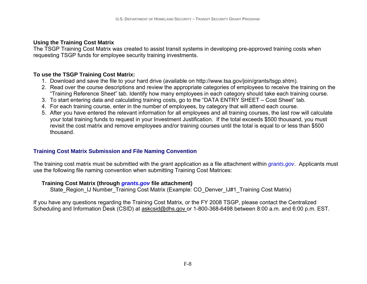## **Using the Training Cost Matrix**

The TSGP Training Cost Matrix was created to assist transit systems in developing pre-approved training costs when requesting TSGP funds for employee security training investments.

## **To use the TSGP Training Cost Matrix:**

- 1. Download and save the file to your hard drive (available on http://www.tsa.gov/join/grants/tsgp.shtm).
- 2. Read over the course descriptions and review the appropriate categories of employees to receive the training on the "Training Reference Sheet" tab. Identify how many employees in each category should take each training course.
- 3. To start entering data and calculating training costs, go to the "DATA ENTRY SHEET Cost Sheet" tab.
- 4. For each training course, enter in the number of employees, by category that will attend each course.
- 5. After you have entered the relevant information for all employees and all training courses, the last row will calculate your total training funds to request in your Investment Justification. If the total exceeds \$500 thousand, you must revisit the cost matrix and remove employees and/or training courses until the total is equal to or less than \$500 thousand.

## **Training Cost Matrix Submission and File Naming Convention**

The training cost matrix must be submitted with the grant application as a file attachment within *grants.gov*. Applicants must use the following file naming convention when submitting Training Cost Matrices:

#### **Training Cost Matrix (through** *grants.gov* **file attachment)**

State\_Region\_IJ Number\_Training Cost Matrix (Example: CO\_Denver\_IJ#1\_Training Cost Matrix)

If you have any questions regarding the Training Cost Matrix, or the FY 2008 TSGP, please contact the Centralized Scheduling and Information Desk (CSID) at askcsid@dhs.gov or 1-800-368-6498 between 8:00 a.m. and 6:00 p.m. EST.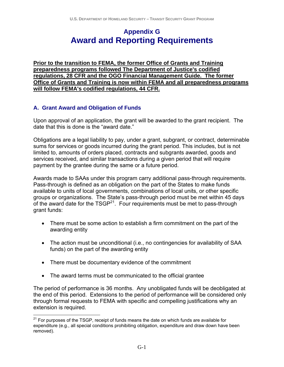# **Appendix G Award and Reporting Requirements**

**Prior to the transition to FEMA, the former Office of Grants and Training preparedness programs followed The Department of Justice's codified regulations, 28 CFR and the OGO Financial Management Guide. The former Office of Grants and Training is now within FEMA and all preparedness programs will follow FEMA's codified regulations, 44 CFR.**

#### **A. Grant Award and Obligation of Funds**

Upon approval of an application, the grant will be awarded to the grant recipient. The date that this is done is the "award date."

Obligations are a legal liability to pay, under a grant, subgrant, or contract, determinable sums for services or goods incurred during the grant period. This includes, but is not limited to, amounts of orders placed, contracts and subgrants awarded, goods and services received, and similar transactions during a given period that will require payment by the grantee during the same or a future period.

Awards made to SAAs under this program carry additional pass-through requirements. Pass-through is defined as an obligation on the part of the States to make funds available to units of local governments, combinations of local units, or other specific groups or organizations. The State's pass-through period must be met within 45 days of the award date for the TSGP<sup>21</sup>. Four requirements must be met to pass-through grant funds:

- There must be some action to establish a firm commitment on the part of the awarding entity
- The action must be unconditional (i.e., no contingencies for availability of SAA funds) on the part of the awarding entity
- There must be documentary evidence of the commitment
- The award terms must be communicated to the official grantee

The period of performance is 36 months. Any unobligated funds will be deobligated at the end of this period. Extensions to the period of performance will be considered only through formal requests to FEMA with specific and compelling justifications why an extension is required.

 $\overline{a}$  $21$  For purposes of the TSGP, receipt of funds means the date on which funds are available for expenditure (e.g., all special conditions prohibiting obligation, expenditure and draw down have been removed).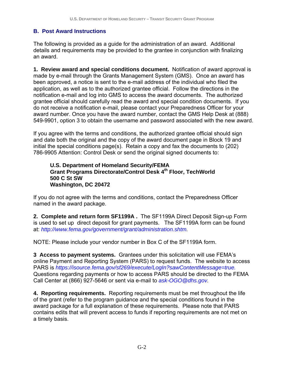### **B. Post Award Instructions**

The following is provided as a guide for the administration of an award. Additional details and requirements may be provided to the grantee in conjunction with finalizing an award.

**1. Review award and special conditions document.** Notification of award approval is made by e-mail through the Grants Management System (GMS). Once an award has been approved, a notice is sent to the e-mail address of the individual who filed the application, as well as to the authorized grantee official.Follow the directions in the notification e-mail and log into GMS to access the award documents. The authorized grantee official should carefully read the award and special condition documents. If you do not receive a notification e-mail, please contact your Preparedness Officer for your award number. Once you have the award number, contact the GMS Help Desk at (888) 549-9901, option 3 to obtain the username and password associated with the new award.

If you agree with the terms and conditions, the authorized grantee official should sign and date both the original and the copy of the award document page in Block 19 and initial the special conditions page(s). Retain a copy and fax the documents to (202) 786-9905 Attention: Control Desk or send the original signed documents to:

#### **U.S. Department of Homeland Security/FEMA Grant Programs Directorate/Control Desk 4th Floor, TechWorld 500 C St SW Washington, DC 20472**

If you do not agree with the terms and conditions, contact the Preparedness Officer named in the award package.

**2. Complete and return form SF1199A .** The SF1199A Direct Deposit Sign-up Form is used to set up direct deposit for grant payments. The SF1199A form can be found at: *http://www.fema.gov/government/grant/administration.shtm.*

NOTE: Please include your vendor number in Box C of the SF1199A form.

**3 Access to payment systems.** Grantees under this solicitation will use FEMA's online Payment and Reporting System (PARS) to request funds. The website to access PARS is *https://isource.fema.gov/sf269/execute/LogIn?sawContentMessage=true.* Questions regarding payments or how to access PARS should be directed to the FEMA Call Center at (866) 927-5646 or sent via e-mail to *ask-OGO@dhs.gov.*

**4. Reporting requirements.** Reporting requirements must be met throughout the life of the grant (refer to the program guidance and the special conditions found in the award package for a full explanation of these requirements. Please note that PARS contains edits that will prevent access to funds if reporting requirements are not met on a timely basis.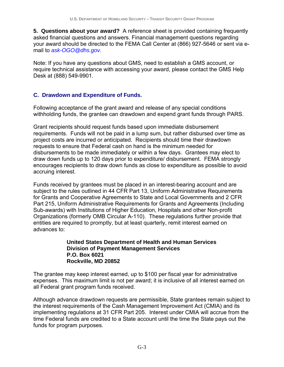**5. Questions about your award?** A reference sheet is provided containing frequently asked financial questions and answers. Financial management questions regarding your award should be directed to the FEMA Call Center at (866) 927-5646 or sent via email to *ask-OGO@dhs.gov.* 

Note: If you have any questions about GMS, need to establish a GMS account, or require technical assistance with accessing your award, please contact the GMS Help Desk at (888) 549-9901.

#### **C. Drawdown and Expenditure of Funds.**

Following acceptance of the grant award and release of any special conditions withholding funds, the grantee can drawdown and expend grant funds through PARS.

Grant recipients should request funds based upon immediate disbursement requirements. Funds will not be paid in a lump sum, but rather disbursed over time as project costs are incurred or anticipated. Recipients should time their drawdown requests to ensure that Federal cash on hand is the minimum needed for disbursements to be made immediately or within a few days. Grantees may elect to draw down funds up to 120 days prior to expenditure/ disbursement. FEMA strongly encourages recipients to draw down funds as close to expenditure as possible to avoid accruing interest.

Funds received by grantees must be placed in an interest-bearing account and are subject to the rules outlined in 44 CFR Part 13, Uniform Administrative Requirements for Grants and Cooperative Agreements to State and Local Governments and 2 CFR Part 215, Uniform Administrative Requirements for Grants and Agreements (Including Sub-awards) with Institutions of Higher Education, Hospitals and other Non-profit Organizations (formerly OMB Circular A-110).These regulations further provide that entities are required to promptly, but at least quarterly, remit interest earned on advances to:

#### **United States Department of Health and Human Services Division of Payment Management Services P.O. Box 6021 Rockville, MD 20852**

The grantee may keep interest earned, up to \$100 per fiscal year for administrative expenses. This maximum limit is not per award; it is inclusive of all interest earned on all Federal grant program funds received.

Although advance drawdown requests are permissible, State grantees remain subject to the interest requirements of the Cash Management Improvement Act (CMIA) and its implementing regulations at 31 CFR Part 205. Interest under CMIA will accrue from the time Federal funds are credited to a State account until the time the State pays out the funds for program purposes.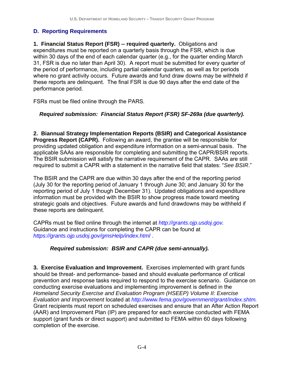### **D. Reporting Requirements**

**1. Financial Status Report (FSR) -- required quarterly.** Obligations and expenditures must be reported on a quarterly basis through the FSR, which is due within 30 days of the end of each calendar quarter (e.g., for the quarter ending March 31, FSR is due no later than April 30). A report must be submitted for every quarter of the period of performance, including partial calendar quarters, as well as for periods where no grant activity occurs. Future awards and fund draw downs may be withheld if these reports are delinquent. The final FSR is due 90 days after the end date of the performance period.

FSRs must be filed online through the PARS*.*

### *Required submission: Financial Status Report (FSR) SF-269a (due quarterly).*

**2. Biannual Strategy Implementation Reports (BSIR) and Categorical Assistance Progress Report (CAPR).** Following an award, the grantee will be responsible for providing updated obligation and expenditure information on a semi-annual basis. The applicable SAAs are responsible for completing and submitting the CAPR/BSIR reports. The BSIR submission will satisfy the narrative requirement of the CAPR. SAAs are still required to submit a CAPR with a statement in the narrative field that states: "*See BSIR*."

The BSIR and the CAPR are due within 30 days after the end of the reporting period (July 30 for the reporting period of January 1 through June 30; and January 30 for the reporting period of July 1 though December 31). Updated obligations and expenditure information must be provided with the BSIR to show progress made toward meeting strategic goals and objectives. Future awards and fund drawdowns may be withheld if these reports are delinquent.

CAPRs must be filed online through the internet at *http://grants.ojp.usdoj.gov.* Guidance and instructions for completing the CAPR can be found at *https://grants.ojp.usdoj.gov/gmsHelp/index.html* .

### *Required submission: BSIR and CAPR (due semi-annually).*

**3. Exercise Evaluation and Improvement.** Exercises implemented with grant funds should be threat- and performance- based and should evaluate performance of critical prevention and response tasks required to respond to the exercise scenario. Guidance on conducting exercise evaluations and implementing improvement is defined in the *Homeland Security Exercise and Evaluation Program (HSEEP) Volume II: Exercise Evaluation and Improvement* located at *http://www.fema.gov/government/grant/index.shtm.*  Grant recipients must report on scheduled exercises and ensure that an After Action Report (AAR) and Improvement Plan (IP) are prepared for each exercise conducted with FEMA support (grant funds or direct support) and submitted to FEMA within 60 days following completion of the exercise.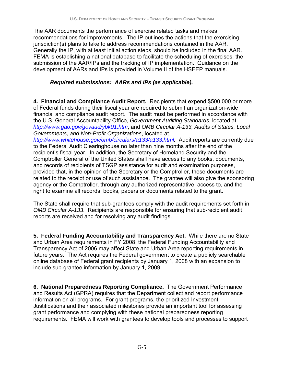The AAR documents the performance of exercise related tasks and makes recommendations for improvements. The IP outlines the actions that the exercising jurisdiction(s) plans to take to address recommendations contained in the AAR. Generally the IP, with at least initial action steps, should be included in the final AAR. FEMA is establishing a national database to facilitate the scheduling of exercises, the submission of the AAR/IPs and the tracking of IP implementation. Guidance on the development of AARs and IPs is provided in Volume II of the HSEEP manuals.

#### *Required submissions: AARs and IPs (as applicable).*

**4. Financial and Compliance Audit Report.** Recipients that expend \$500,000 or more of Federal funds during their fiscal year are required to submit an organization-wide financial and compliance audit report. The audit must be performed in accordance with the U.S. General Accountability Office, *Government Auditing Standards*, located at *http://www.gao.gov/govaud/ybk01.htm*, and *OMB Circular A-133, Audits of States, Local Governments, and Non-Profit Organizations*, located at

*http://www.whitehouse.gov/omb/circulars/a133/a133.html.* Audit reports are currently due to the Federal Audit Clearinghouse no later than nine months after the end of the recipient's fiscal year. In addition, the Secretary of Homeland Security and the Comptroller General of the United States shall have access to any books, documents, and records of recipients of TSGP assistance for audit and examination purposes, provided that, in the opinion of the Secretary or the Comptroller, these documents are related to the receipt or use of such assistance. The grantee will also give the sponsoring agency or the Comptroller, through any authorized representative, access to, and the right to examine all records, books, papers or documents related to the grant.

The State shall require that sub-grantees comply with the audit requirements set forth in *OMB Circular A-133*. Recipients are responsible for ensuring that sub-recipient audit reports are received and for resolving any audit findings.

**5. Federal Funding Accountability and Transparency Act.** While there are no State and Urban Area requirements in FY 2008, the Federal Funding Accountability and Transparency Act of 2006 may affect State and Urban Area reporting requirements in future years. The Act requires the Federal government to create a publicly searchable online database of Federal grant recipients by January 1, 2008 with an expansion to include sub-grantee information by January 1, 2009.

**6. National Preparedness Reporting Compliance.** The Government Performance and Results Act (GPRA) requires that the Department collect and report performance information on all programs. For grant programs, the prioritized Investment Justifications and their associated milestones provide an important tool for assessing grant performance and complying with these national preparedness reporting requirements. FEMA will work with grantees to develop tools and processes to support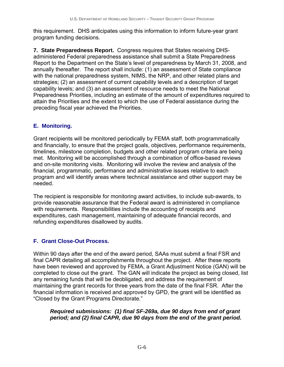this requirement. DHS anticipates using this information to inform future-year grant program funding decisions.

**7. State Preparedness Report.**Congress requires that States receiving DHSadministered Federal preparedness assistance shall submit a State Preparedness Report to the Department on the State's level of preparedness by March 31, 2008, and annually thereafter. The report shall include: (1) an assessment of State compliance with the national preparedness system, NIMS, the NRP, and other related plans and strategies; (2) an assessment of current capability levels and a description of target capability levels; and (3) an assessment of resource needs to meet the National Preparedness Priorities, including an estimate of the amount of expenditures required to attain the Priorities and the extent to which the use of Federal assistance during the preceding fiscal year achieved the Priorities.

### **E. Monitoring.**

Grant recipients will be monitored periodically by FEMA staff, both programmatically and financially, to ensure that the project goals, objectives, performance requirements, timelines, milestone completion, budgets and other related program criteria are being met. Monitoring will be accomplished through a combination of office-based reviews and on-site monitoring visits. Monitoring will involve the review and analysis of the financial, programmatic, performance and administrative issues relative to each program and will identify areas where technical assistance and other support may be needed.

The recipient is responsible for monitoring award activities, to include sub-awards, to provide reasonable assurance that the Federal award is administered in compliance with requirements. Responsibilities include the accounting of receipts and expenditures, cash management, maintaining of adequate financial records, and refunding expenditures disallowed by audits.

## **F. Grant Close-Out Process.**

Within 90 days after the end of the award period, SAAs must submit a final FSR and final CAPR detailing all accomplishments throughout the project. After these reports have been reviewed and approved by FEMA, a Grant Adjustment Notice (GAN) will be completed to close out the grant. The GAN will indicate the project as being closed, list any remaining funds that will be deobligated, and address the requirement of maintaining the grant records for three years from the date of the final FSR. After the financial information is received and approved by GPD, the grant will be identified as "Closed by the Grant Programs Directorate."

#### *Required submissions: (1) final SF-269a, due 90 days from end of grant period; and (2) final CAPR, due 90 days from the end of the grant period.*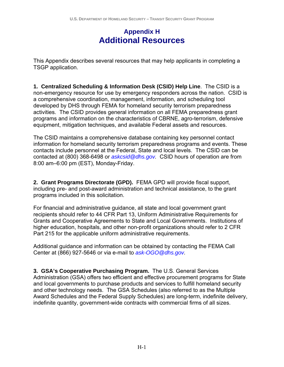# **Appendix H Additional Resources**

This Appendix describes several resources that may help applicants in completing a TSGP application.

**1. Centralized Scheduling & Information Desk (CSID) Help Line**. The CSID is a non-emergency resource for use by emergency responders across the nation. CSID is a comprehensive coordination, management, information, and scheduling tool developed by DHS through FEMA for homeland security terrorism preparedness activities. The CSID provides general information on all FEMA preparedness grant programs and information on the characteristics of CBRNE, agro-terrorism, defensive equipment, mitigation techniques, and available Federal assets and resources.

The CSID maintains a comprehensive database containing key personnel contact information for homeland security terrorism preparedness programs and events. These contacts include personnel at the Federal, State and local levels. The CSID can be contacted at (800) 368-6498 or *askcsid@dhs.gov.* CSID hours of operation are from 8:00 am–6:00 pm (EST), Monday-Friday.

**2. Grant Programs Directorate (GPD).** FEMA GPD will provide fiscal support, including pre- and post-award administration and technical assistance, to the grant programs included in this solicitation.

For financial and administrative guidance, all state and local government grant recipients should refer to 44 CFR Part 13, Uniform Administrative Requirements for Grants and Cooperative Agreements to State and Local Governments. Institutions of higher education, hospitals, and other non-profit organizations should refer to 2 CFR Part 215 for the applicable uniform administrative requirements.

Additional guidance and information can be obtained by contacting the FEMA Call Center at (866) 927-5646 or via e-mail to *ask-OGO@dhs.gov.*

**3. GSA's Cooperative Purchasing Program.** The U.S. General Services Administration (GSA) offers two efficient and effective procurement programs for State and local governments to purchase products and services to fulfill homeland security and other technology needs. The GSA Schedules (also referred to as the Multiple Award Schedules and the Federal Supply Schedules) are long-term, indefinite delivery, indefinite quantity, government-wide contracts with commercial firms of all sizes.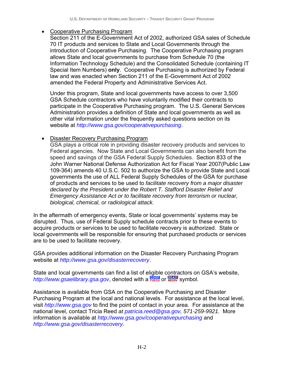#### • Cooperative Purchasing Program

Section 211 of the E-Government Act of 2002, authorized GSA sales of Schedule 70 IT products and services to State and Local Governments through the introduction of Cooperative Purchasing. The Cooperative Purchasing program allows State and local governments to purchase from Schedule 70 (the Information Technology Schedule) and the Consolidated Schedule (containing IT Special Item Numbers) **only**. Cooperative Purchasing is authorized by Federal law and was enacted when Section 211 of the E-Government Act of 2002 amended the Federal Property and Administrative Services Act.

Under this program, State and local governments have access to over 3,500 GSA Schedule contractors who have voluntarily modified their contracts to participate in the Cooperative Purchasing program. The U.S. General Services Administration provides a definition of State and local governments as well as other vital information under the frequently asked questions section on its website at *http://www.gsa.gov/cooperativepurchasing*.

#### • Disaster Recovery Purchasing Program

GSA plays a critical role in providing disaster recovery products and services to Federal agencies. Now State and Local Governments can also benefit from the speed and savings of the GSA Federal Supply Schedules. Section 833 of the John Warner National Defense Authorization Act for Fiscal Year 2007(Public Law 109-364) amends 40 U.S.C. 502 to authorize the GSA to provide State and Local governments the use of ALL Federal Supply Schedules of the GSA for purchase of products and services to be used to *facilitate recovery from a major disaster declared by the President under the Robert T. Stafford Disaster Relief and Emergency Assistance Act or to facilitate recovery from terrorism or nuclear, biological, chemical, or radiological attack.* 

In the aftermath of emergency events, State or local governments' systems may be disrupted. Thus, use of Federal Supply schedule contracts prior to these events to acquire products or services to be used to facilitate recovery is authorized. State or local governments will be responsible for ensuring that purchased products or services are to be used to facilitate recovery.

GSA provides additional information on the Disaster Recovery Purchasing Program website at *http://www.gsa.gov/disasterrecovery*.

State and local governments can find a list of eligible contractors on GSA's website, http://www.gsaelibrary.gsa.gov, denoted with a **FURCH** or **RECOV** Symbol.

Assistance is available from GSA on the Cooperative Purchasing and Disaster Purchasing Program at the local and national levels. For assistance at the local level, visit *http://www.gsa.gov* to find the point of contact in your area. For assistance at the national level, contact Tricia Reed *at patricia.reed@gsa.gov, 571-259-9921.* More information is available at *http://www.gsa.gov/cooperativepurchasing* and *http://www.gsa.gov/disasterrecovery.*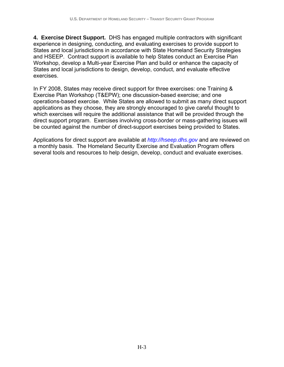**4. Exercise Direct Support.** DHS has engaged multiple contractors with significant experience in designing, conducting, and evaluating exercises to provide support to States and local jurisdictions in accordance with State Homeland Security Strategies and HSEEP. Contract support is available to help States conduct an Exercise Plan Workshop, develop a Multi-year Exercise Plan and build or enhance the capacity of States and local jurisdictions to design, develop, conduct, and evaluate effective exercises.

In FY 2008, States may receive direct support for three exercises: one Training & Exercise Plan Workshop (T&EPW); one discussion-based exercise; and one operations-based exercise. While States are allowed to submit as many direct support applications as they choose, they are strongly encouraged to give careful thought to which exercises will require the additional assistance that will be provided through the direct support program. Exercises involving cross-border or mass-gathering issues will be counted against the number of direct-support exercises being provided to States.

Applications for direct support are available at *http://hseep.dhs.gov* and are reviewed on a monthly basis. The Homeland Security Exercise and Evaluation Program offers several tools and resources to help design, develop, conduct and evaluate exercises.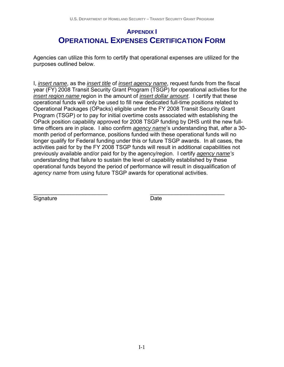# **APPENDIX I OPERATIONAL EXPENSES CERTIFICATION FORM**

Agencies can utilize this form to certify that operational expenses are utilized for the purposes outlined below.

I, *insert name*, as the *insert title* of *insert agency name*, request funds from the fiscal year (FY) 2008 Transit Security Grant Program (TSGP) for operational activities for the *insert region name* region in the amount of *insert dollar amount*. I certify that these operational funds will only be used to fill new dedicated full-time positions related to Operational Packages (OPacks) eligible under the FY 2008 Transit Security Grant Program (TSGP) or to pay for initial overtime costs associated with establishing the OPack position capability approved for 2008 TSGP funding by DHS until the new fulltime officers are in place. I also confirm *agency name*'s understanding that, after a 30 month period of performance, positions funded with these operational funds will no longer qualify for Federal funding under this or future TSGP awards. In all cases, the activities paid for by the FY 2008 TSGP funds will result in additional capabilities not previously available and/or paid for by the agency/region. I certify *agency name's* understanding that failure to sustain the level of capability established by these operational funds beyond the period of performance will result in disqualification of *agency name* from using future TSGP awards for operational activities.

\_\_\_\_\_\_\_\_\_\_\_\_\_\_\_\_\_\_\_\_\_\_\_\_ \_\_\_\_\_\_\_\_\_\_\_\_\_\_\_\_\_\_\_\_\_\_\_\_ Signature Date